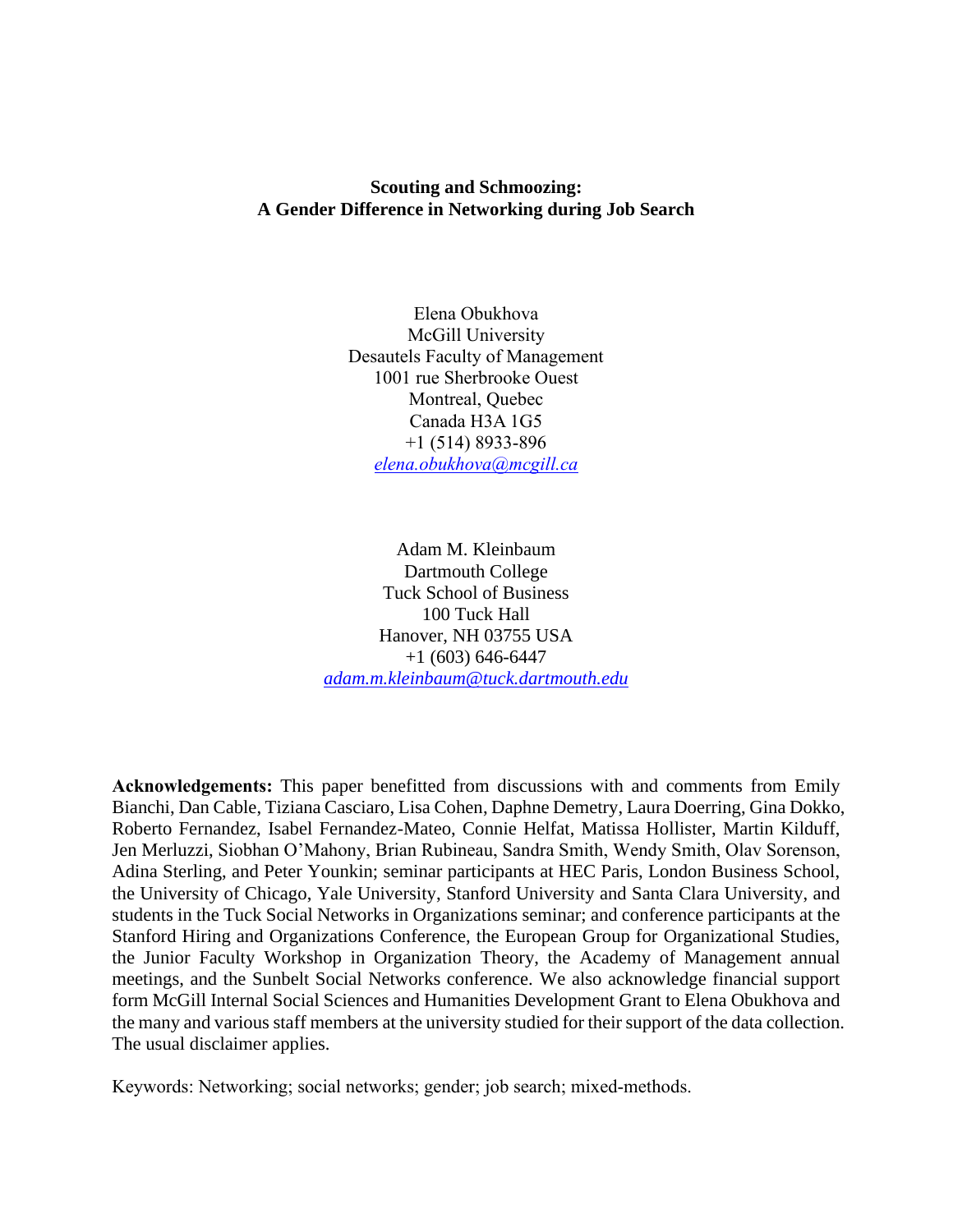## **Scouting and Schmoozing: A Gender Difference in Networking during Job Search**

Elena Obukhova McGill University Desautels Faculty of Management 1001 rue Sherbrooke Ouest Montreal, Quebec Canada H3A 1G5 +1 (514) 8933-896 *[elena.obukhova@mcgill.ca](mailto:elena.obukhova@mcgill.ca)*

Adam M. Kleinbaum Dartmouth College Tuck School of Business 100 Tuck Hall Hanover, NH 03755 USA +1 (603) 646-6447 *[adam.m.kleinbaum@tuck.dartmouth.edu](mailto:adam.m.kleinbaum@tuck.dartmouth.edu)*

**Acknowledgements:** This paper benefitted from discussions with and comments from Emily Bianchi, Dan Cable, Tiziana Casciaro, Lisa Cohen, Daphne Demetry, Laura Doerring, Gina Dokko, Roberto Fernandez, Isabel Fernandez-Mateo, Connie Helfat, Matissa Hollister, Martin Kilduff, Jen Merluzzi, Siobhan O'Mahony, Brian Rubineau, Sandra Smith, Wendy Smith, Olav Sorenson, Adina Sterling, and Peter Younkin; seminar participants at HEC Paris, London Business School, the University of Chicago, Yale University, Stanford University and Santa Clara University, and students in the Tuck Social Networks in Organizations seminar; and conference participants at the Stanford Hiring and Organizations Conference, the European Group for Organizational Studies, the Junior Faculty Workshop in Organization Theory, the Academy of Management annual meetings, and the Sunbelt Social Networks conference. We also acknowledge financial support form McGill Internal Social Sciences and Humanities Development Grant to Elena Obukhova and the many and various staff members at the university studied for their support of the data collection. The usual disclaimer applies.

Keywords: Networking; social networks; gender; job search; mixed-methods.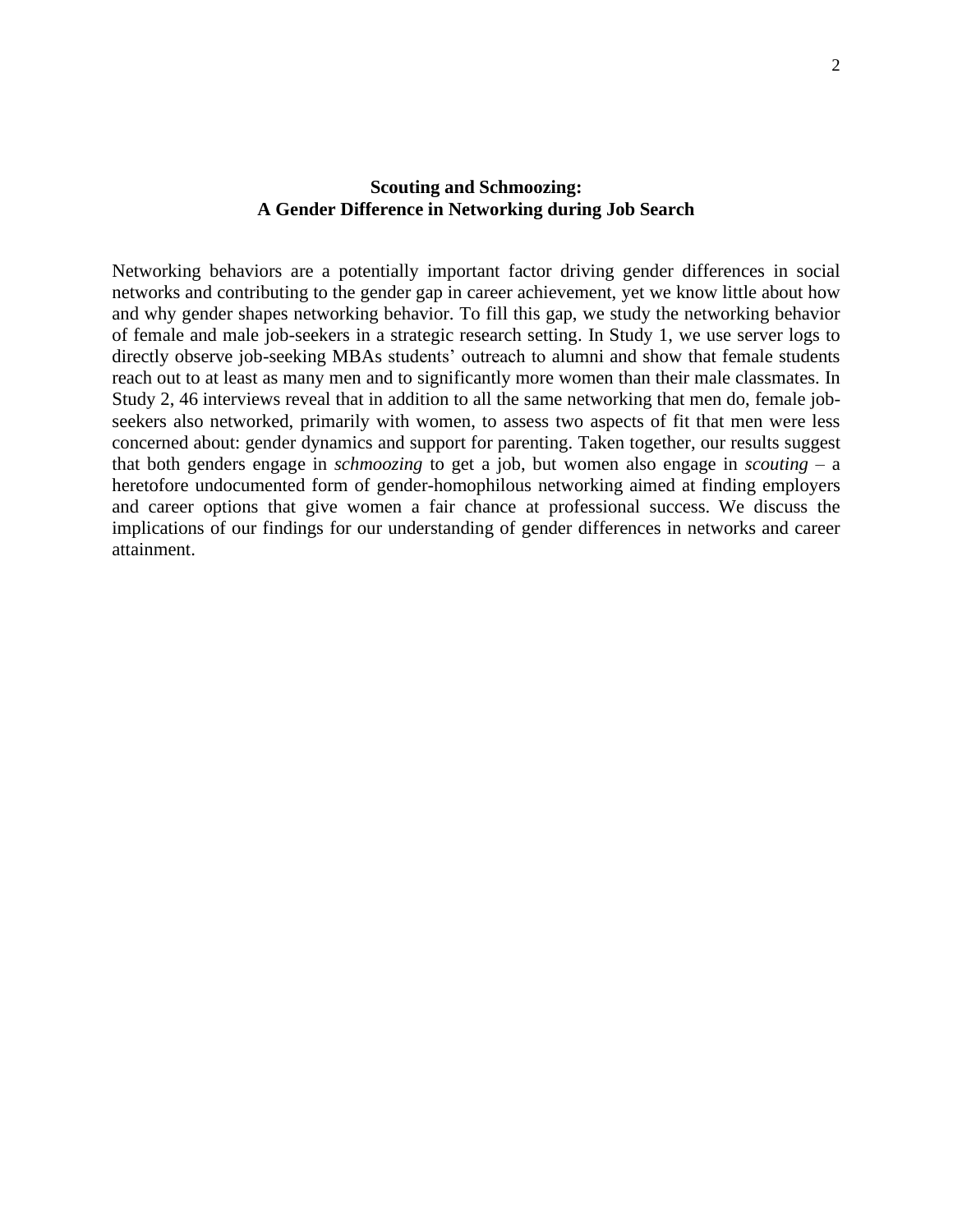## **Scouting and Schmoozing: A Gender Difference in Networking during Job Search**

Networking behaviors are a potentially important factor driving gender differences in social networks and contributing to the gender gap in career achievement, yet we know little about how and why gender shapes networking behavior. To fill this gap, we study the networking behavior of female and male job-seekers in a strategic research setting. In Study 1, we use server logs to directly observe job-seeking MBAs students' outreach to alumni and show that female students reach out to at least as many men and to significantly more women than their male classmates. In Study 2, 46 interviews reveal that in addition to all the same networking that men do, female jobseekers also networked, primarily with women, to assess two aspects of fit that men were less concerned about: gender dynamics and support for parenting. Taken together, our results suggest that both genders engage in *schmoozing* to get a job, but women also engage in *scouting* – a heretofore undocumented form of gender-homophilous networking aimed at finding employers and career options that give women a fair chance at professional success. We discuss the implications of our findings for our understanding of gender differences in networks and career attainment.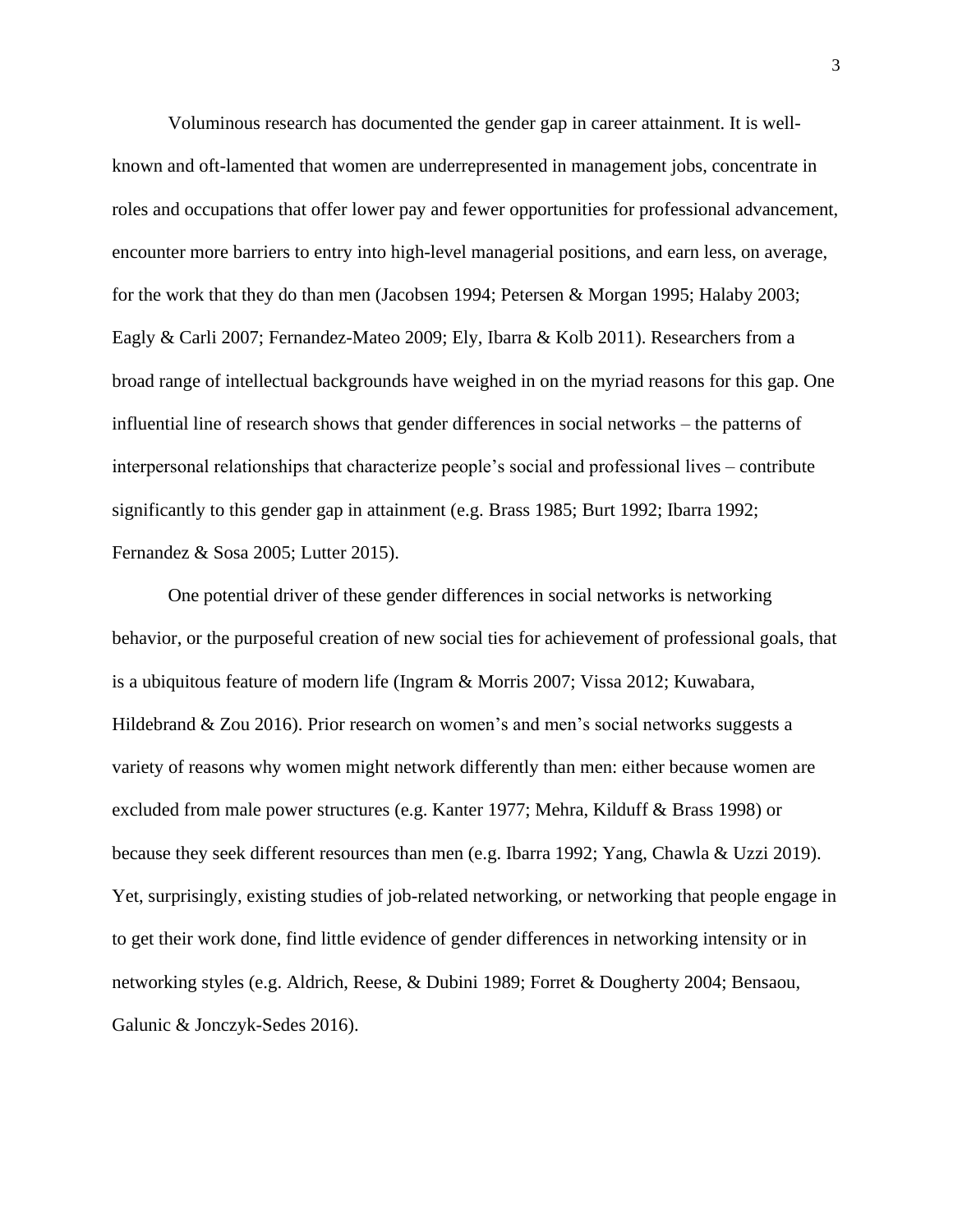Voluminous research has documented the gender gap in career attainment. It is wellknown and oft-lamented that women are underrepresented in management jobs, concentrate in roles and occupations that offer lower pay and fewer opportunities for professional advancement, encounter more barriers to entry into high-level managerial positions, and earn less, on average, for the work that they do than men (Jacobsen 1994; Petersen & Morgan 1995; Halaby 2003; Eagly & Carli 2007; Fernandez-Mateo 2009; Ely, Ibarra & Kolb 2011). Researchers from a broad range of intellectual backgrounds have weighed in on the myriad reasons for this gap. One influential line of research shows that gender differences in social networks – the patterns of interpersonal relationships that characterize people's social and professional lives – contribute significantly to this gender gap in attainment (e.g. Brass 1985; Burt 1992; Ibarra 1992; Fernandez & Sosa 2005; Lutter 2015).

One potential driver of these gender differences in social networks is networking behavior, or the purposeful creation of new social ties for achievement of professional goals, that is a ubiquitous feature of modern life (Ingram & Morris 2007; Vissa 2012; Kuwabara, Hildebrand & Zou 2016). Prior research on women's and men's social networks suggests a variety of reasons why women might network differently than men: either because women are excluded from male power structures (e.g. Kanter 1977; Mehra, Kilduff & Brass 1998) or because they seek different resources than men (e.g. Ibarra 1992; Yang, Chawla & Uzzi 2019). Yet, surprisingly, existing studies of job-related networking, or networking that people engage in to get their work done, find little evidence of gender differences in networking intensity or in networking styles (e.g. Aldrich, Reese, & Dubini 1989; Forret & Dougherty 2004; Bensaou, Galunic & Jonczyk-Sedes 2016).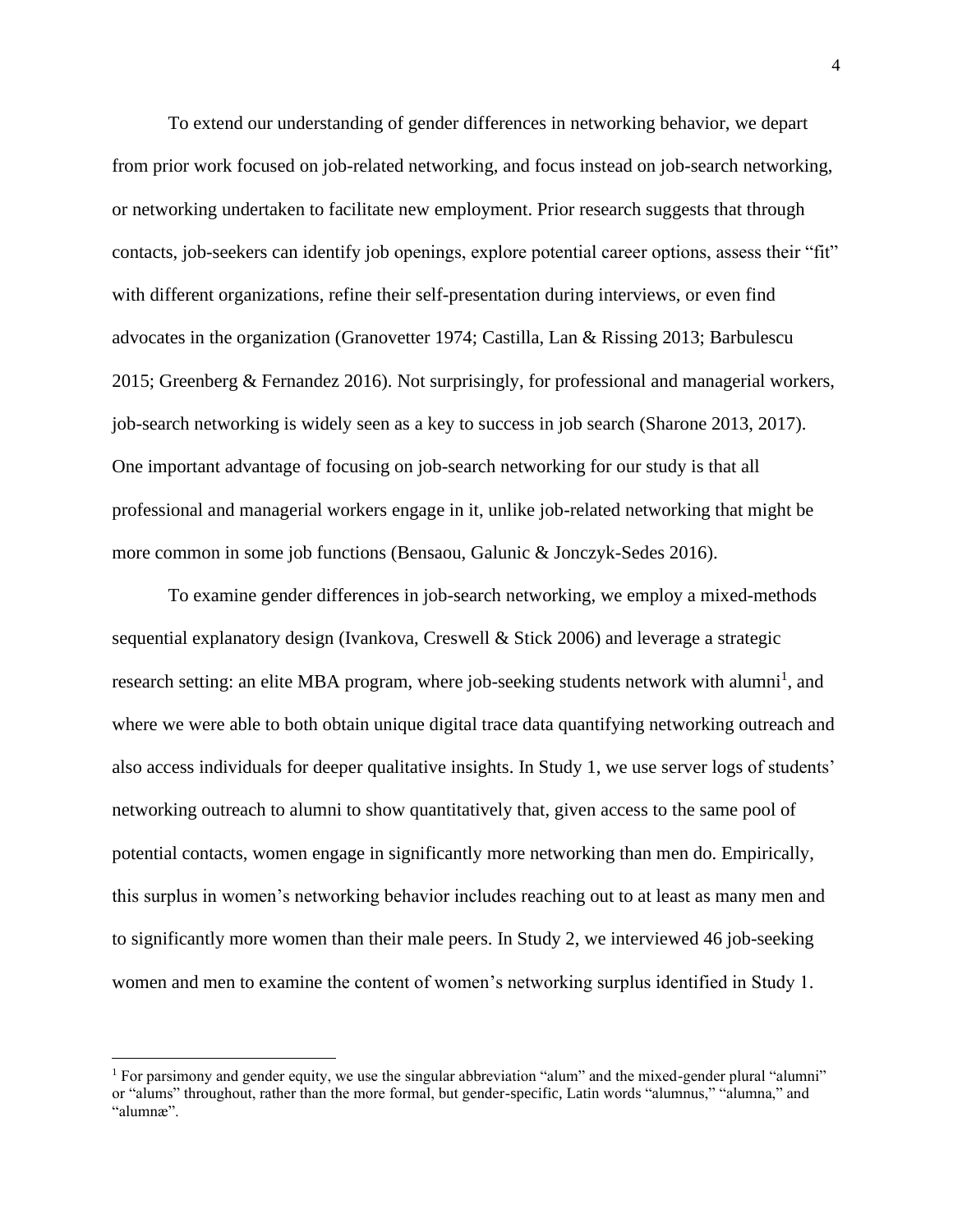To extend our understanding of gender differences in networking behavior, we depart from prior work focused on job-related networking, and focus instead on job-search networking, or networking undertaken to facilitate new employment. Prior research suggests that through contacts, job-seekers can identify job openings, explore potential career options, assess their "fit" with different organizations, refine their self-presentation during interviews, or even find advocates in the organization (Granovetter 1974; Castilla, Lan & Rissing 2013; Barbulescu 2015; Greenberg & Fernandez 2016). Not surprisingly, for professional and managerial workers, job-search networking is widely seen as a key to success in job search (Sharone 2013, 2017). One important advantage of focusing on job-search networking for our study is that all professional and managerial workers engage in it, unlike job-related networking that might be more common in some job functions (Bensaou, Galunic & Jonczyk-Sedes 2016).

To examine gender differences in job-search networking, we employ a mixed-methods sequential explanatory design (Ivankova, Creswell & Stick 2006) and leverage a strategic research setting: an elite MBA program, where job-seeking students network with alumni<sup>1</sup>, and where we were able to both obtain unique digital trace data quantifying networking outreach and also access individuals for deeper qualitative insights. In Study 1, we use server logs of students' networking outreach to alumni to show quantitatively that, given access to the same pool of potential contacts, women engage in significantly more networking than men do. Empirically, this surplus in women's networking behavior includes reaching out to at least as many men and to significantly more women than their male peers. In Study 2, we interviewed 46 job-seeking women and men to examine the content of women's networking surplus identified in Study 1.

<sup>&</sup>lt;sup>1</sup> For parsimony and gender equity, we use the singular abbreviation "alum" and the mixed-gender plural "alumni" or "alums" throughout, rather than the more formal, but gender-specific, Latin words "alumnus," "alumna," and "alumnæ".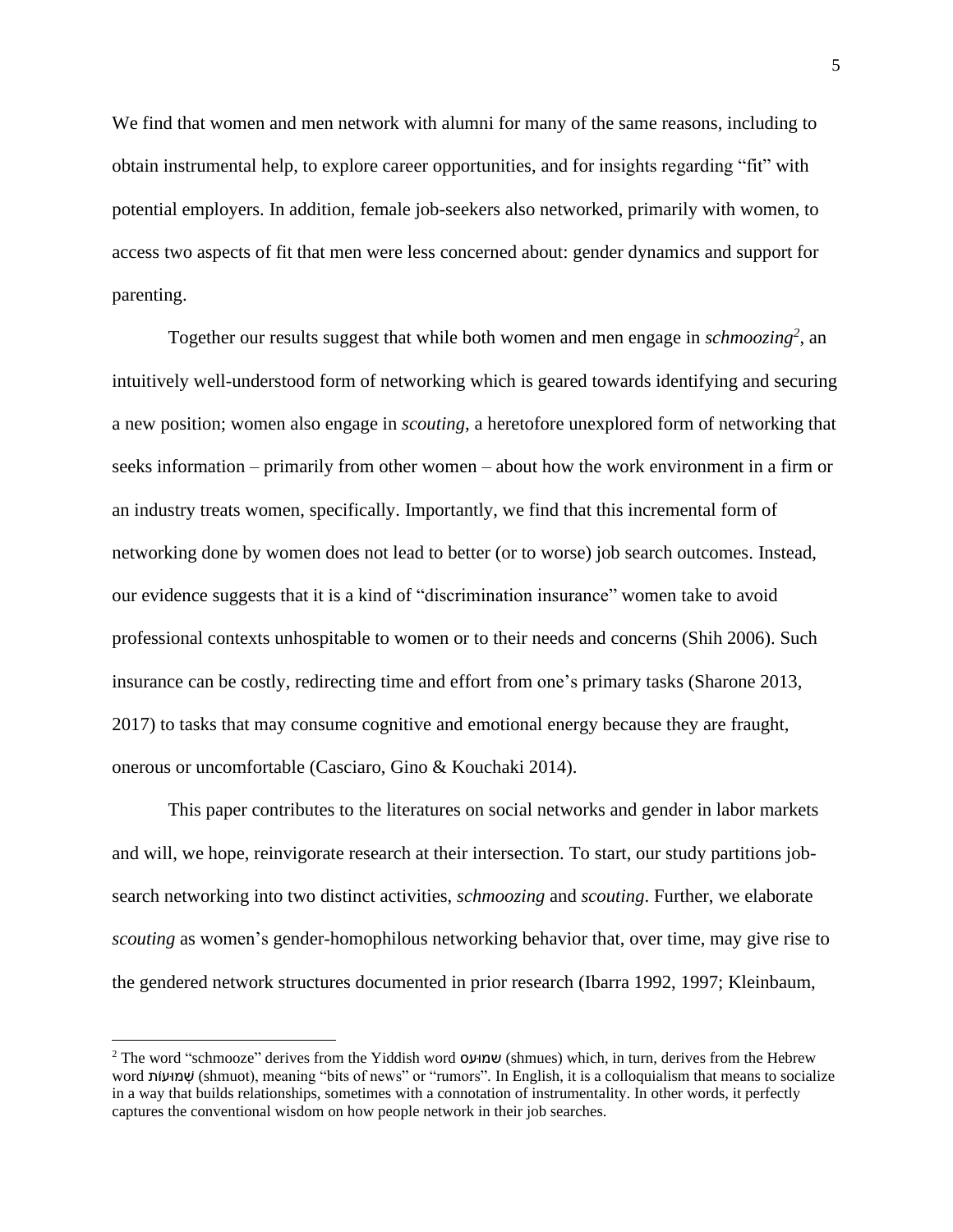We find that women and men network with alumni for many of the same reasons, including to obtain instrumental help, to explore career opportunities, and for insights regarding "fit" with potential employers. In addition, female job-seekers also networked, primarily with women, to access two aspects of fit that men were less concerned about: gender dynamics and support for parenting.

Together our results suggest that while both women and men engage in *schmoozing<sup>2</sup>* , an intuitively well-understood form of networking which is geared towards identifying and securing a new position; women also engage in *scouting*, a heretofore unexplored form of networking that seeks information – primarily from other women – about how the work environment in a firm or an industry treats women, specifically. Importantly, we find that this incremental form of networking done by women does not lead to better (or to worse) job search outcomes. Instead, our evidence suggests that it is a kind of "discrimination insurance" women take to avoid professional contexts unhospitable to women or to their needs and concerns (Shih 2006). Such insurance can be costly, redirecting time and effort from one's primary tasks (Sharone 2013, 2017) to tasks that may consume cognitive and emotional energy because they are fraught, onerous or uncomfortable (Casciaro, Gino & Kouchaki 2014).

This paper contributes to the literatures on social networks and gender in labor markets and will, we hope, reinvigorate research at their intersection. To start, our study partitions jobsearch networking into two distinct activities, *schmoozing* and *scouting*. Further, we elaborate *scouting* as women's gender-homophilous networking behavior that, over time, may give rise to the gendered network structures documented in prior research (Ibarra 1992, 1997; Kleinbaum,

<sup>&</sup>lt;sup>2</sup> The word "schmooze" derives from the Yiddish word **ועסו** $\mu$  (shmues) which, in turn, derives from the Hebrew word ותֹועּמ ְׁש) shmuot), meaning "bits of news" or "rumors". In English, it is a colloquialism that means to socialize in a way that builds relationships, sometimes with a connotation of instrumentality. In other words, it perfectly captures the conventional wisdom on how people network in their job searches.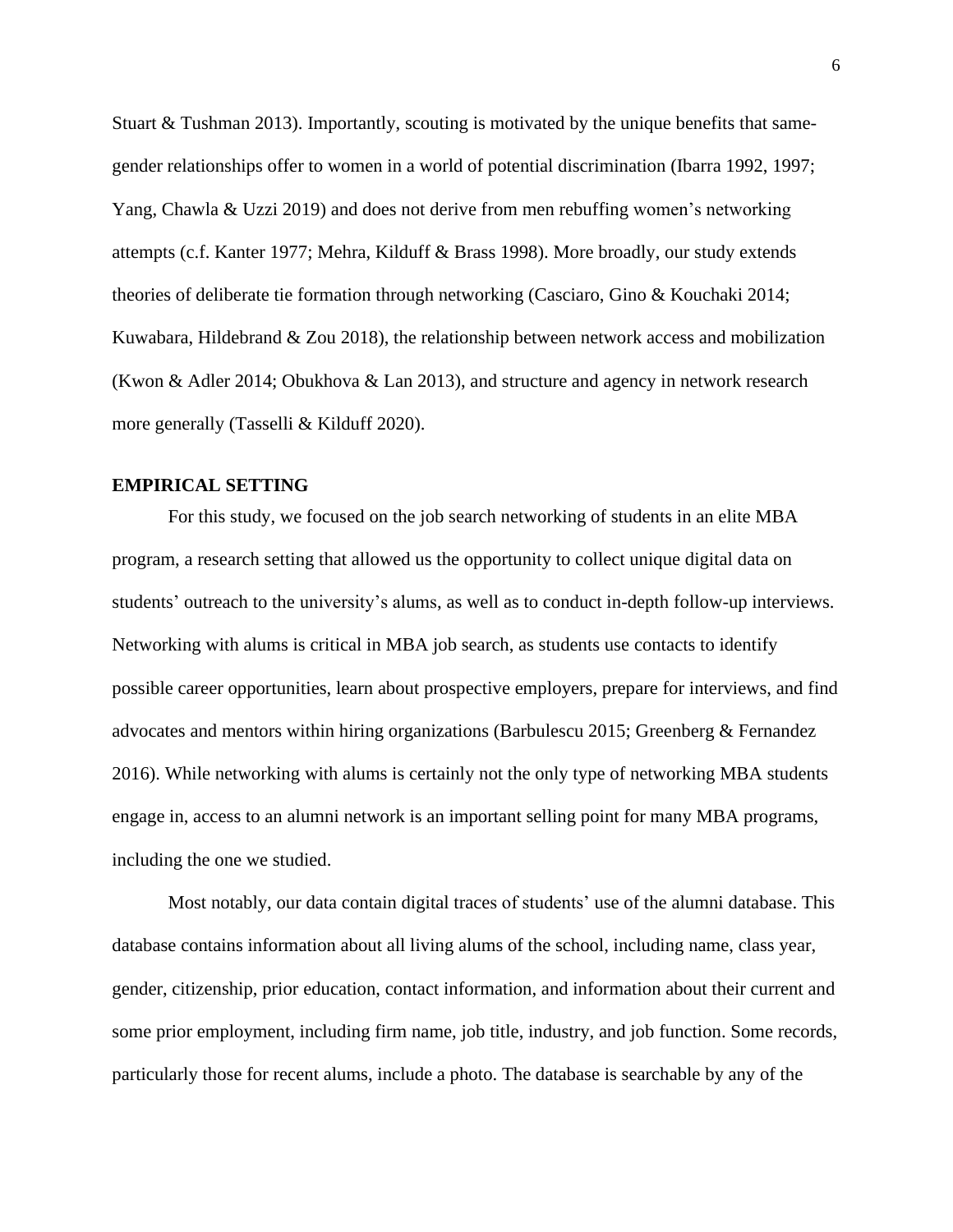Stuart & Tushman 2013). Importantly, scouting is motivated by the unique benefits that samegender relationships offer to women in a world of potential discrimination (Ibarra 1992, 1997; Yang, Chawla & Uzzi 2019) and does not derive from men rebuffing women's networking attempts (c.f. Kanter 1977; Mehra, Kilduff & Brass 1998). More broadly, our study extends theories of deliberate tie formation through networking (Casciaro, Gino & Kouchaki 2014; Kuwabara, Hildebrand & Zou 2018), the relationship between network access and mobilization (Kwon & Adler 2014; Obukhova & Lan 2013), and structure and agency in network research more generally (Tasselli & Kilduff 2020).

#### **EMPIRICAL SETTING**

For this study, we focused on the job search networking of students in an elite MBA program, a research setting that allowed us the opportunity to collect unique digital data on students' outreach to the university's alums, as well as to conduct in-depth follow-up interviews. Networking with alums is critical in MBA job search, as students use contacts to identify possible career opportunities, learn about prospective employers, prepare for interviews, and find advocates and mentors within hiring organizations (Barbulescu 2015; Greenberg & Fernandez 2016). While networking with alums is certainly not the only type of networking MBA students engage in, access to an alumni network is an important selling point for many MBA programs, including the one we studied.

Most notably, our data contain digital traces of students' use of the alumni database. This database contains information about all living alums of the school, including name, class year, gender, citizenship, prior education, contact information, and information about their current and some prior employment, including firm name, job title, industry, and job function. Some records, particularly those for recent alums, include a photo. The database is searchable by any of the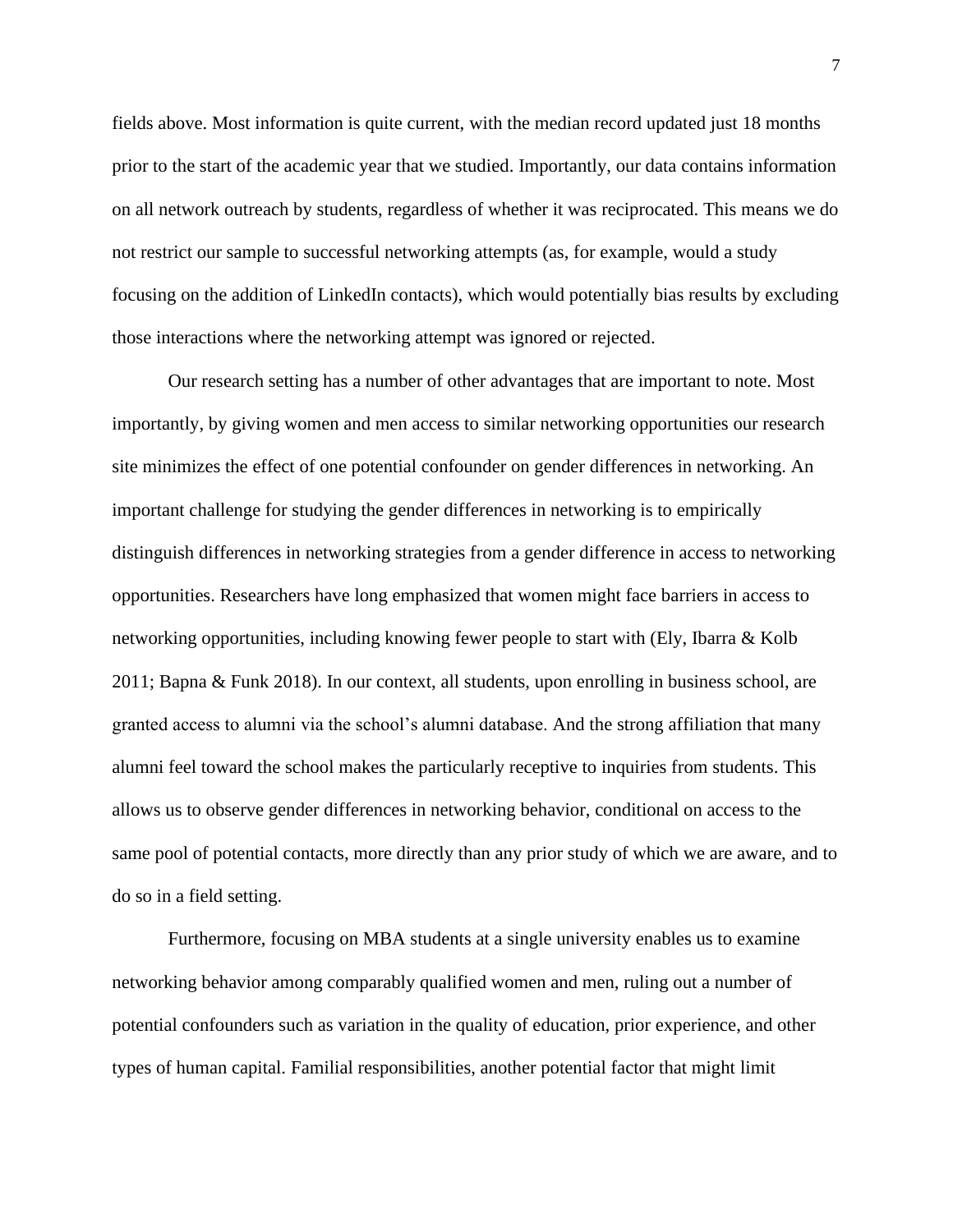fields above. Most information is quite current, with the median record updated just 18 months prior to the start of the academic year that we studied. Importantly, our data contains information on all network outreach by students, regardless of whether it was reciprocated. This means we do not restrict our sample to successful networking attempts (as, for example, would a study focusing on the addition of LinkedIn contacts), which would potentially bias results by excluding those interactions where the networking attempt was ignored or rejected.

Our research setting has a number of other advantages that are important to note. Most importantly, by giving women and men access to similar networking opportunities our research site minimizes the effect of one potential confounder on gender differences in networking. An important challenge for studying the gender differences in networking is to empirically distinguish differences in networking strategies from a gender difference in access to networking opportunities. Researchers have long emphasized that women might face barriers in access to networking opportunities, including knowing fewer people to start with (Ely, Ibarra & Kolb 2011; Bapna & Funk 2018). In our context, all students, upon enrolling in business school, are granted access to alumni via the school's alumni database. And the strong affiliation that many alumni feel toward the school makes the particularly receptive to inquiries from students. This allows us to observe gender differences in networking behavior, conditional on access to the same pool of potential contacts, more directly than any prior study of which we are aware, and to do so in a field setting.

Furthermore, focusing on MBA students at a single university enables us to examine networking behavior among comparably qualified women and men, ruling out a number of potential confounders such as variation in the quality of education, prior experience, and other types of human capital. Familial responsibilities, another potential factor that might limit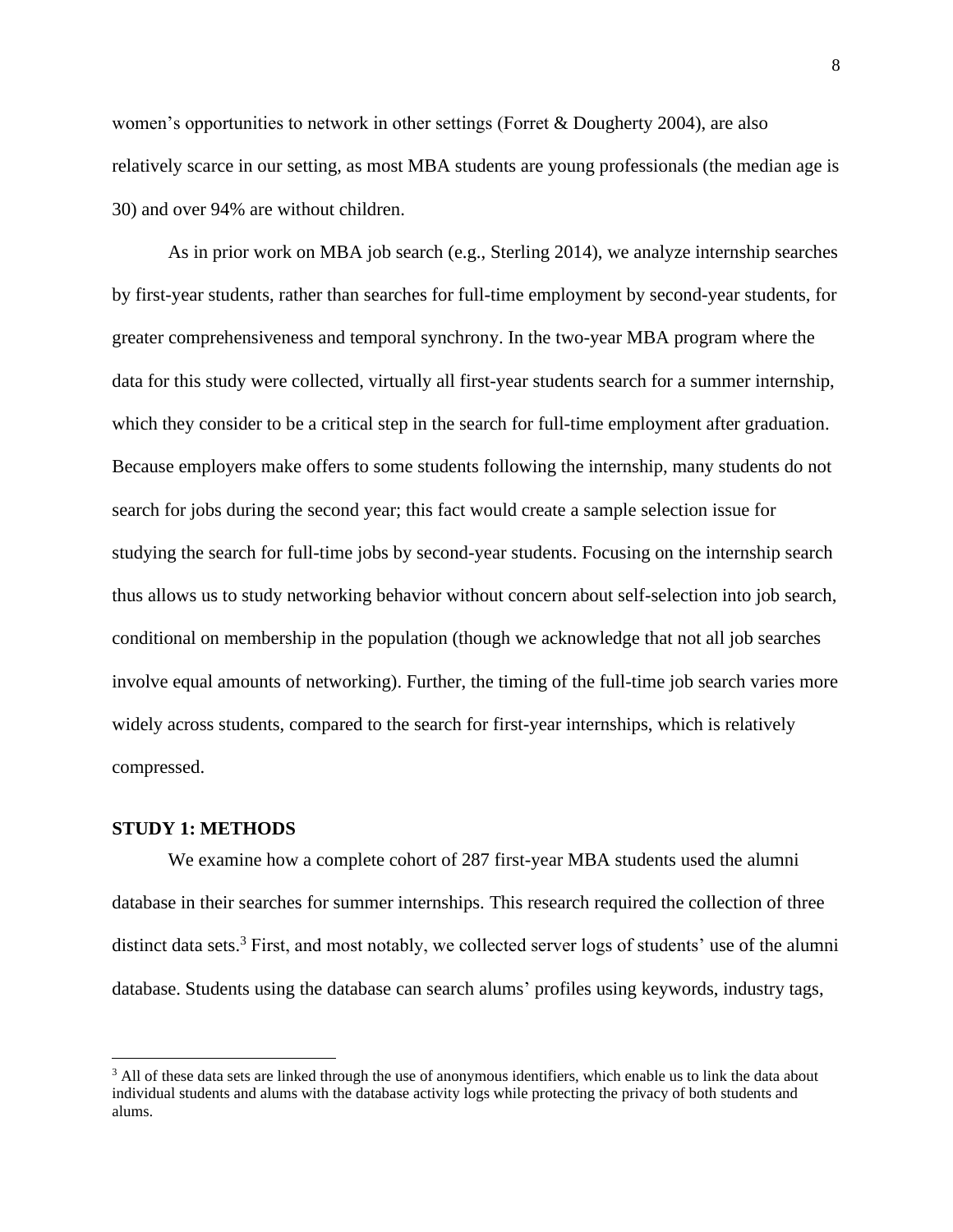women's opportunities to network in other settings (Forret & Dougherty 2004), are also relatively scarce in our setting, as most MBA students are young professionals (the median age is 30) and over 94% are without children.

As in prior work on MBA job search (e.g., Sterling 2014), we analyze internship searches by first-year students, rather than searches for full-time employment by second-year students, for greater comprehensiveness and temporal synchrony. In the two-year MBA program where the data for this study were collected, virtually all first-year students search for a summer internship, which they consider to be a critical step in the search for full-time employment after graduation. Because employers make offers to some students following the internship, many students do not search for jobs during the second year; this fact would create a sample selection issue for studying the search for full-time jobs by second-year students. Focusing on the internship search thus allows us to study networking behavior without concern about self-selection into job search, conditional on membership in the population (though we acknowledge that not all job searches involve equal amounts of networking). Further, the timing of the full-time job search varies more widely across students, compared to the search for first-year internships, which is relatively compressed.

#### **STUDY 1: METHODS**

We examine how a complete cohort of 287 first-year MBA students used the alumni database in their searches for summer internships. This research required the collection of three distinct data sets.<sup>3</sup> First, and most notably, we collected server logs of students' use of the alumni database. Students using the database can search alums' profiles using keywords, industry tags,

<sup>&</sup>lt;sup>3</sup> All of these data sets are linked through the use of anonymous identifiers, which enable us to link the data about individual students and alums with the database activity logs while protecting the privacy of both students and alums.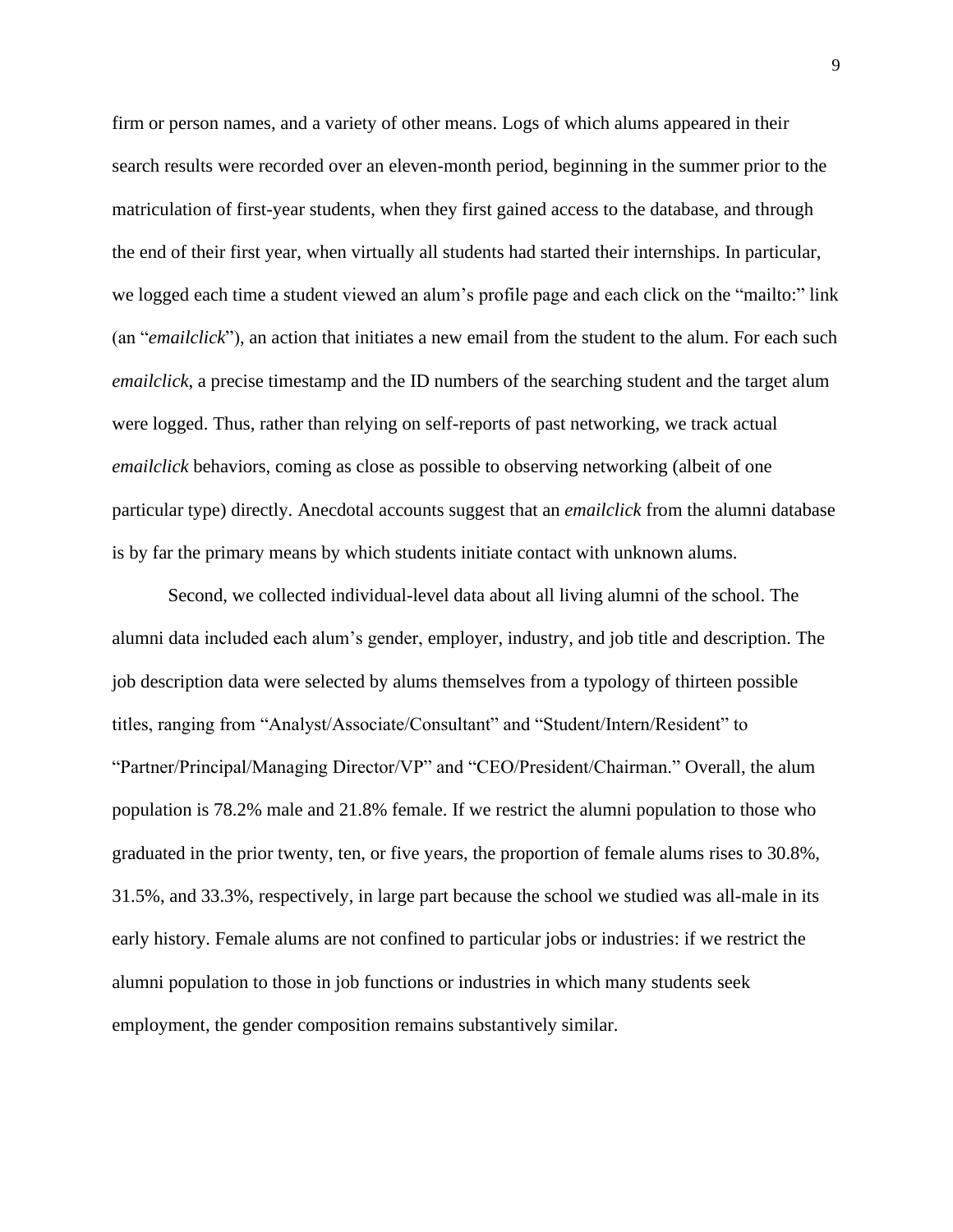firm or person names, and a variety of other means. Logs of which alums appeared in their search results were recorded over an eleven-month period, beginning in the summer prior to the matriculation of first-year students, when they first gained access to the database, and through the end of their first year, when virtually all students had started their internships. In particular, we logged each time a student viewed an alum's profile page and each click on the "mailto:" link (an "*emailclick*"), an action that initiates a new email from the student to the alum. For each such *emailclick*, a precise timestamp and the ID numbers of the searching student and the target alum were logged. Thus, rather than relying on self-reports of past networking, we track actual *emailclick* behaviors, coming as close as possible to observing networking (albeit of one particular type) directly. Anecdotal accounts suggest that an *emailclick* from the alumni database is by far the primary means by which students initiate contact with unknown alums.

Second, we collected individual-level data about all living alumni of the school. The alumni data included each alum's gender, employer, industry, and job title and description. The job description data were selected by alums themselves from a typology of thirteen possible titles, ranging from "Analyst/Associate/Consultant" and "Student/Intern/Resident" to "Partner/Principal/Managing Director/VP" and "CEO/President/Chairman." Overall, the alum population is 78.2% male and 21.8% female. If we restrict the alumni population to those who graduated in the prior twenty, ten, or five years, the proportion of female alums rises to 30.8%, 31.5%, and 33.3%, respectively, in large part because the school we studied was all-male in its early history. Female alums are not confined to particular jobs or industries: if we restrict the alumni population to those in job functions or industries in which many students seek employment, the gender composition remains substantively similar.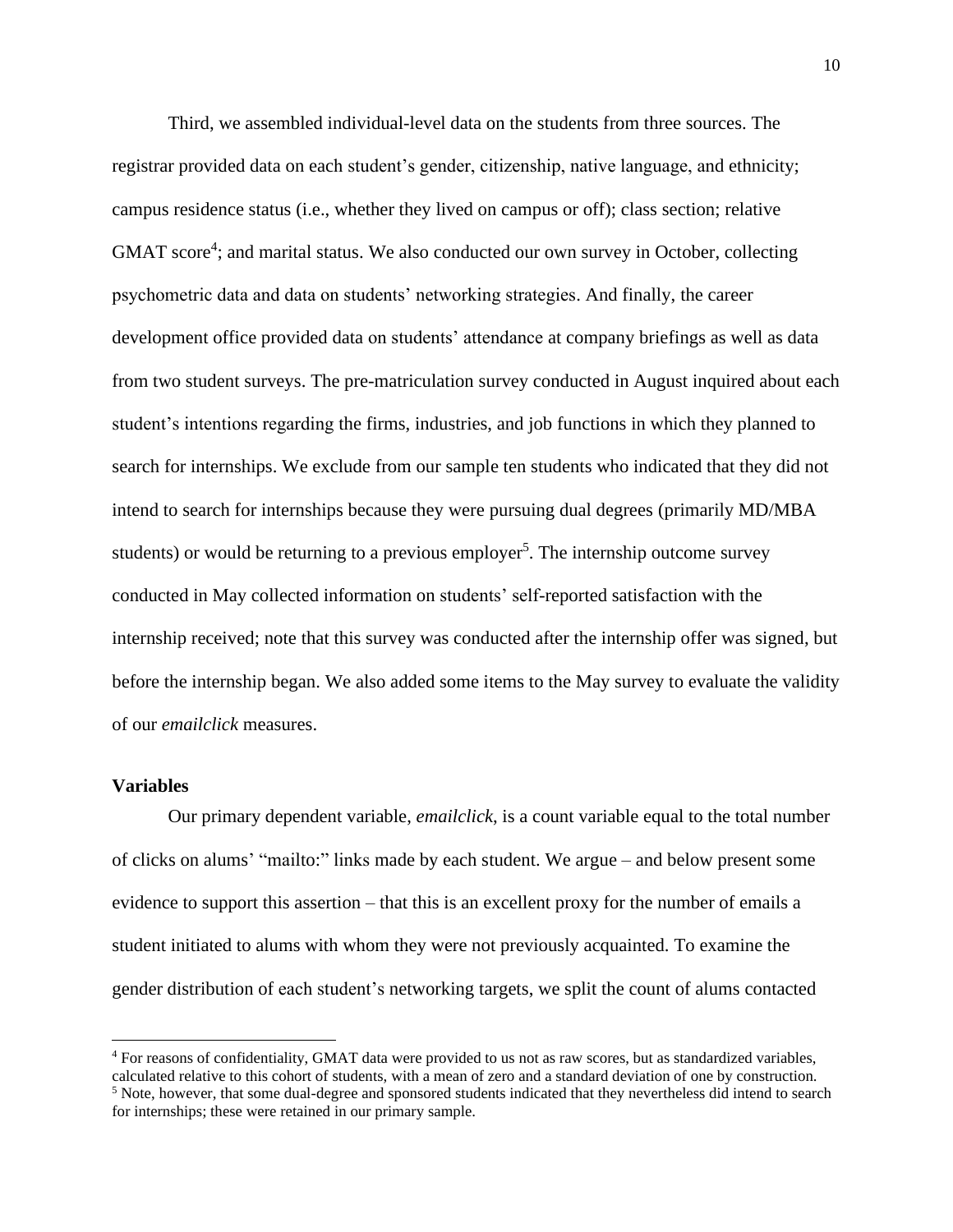Third, we assembled individual-level data on the students from three sources. The registrar provided data on each student's gender, citizenship, native language, and ethnicity; campus residence status (i.e., whether they lived on campus or off); class section; relative GMAT score<sup>4</sup>; and marital status. We also conducted our own survey in October, collecting psychometric data and data on students' networking strategies. And finally, the career development office provided data on students' attendance at company briefings as well as data from two student surveys. The pre-matriculation survey conducted in August inquired about each student's intentions regarding the firms, industries, and job functions in which they planned to search for internships. We exclude from our sample ten students who indicated that they did not intend to search for internships because they were pursuing dual degrees (primarily MD/MBA students) or would be returning to a previous employer<sup>5</sup>. The internship outcome survey conducted in May collected information on students' self-reported satisfaction with the internship received; note that this survey was conducted after the internship offer was signed, but before the internship began. We also added some items to the May survey to evaluate the validity of our *emailclick* measures.

#### **Variables**

Our primary dependent variable, *emailclick*, is a count variable equal to the total number of clicks on alums' "mailto:" links made by each student. We argue – and below present some evidence to support this assertion – that this is an excellent proxy for the number of emails a student initiated to alums with whom they were not previously acquainted. To examine the gender distribution of each student's networking targets, we split the count of alums contacted

<sup>4</sup> For reasons of confidentiality, GMAT data were provided to us not as raw scores, but as standardized variables, calculated relative to this cohort of students, with a mean of zero and a standard deviation of one by construction. <sup>5</sup> Note, however, that some dual-degree and sponsored students indicated that they nevertheless did intend to search for internships; these were retained in our primary sample.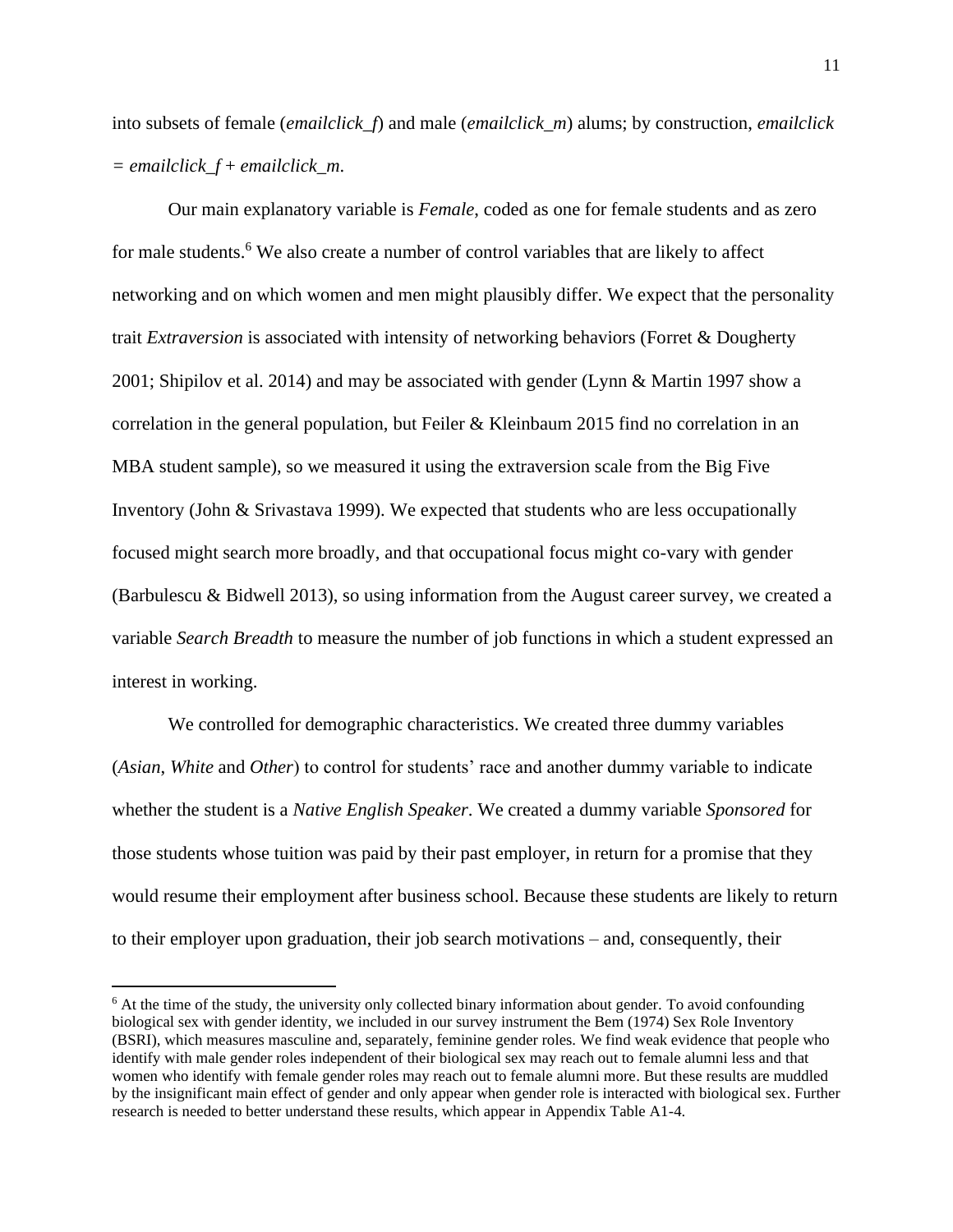into subsets of female (*emailclick\_f*) and male (*emailclick\_m*) alums; by construction, *emailclick = emailclick\_f* + *emailclick\_m*.

Our main explanatory variable is *Female*, coded as one for female students and as zero for male students.<sup>6</sup> We also create a number of control variables that are likely to affect networking and on which women and men might plausibly differ. We expect that the personality trait *Extraversion* is associated with intensity of networking behaviors (Forret & Dougherty 2001; Shipilov et al. 2014) and may be associated with gender (Lynn & Martin 1997 show a correlation in the general population, but Feiler & Kleinbaum 2015 find no correlation in an MBA student sample), so we measured it using the extraversion scale from the Big Five Inventory (John & Srivastava 1999). We expected that students who are less occupationally focused might search more broadly, and that occupational focus might co-vary with gender (Barbulescu & Bidwell 2013), so using information from the August career survey, we created a variable *Search Breadth* to measure the number of job functions in which a student expressed an interest in working.

We controlled for demographic characteristics. We created three dummy variables (*Asian*, *White* and *Other*) to control for students' race and another dummy variable to indicate whether the student is a *Native English Speaker*. We created a dummy variable *Sponsored* for those students whose tuition was paid by their past employer, in return for a promise that they would resume their employment after business school. Because these students are likely to return to their employer upon graduation, their job search motivations – and, consequently, their

 $6$  At the time of the study, the university only collected binary information about gender. To avoid confounding biological sex with gender identity, we included in our survey instrument the Bem (1974) Sex Role Inventory (BSRI), which measures masculine and, separately, feminine gender roles. We find weak evidence that people who identify with male gender roles independent of their biological sex may reach out to female alumni less and that women who identify with female gender roles may reach out to female alumni more. But these results are muddled by the insignificant main effect of gender and only appear when gender role is interacted with biological sex. Further research is needed to better understand these results, which appear in Appendix Table A1-4.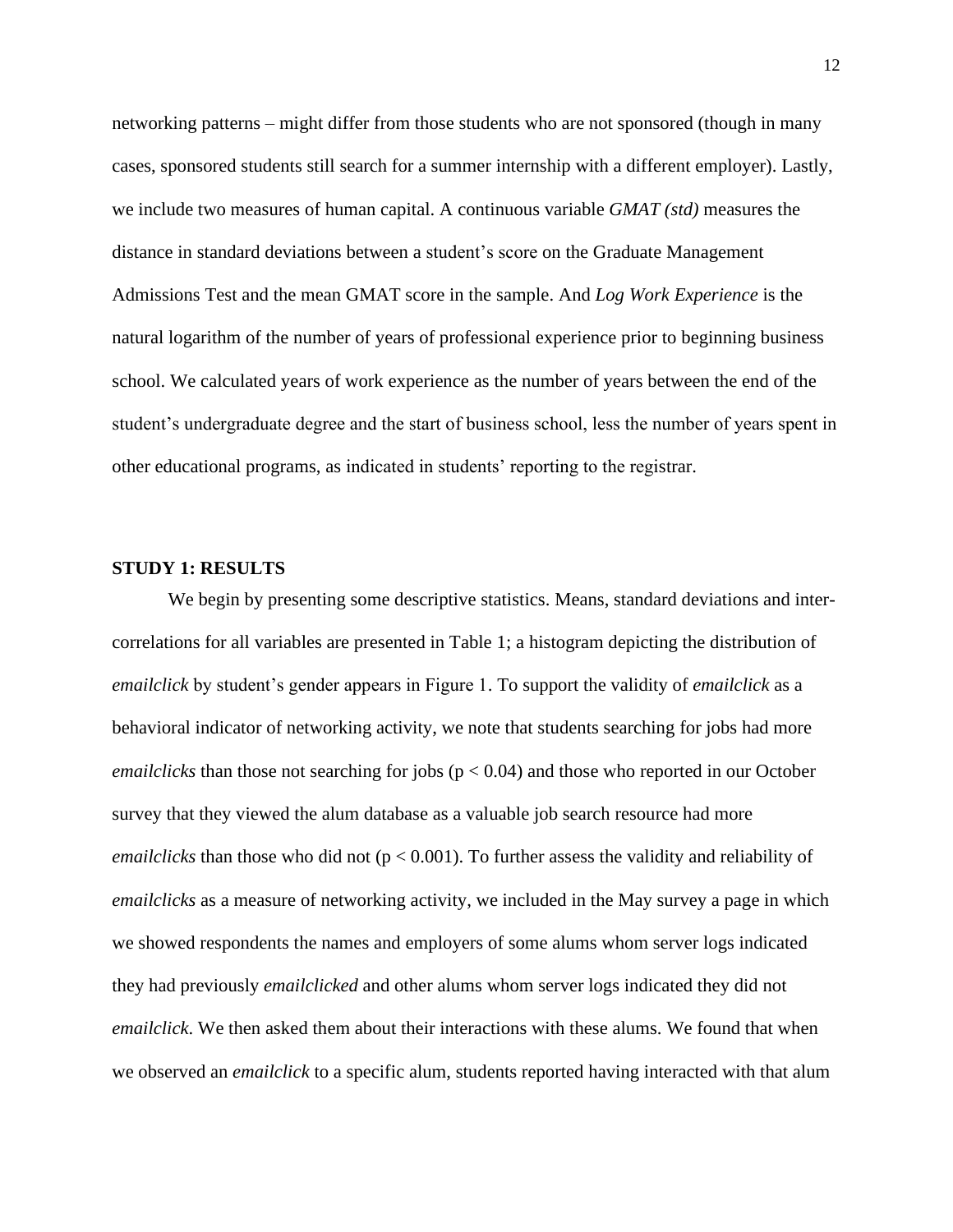networking patterns – might differ from those students who are not sponsored (though in many cases, sponsored students still search for a summer internship with a different employer). Lastly, we include two measures of human capital. A continuous variable *GMAT (std)* measures the distance in standard deviations between a student's score on the Graduate Management Admissions Test and the mean GMAT score in the sample. And *Log Work Experience* is the natural logarithm of the number of years of professional experience prior to beginning business school. We calculated years of work experience as the number of years between the end of the student's undergraduate degree and the start of business school, less the number of years spent in other educational programs, as indicated in students' reporting to the registrar.

### **STUDY 1: RESULTS**

We begin by presenting some descriptive statistics. Means, standard deviations and intercorrelations for all variables are presented in Table 1; a histogram depicting the distribution of *emailclick* by student's gender appears in Figure 1. To support the validity of *emailclick* as a behavioral indicator of networking activity, we note that students searching for jobs had more *emailclicks* than those not searching for jobs ( $p < 0.04$ ) and those who reported in our October survey that they viewed the alum database as a valuable job search resource had more *emailclicks* than those who did not ( $p < 0.001$ ). To further assess the validity and reliability of *emailclicks* as a measure of networking activity, we included in the May survey a page in which we showed respondents the names and employers of some alums whom server logs indicated they had previously *emailclicked* and other alums whom server logs indicated they did not *emailclick*. We then asked them about their interactions with these alums. We found that when we observed an *emailclick* to a specific alum, students reported having interacted with that alum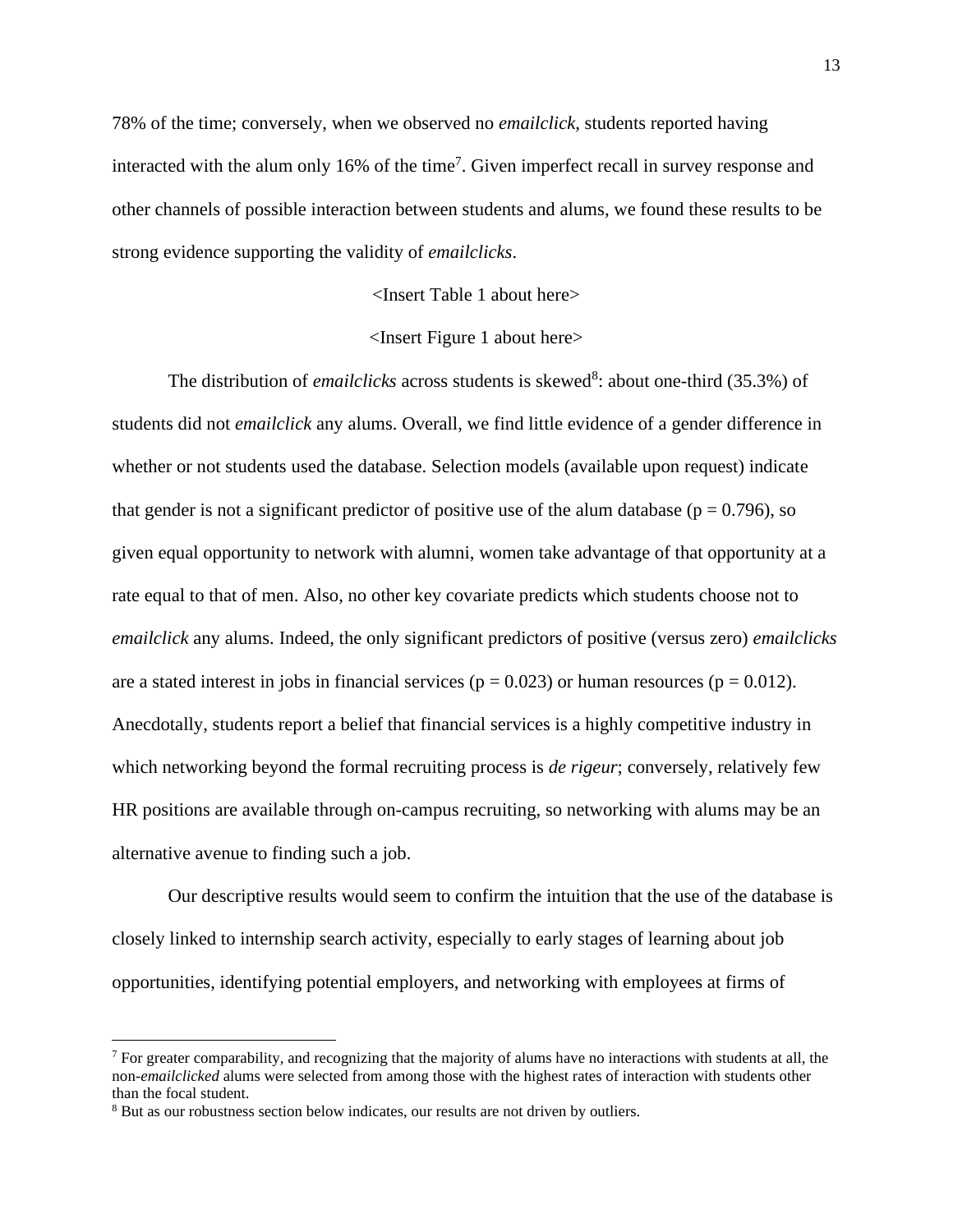78% of the time; conversely, when we observed no *emailclick*, students reported having interacted with the alum only  $16\%$  of the time<sup>7</sup>. Given imperfect recall in survey response and other channels of possible interaction between students and alums, we found these results to be strong evidence supporting the validity of *emailclicks*.

<Insert Table 1 about here>

## <Insert Figure 1 about here>

The distribution of *emailclicks* across students is skewed<sup>8</sup>: about one-third (35.3%) of students did not *emailclick* any alums. Overall, we find little evidence of a gender difference in whether or not students used the database. Selection models (available upon request) indicate that gender is not a significant predictor of positive use of the alum database ( $p = 0.796$ ), so given equal opportunity to network with alumni, women take advantage of that opportunity at a rate equal to that of men. Also, no other key covariate predicts which students choose not to *emailclick* any alums. Indeed, the only significant predictors of positive (versus zero) *emailclicks* are a stated interest in jobs in financial services ( $p = 0.023$ ) or human resources ( $p = 0.012$ ). Anecdotally, students report a belief that financial services is a highly competitive industry in which networking beyond the formal recruiting process is *de rigeur*; conversely, relatively few HR positions are available through on-campus recruiting, so networking with alums may be an alternative avenue to finding such a job.

Our descriptive results would seem to confirm the intuition that the use of the database is closely linked to internship search activity, especially to early stages of learning about job opportunities, identifying potential employers, and networking with employees at firms of

 $<sup>7</sup>$  For greater comparability, and recognizing that the majority of alums have no interactions with students at all, the</sup> non-*emailclicked* alums were selected from among those with the highest rates of interaction with students other than the focal student.

<sup>8</sup> But as our robustness section below indicates, our results are not driven by outliers.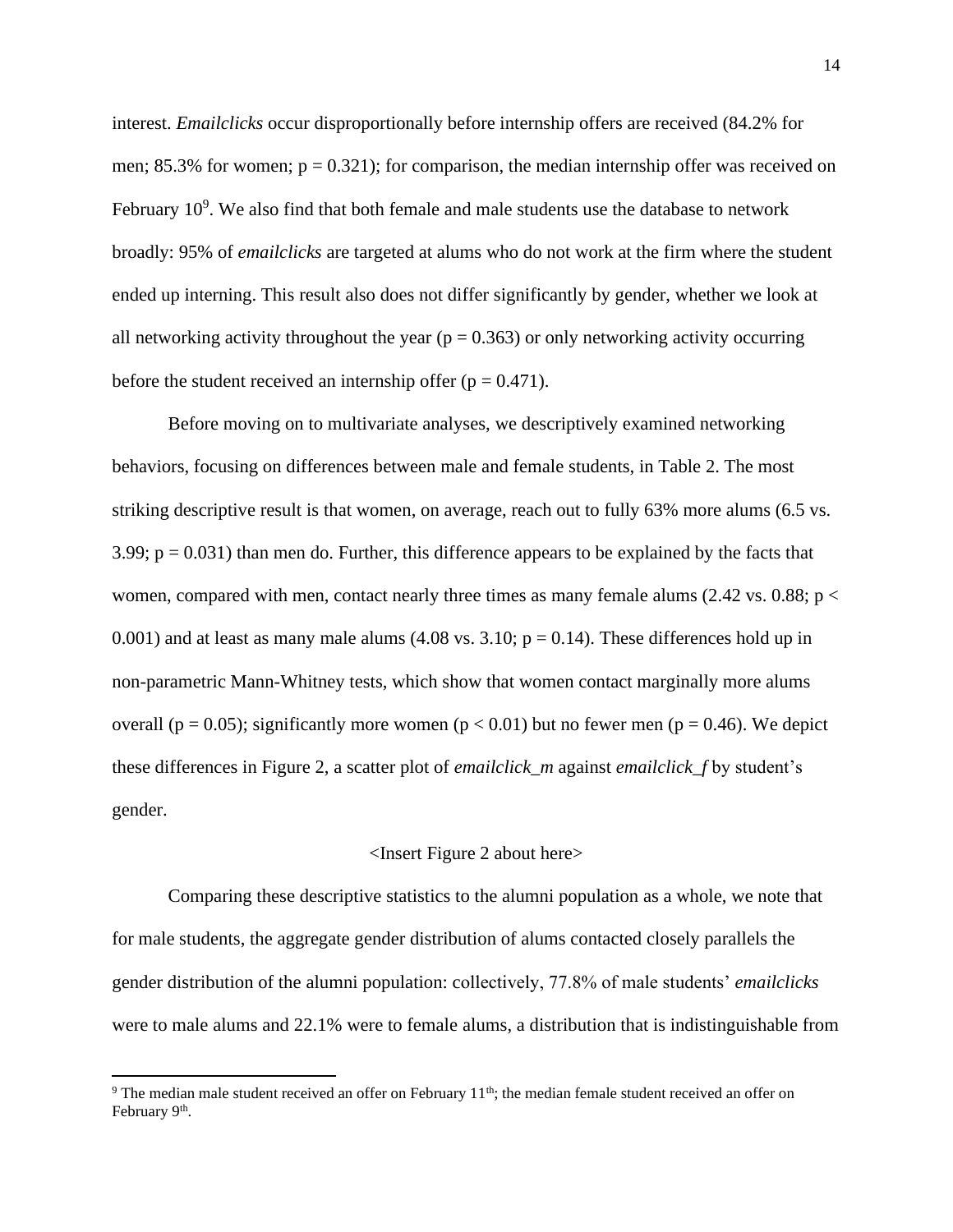interest. *Emailclicks* occur disproportionally before internship offers are received (84.2% for men;  $85.3\%$  for women;  $p = 0.321$ ; for comparison, the median internship offer was received on February  $10^9$ . We also find that both female and male students use the database to network broadly: 95% of *emailclicks* are targeted at alums who do not work at the firm where the student ended up interning. This result also does not differ significantly by gender, whether we look at all networking activity throughout the year ( $p = 0.363$ ) or only networking activity occurring before the student received an internship offer  $(p = 0.471)$ .

Before moving on to multivariate analyses, we descriptively examined networking behaviors, focusing on differences between male and female students, in Table 2. The most striking descriptive result is that women, on average, reach out to fully 63% more alums (6.5 vs. 3.99;  $p = 0.031$ ) than men do. Further, this difference appears to be explained by the facts that women, compared with men, contact nearly three times as many female alums  $(2.42 \text{ vs. } 0.88; \text{ p} <$ 0.001) and at least as many male alums  $(4.08 \text{ vs. } 3.10; \text{ p} = 0.14)$ . These differences hold up in non-parametric Mann-Whitney tests, which show that women contact marginally more alums overall ( $p = 0.05$ ); significantly more women ( $p < 0.01$ ) but no fewer men ( $p = 0.46$ ). We depict these differences in Figure 2, a scatter plot of *emailclick\_m* against *emailclick\_f* by student's gender.

#### <Insert Figure 2 about here>

Comparing these descriptive statistics to the alumni population as a whole, we note that for male students, the aggregate gender distribution of alums contacted closely parallels the gender distribution of the alumni population: collectively, 77.8% of male students' *emailclicks* were to male alums and 22.1% were to female alums, a distribution that is indistinguishable from

 $9$  The median male student received an offer on February 11<sup>th</sup>; the median female student received an offer on February 9<sup>th</sup>.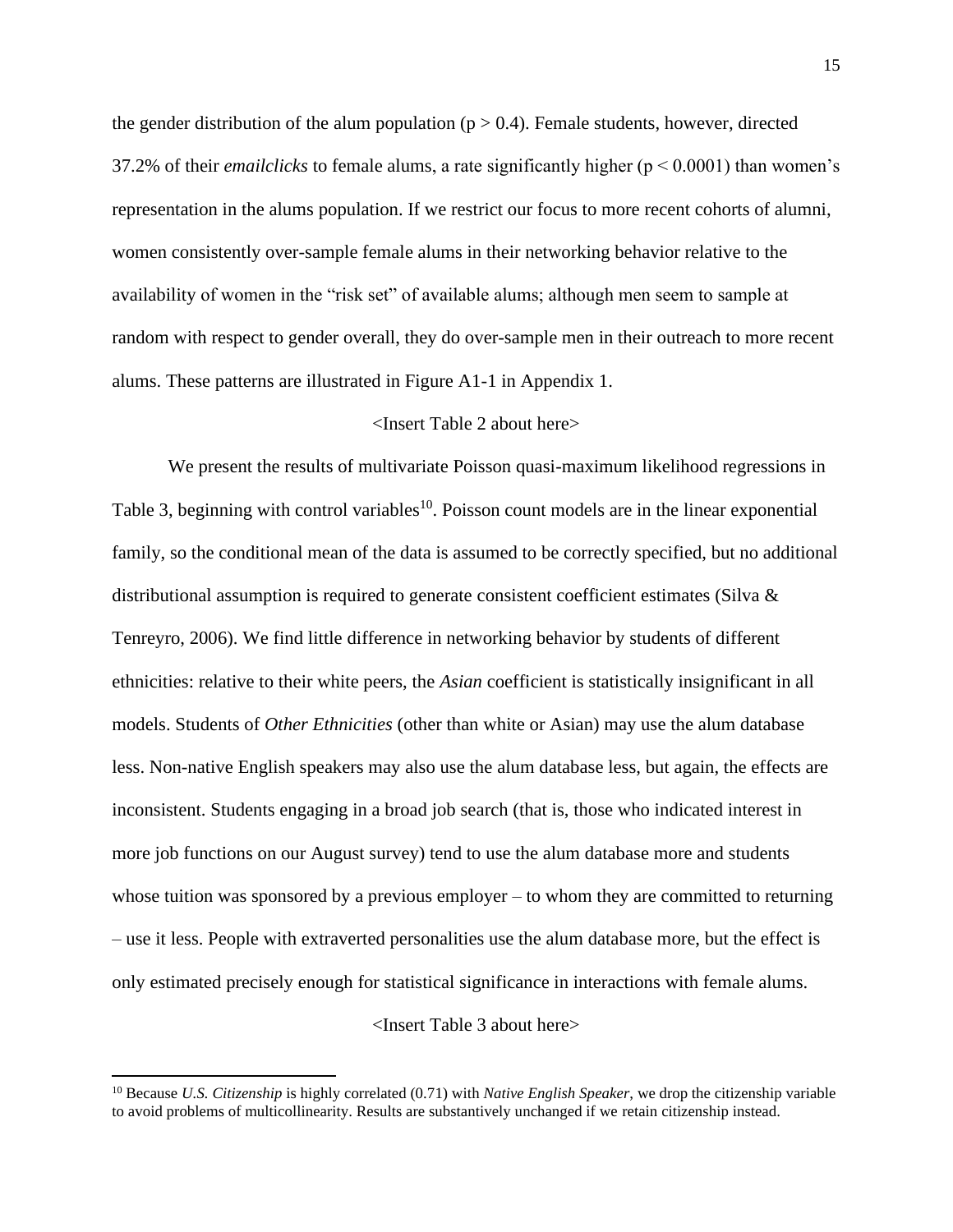the gender distribution of the alum population ( $p > 0.4$ ). Female students, however, directed 37.2% of their *emailclicks* to female alums, a rate significantly higher ( $p < 0.0001$ ) than women's representation in the alums population. If we restrict our focus to more recent cohorts of alumni, women consistently over-sample female alums in their networking behavior relative to the availability of women in the "risk set" of available alums; although men seem to sample at random with respect to gender overall, they do over-sample men in their outreach to more recent alums. These patterns are illustrated in Figure A1-1 in Appendix 1.

#### <Insert Table 2 about here>

We present the results of multivariate Poisson quasi-maximum likelihood regressions in Table 3, beginning with control variables<sup>10</sup>. Poisson count models are in the linear exponential family, so the conditional mean of the data is assumed to be correctly specified, but no additional distributional assumption is required to generate consistent coefficient estimates (Silva & Tenreyro, 2006). We find little difference in networking behavior by students of different ethnicities: relative to their white peers, the *Asian* coefficient is statistically insignificant in all models. Students of *Other Ethnicities* (other than white or Asian) may use the alum database less. Non-native English speakers may also use the alum database less, but again, the effects are inconsistent. Students engaging in a broad job search (that is, those who indicated interest in more job functions on our August survey) tend to use the alum database more and students whose tuition was sponsored by a previous employer – to whom they are committed to returning – use it less. People with extraverted personalities use the alum database more, but the effect is only estimated precisely enough for statistical significance in interactions with female alums.

<Insert Table 3 about here>

<sup>10</sup> Because *U.S. Citizenship* is highly correlated (0.71) with *Native English Speaker*, we drop the citizenship variable to avoid problems of multicollinearity. Results are substantively unchanged if we retain citizenship instead.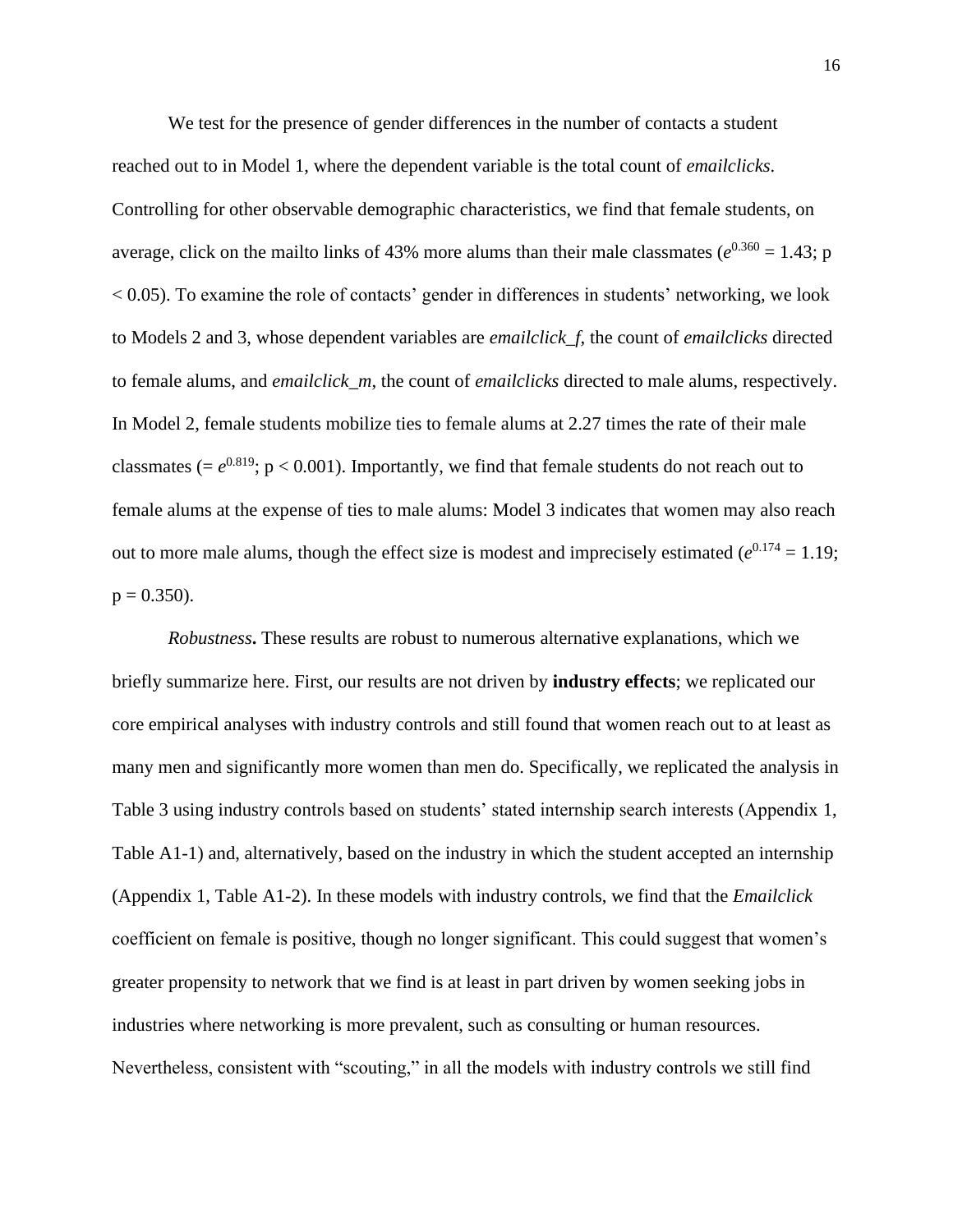We test for the presence of gender differences in the number of contacts a student reached out to in Model 1, where the dependent variable is the total count of *emailclicks*. Controlling for other observable demographic characteristics, we find that female students, on average, click on the mailto links of 43% more alums than their male classmates ( $e^{0.360}$  = 1.43; p  $< 0.05$ ). To examine the role of contacts' gender in differences in students' networking, we look to Models 2 and 3, whose dependent variables are *emailclick\_f*, the count of *emailclicks* directed to female alums, and *emailclick\_m*, the count of *emailclicks* directed to male alums, respectively. In Model 2, female students mobilize ties to female alums at 2.27 times the rate of their male classmates ( $= e^{0.819}$ ;  $p < 0.001$ ). Importantly, we find that female students do not reach out to female alums at the expense of ties to male alums: Model 3 indicates that women may also reach out to more male alums, though the effect size is modest and imprecisely estimated  $(e^{0.174} = 1.19)$ ;  $p = 0.350$ .

*Robustness***.** These results are robust to numerous alternative explanations, which we briefly summarize here. First, our results are not driven by **industry effects**; we replicated our core empirical analyses with industry controls and still found that women reach out to at least as many men and significantly more women than men do. Specifically, we replicated the analysis in Table 3 using industry controls based on students' stated internship search interests (Appendix 1, Table A1-1) and, alternatively, based on the industry in which the student accepted an internship (Appendix 1, Table A1-2). In these models with industry controls, we find that the *Emailclick* coefficient on female is positive, though no longer significant. This could suggest that women's greater propensity to network that we find is at least in part driven by women seeking jobs in industries where networking is more prevalent, such as consulting or human resources. Nevertheless, consistent with "scouting," in all the models with industry controls we still find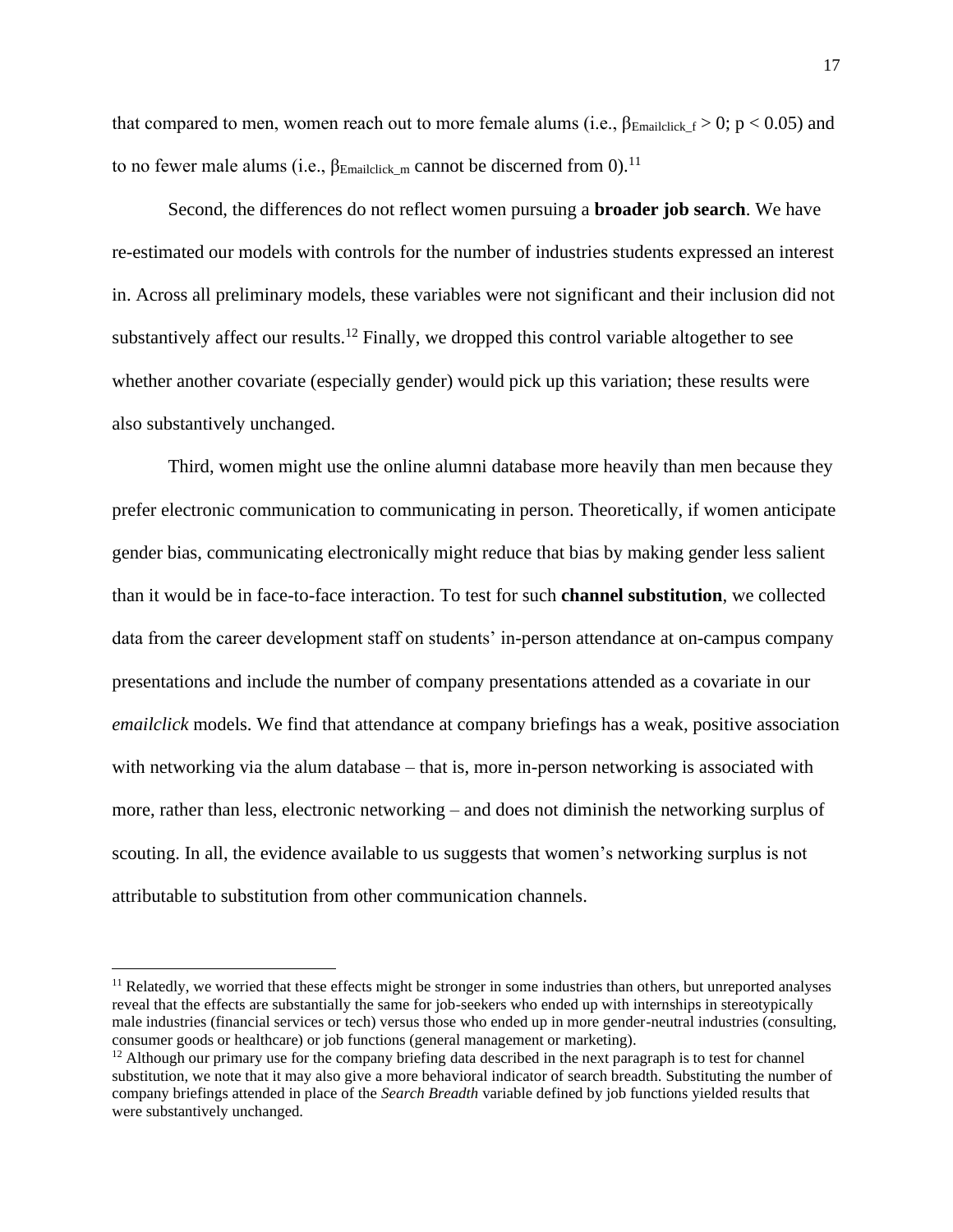that compared to men, women reach out to more female alums (i.e.,  $\beta_{\text{Emailclick}\_f} > 0$ ; p < 0.05) and to no fewer male alums (i.e., β<sub>Emailclick</sub> <sub>m</sub> cannot be discerned from 0).<sup>11</sup>

Second, the differences do not reflect women pursuing a **broader job search**. We have re-estimated our models with controls for the number of industries students expressed an interest in. Across all preliminary models, these variables were not significant and their inclusion did not substantively affect our results.<sup>12</sup> Finally, we dropped this control variable altogether to see whether another covariate (especially gender) would pick up this variation; these results were also substantively unchanged.

Third, women might use the online alumni database more heavily than men because they prefer electronic communication to communicating in person. Theoretically, if women anticipate gender bias, communicating electronically might reduce that bias by making gender less salient than it would be in face-to-face interaction. To test for such **channel substitution**, we collected data from the career development staff on students' in-person attendance at on-campus company presentations and include the number of company presentations attended as a covariate in our *emailclick* models. We find that attendance at company briefings has a weak, positive association with networking via the alum database – that is, more in-person networking is associated with more, rather than less, electronic networking – and does not diminish the networking surplus of scouting. In all, the evidence available to us suggests that women's networking surplus is not attributable to substitution from other communication channels.

 $<sup>11</sup>$  Relatedly, we worried that these effects might be stronger in some industries than others, but unreported analyses</sup> reveal that the effects are substantially the same for job-seekers who ended up with internships in stereotypically male industries (financial services or tech) versus those who ended up in more gender-neutral industries (consulting, consumer goods or healthcare) or job functions (general management or marketing).

 $12$  Although our primary use for the company briefing data described in the next paragraph is to test for channel substitution, we note that it may also give a more behavioral indicator of search breadth. Substituting the number of company briefings attended in place of the *Search Breadth* variable defined by job functions yielded results that were substantively unchanged.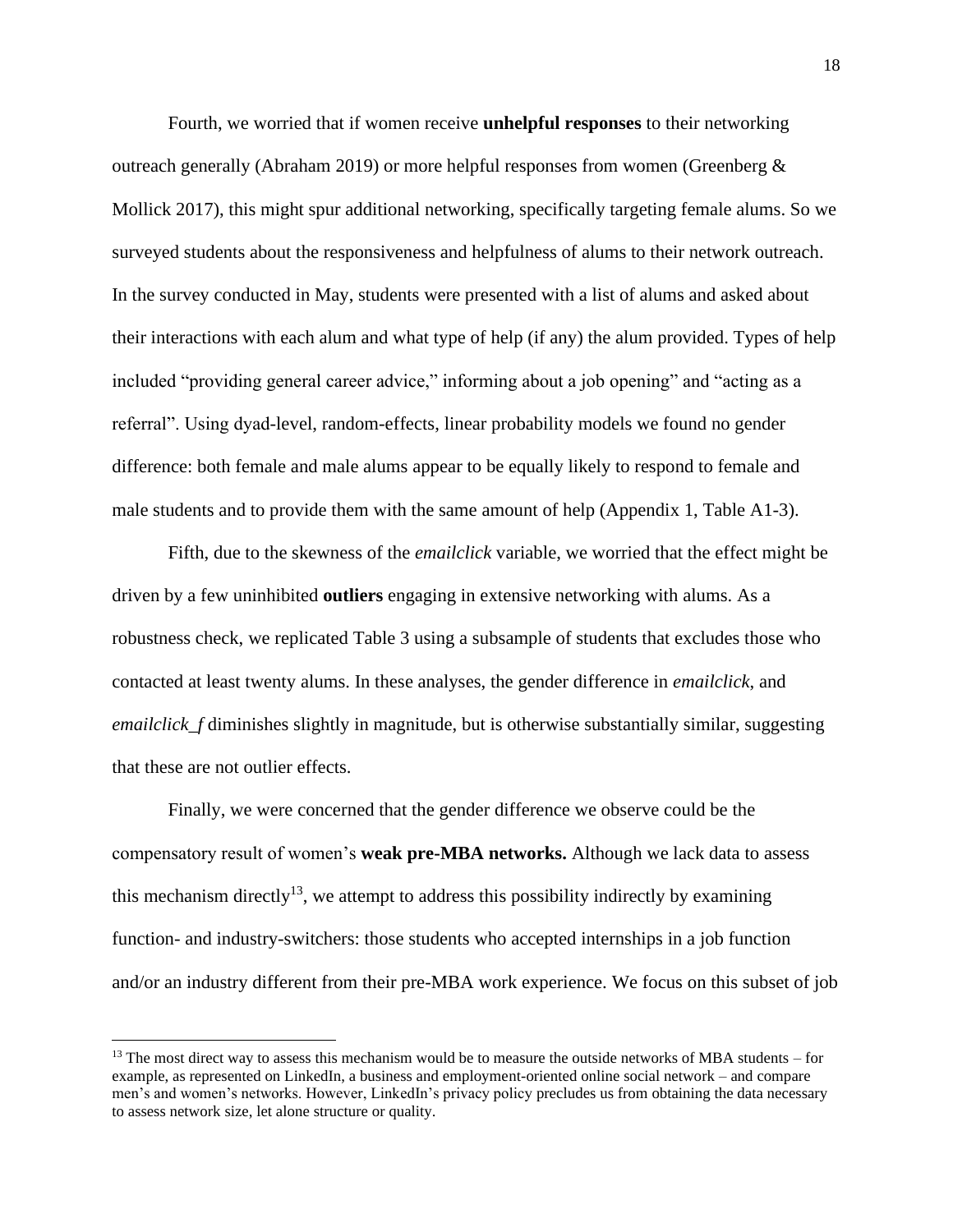Fourth, we worried that if women receive **unhelpful responses** to their networking outreach generally (Abraham 2019) or more helpful responses from women (Greenberg & Mollick 2017), this might spur additional networking, specifically targeting female alums. So we surveyed students about the responsiveness and helpfulness of alums to their network outreach. In the survey conducted in May, students were presented with a list of alums and asked about their interactions with each alum and what type of help (if any) the alum provided. Types of help included "providing general career advice," informing about a job opening" and "acting as a referral". Using dyad-level, random-effects, linear probability models we found no gender difference: both female and male alums appear to be equally likely to respond to female and male students and to provide them with the same amount of help (Appendix 1, Table A1-3).

Fifth, due to the skewness of the *emailclick* variable, we worried that the effect might be driven by a few uninhibited **outliers** engaging in extensive networking with alums. As a robustness check, we replicated Table 3 using a subsample of students that excludes those who contacted at least twenty alums. In these analyses, the gender difference in *emailclick*, and *emailclick\_f* diminishes slightly in magnitude, but is otherwise substantially similar, suggesting that these are not outlier effects.

Finally, we were concerned that the gender difference we observe could be the compensatory result of women's **weak pre-MBA networks.** Although we lack data to assess this mechanism directly<sup>13</sup>, we attempt to address this possibility indirectly by examining function- and industry-switchers: those students who accepted internships in a job function and/or an industry different from their pre-MBA work experience. We focus on this subset of job

 $13$  The most direct way to assess this mechanism would be to measure the outside networks of MBA students – for example, as represented on LinkedIn, a business and employment-oriented online social network – and compare men's and women's networks. However, LinkedIn's privacy policy precludes us from obtaining the data necessary to assess network size, let alone structure or quality.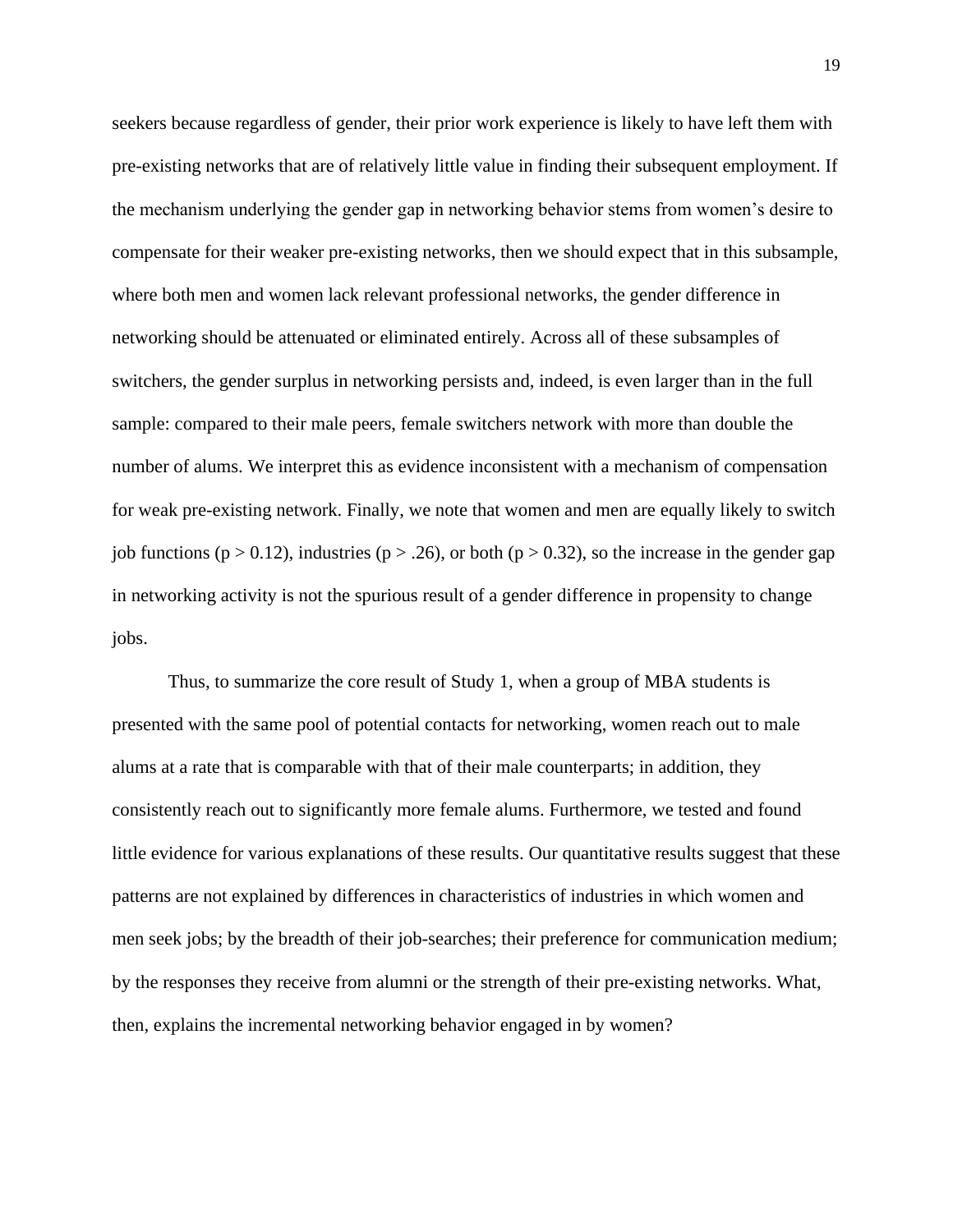seekers because regardless of gender, their prior work experience is likely to have left them with pre-existing networks that are of relatively little value in finding their subsequent employment. If the mechanism underlying the gender gap in networking behavior stems from women's desire to compensate for their weaker pre-existing networks, then we should expect that in this subsample, where both men and women lack relevant professional networks, the gender difference in networking should be attenuated or eliminated entirely. Across all of these subsamples of switchers, the gender surplus in networking persists and, indeed, is even larger than in the full sample: compared to their male peers, female switchers network with more than double the number of alums. We interpret this as evidence inconsistent with a mechanism of compensation for weak pre-existing network. Finally, we note that women and men are equally likely to switch job functions ( $p > 0.12$ ), industries ( $p > .26$ ), or both ( $p > 0.32$ ), so the increase in the gender gap in networking activity is not the spurious result of a gender difference in propensity to change jobs.

Thus, to summarize the core result of Study 1, when a group of MBA students is presented with the same pool of potential contacts for networking, women reach out to male alums at a rate that is comparable with that of their male counterparts; in addition, they consistently reach out to significantly more female alums. Furthermore, we tested and found little evidence for various explanations of these results. Our quantitative results suggest that these patterns are not explained by differences in characteristics of industries in which women and men seek jobs; by the breadth of their job-searches; their preference for communication medium; by the responses they receive from alumni or the strength of their pre-existing networks. What, then, explains the incremental networking behavior engaged in by women?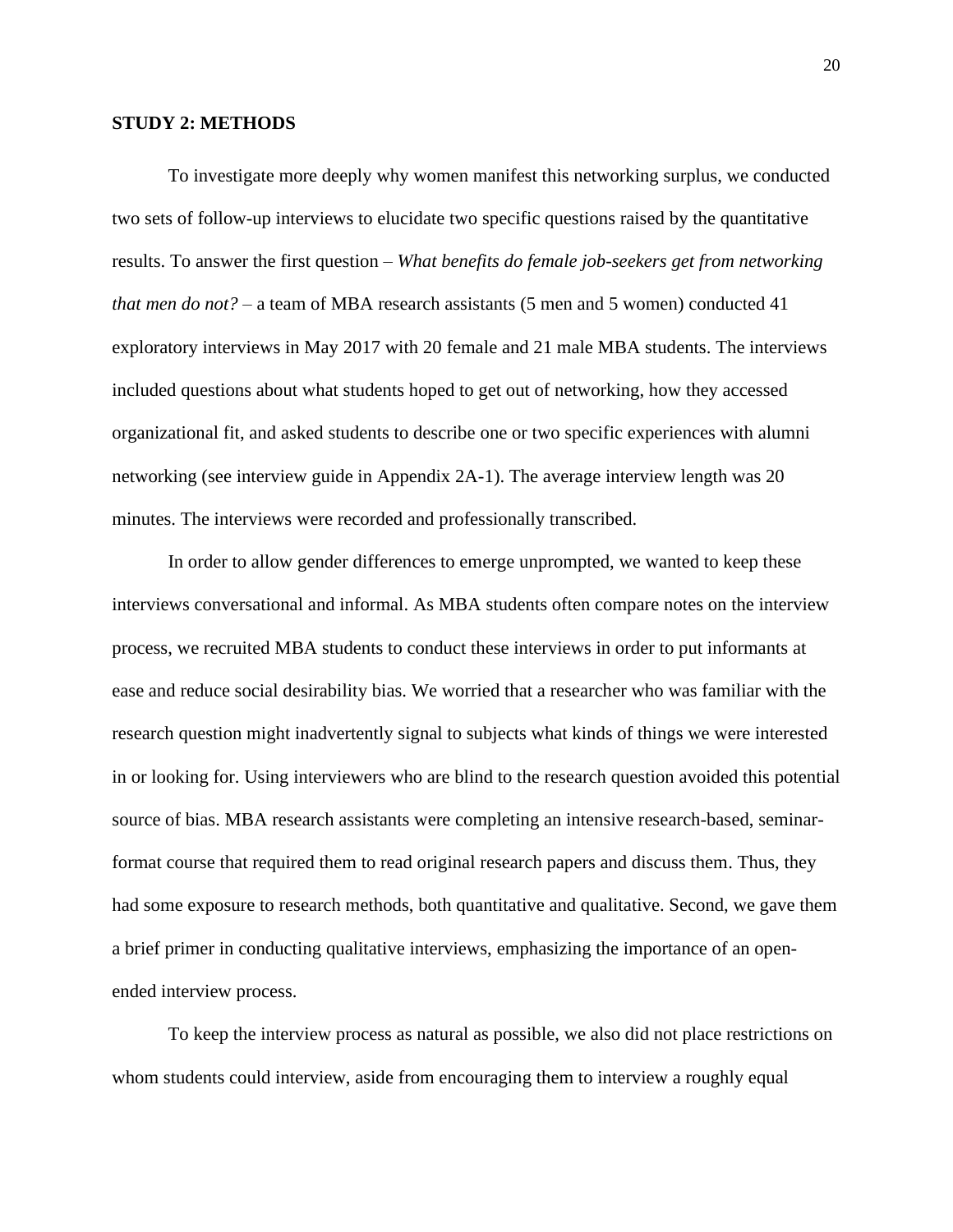#### **STUDY 2: METHODS**

To investigate more deeply why women manifest this networking surplus, we conducted two sets of follow-up interviews to elucidate two specific questions raised by the quantitative results. To answer the first question – *What benefits do female job-seekers get from networking that men do not?* – a team of MBA research assistants (5 men and 5 women) conducted 41 exploratory interviews in May 2017 with 20 female and 21 male MBA students. The interviews included questions about what students hoped to get out of networking, how they accessed organizational fit, and asked students to describe one or two specific experiences with alumni networking (see interview guide in Appendix 2A-1). The average interview length was 20 minutes. The interviews were recorded and professionally transcribed.

In order to allow gender differences to emerge unprompted, we wanted to keep these interviews conversational and informal. As MBA students often compare notes on the interview process, we recruited MBA students to conduct these interviews in order to put informants at ease and reduce social desirability bias. We worried that a researcher who was familiar with the research question might inadvertently signal to subjects what kinds of things we were interested in or looking for. Using interviewers who are blind to the research question avoided this potential source of bias. MBA research assistants were completing an intensive research-based, seminarformat course that required them to read original research papers and discuss them. Thus, they had some exposure to research methods, both quantitative and qualitative. Second, we gave them a brief primer in conducting qualitative interviews, emphasizing the importance of an openended interview process.

To keep the interview process as natural as possible, we also did not place restrictions on whom students could interview, aside from encouraging them to interview a roughly equal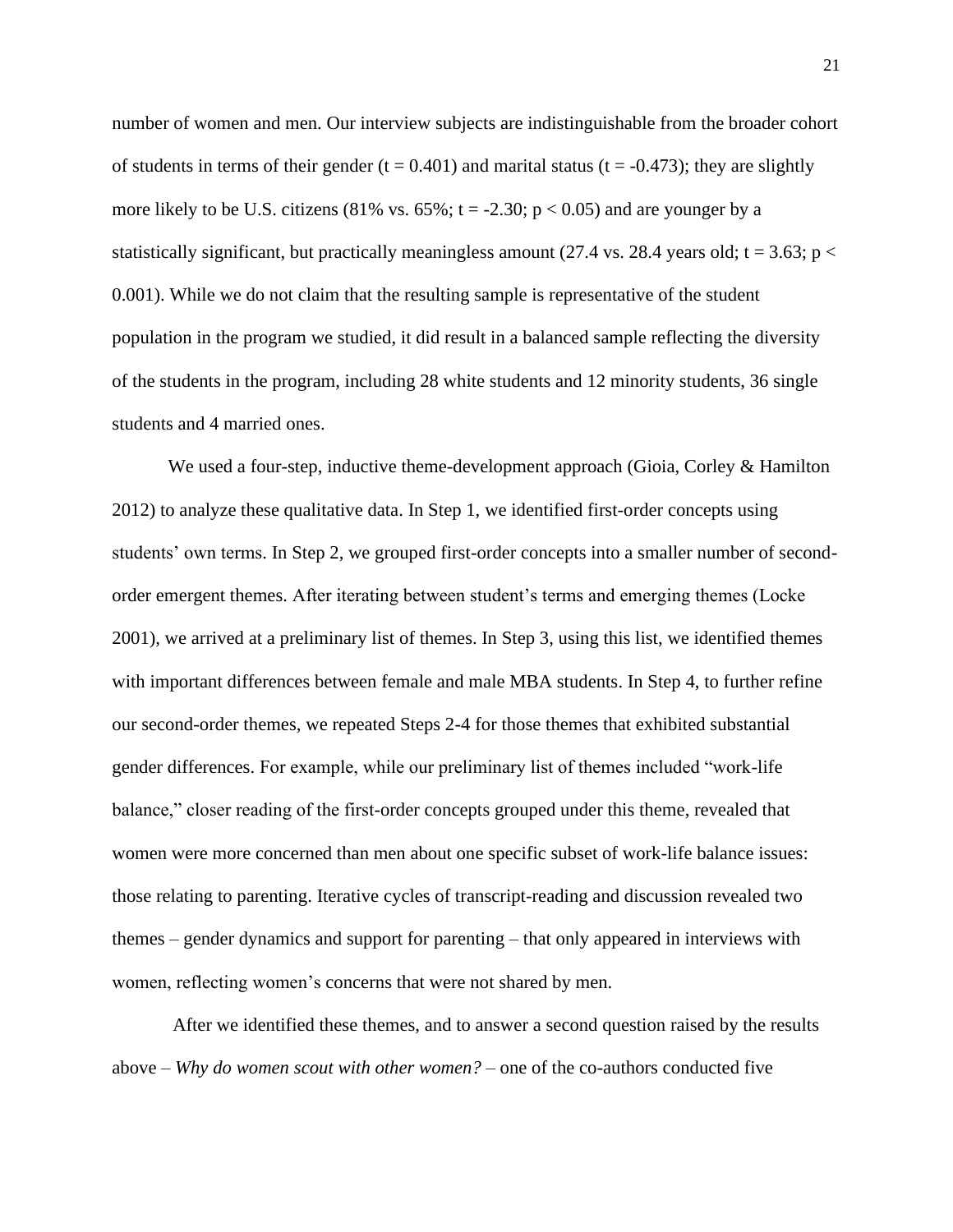number of women and men. Our interview subjects are indistinguishable from the broader cohort of students in terms of their gender  $(t = 0.401)$  and marital status  $(t = -0.473)$ ; they are slightly more likely to be U.S. citizens  $(81\% \text{ vs. } 65\%; t = -2.30; p < 0.05)$  and are younger by a statistically significant, but practically meaningless amount (27.4 vs. 28.4 years old;  $t = 3.63$ ;  $p <$ 0.001). While we do not claim that the resulting sample is representative of the student population in the program we studied, it did result in a balanced sample reflecting the diversity of the students in the program, including 28 white students and 12 minority students, 36 single students and 4 married ones.

We used a four-step, inductive theme-development approach (Gioia, Corley & Hamilton 2012) to analyze these qualitative data. In Step 1, we identified first-order concepts using students' own terms. In Step 2, we grouped first-order concepts into a smaller number of secondorder emergent themes. After iterating between student's terms and emerging themes (Locke 2001), we arrived at a preliminary list of themes. In Step 3, using this list, we identified themes with important differences between female and male MBA students. In Step 4, to further refine our second-order themes, we repeated Steps 2-4 for those themes that exhibited substantial gender differences. For example, while our preliminary list of themes included "work-life balance," closer reading of the first-order concepts grouped under this theme, revealed that women were more concerned than men about one specific subset of work-life balance issues: those relating to parenting. Iterative cycles of transcript-reading and discussion revealed two themes – gender dynamics and support for parenting – that only appeared in interviews with women, reflecting women's concerns that were not shared by men.

After we identified these themes, and to answer a second question raised by the results above – *Why do women scout with other women?* – one of the co-authors conducted five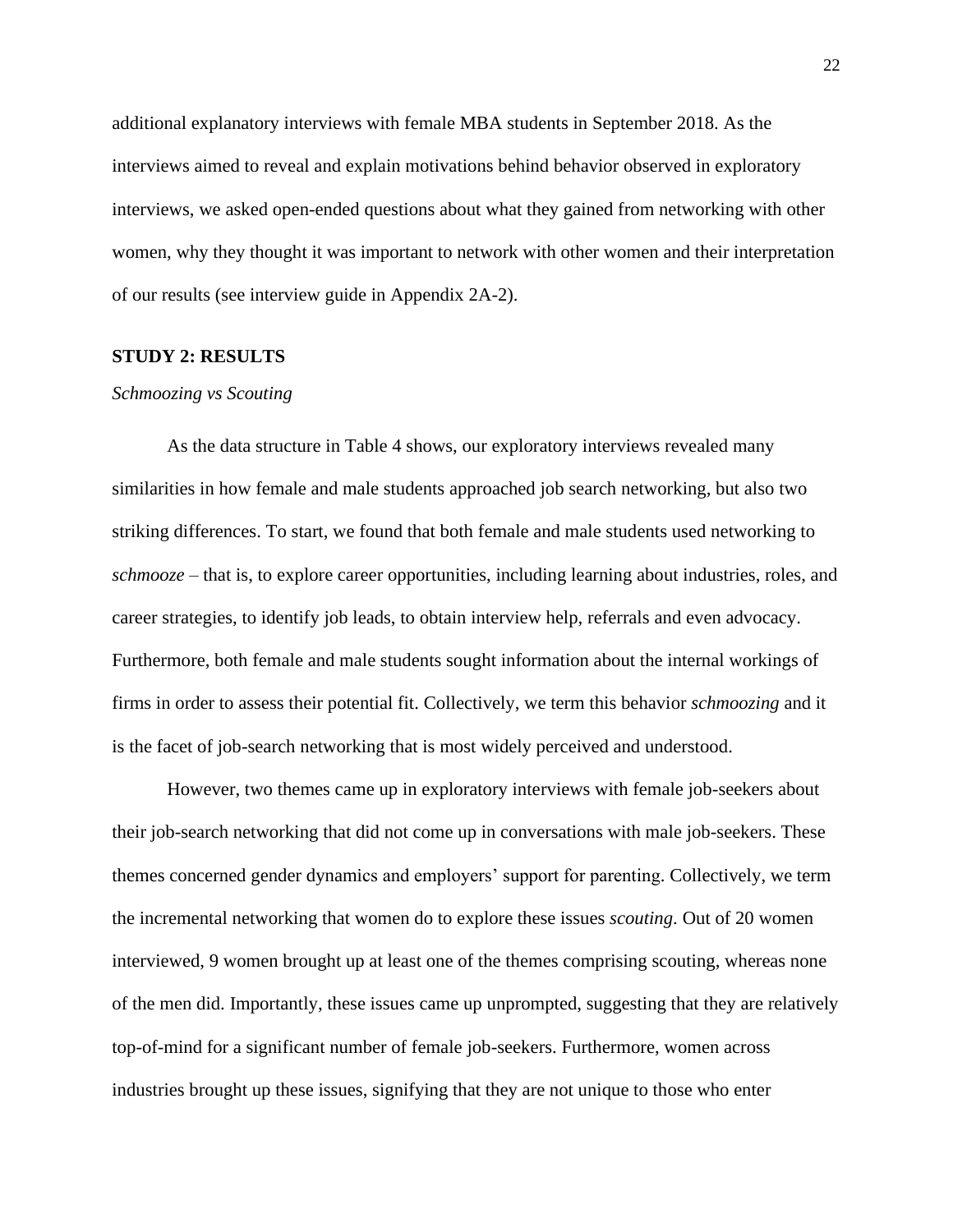additional explanatory interviews with female MBA students in September 2018. As the interviews aimed to reveal and explain motivations behind behavior observed in exploratory interviews, we asked open-ended questions about what they gained from networking with other women, why they thought it was important to network with other women and their interpretation of our results (see interview guide in Appendix 2A-2).

#### **STUDY 2: RESULTS**

#### *Schmoozing vs Scouting*

As the data structure in Table 4 shows, our exploratory interviews revealed many similarities in how female and male students approached job search networking, but also two striking differences. To start, we found that both female and male students used networking to *schmooze* – that is, to explore career opportunities, including learning about industries, roles, and career strategies, to identify job leads, to obtain interview help, referrals and even advocacy. Furthermore, both female and male students sought information about the internal workings of firms in order to assess their potential fit. Collectively, we term this behavior *schmoozing* and it is the facet of job-search networking that is most widely perceived and understood.

However, two themes came up in exploratory interviews with female job-seekers about their job-search networking that did not come up in conversations with male job-seekers. These themes concerned gender dynamics and employers' support for parenting. Collectively, we term the incremental networking that women do to explore these issues *scouting*. Out of 20 women interviewed, 9 women brought up at least one of the themes comprising scouting, whereas none of the men did. Importantly, these issues came up unprompted, suggesting that they are relatively top-of-mind for a significant number of female job-seekers. Furthermore, women across industries brought up these issues, signifying that they are not unique to those who enter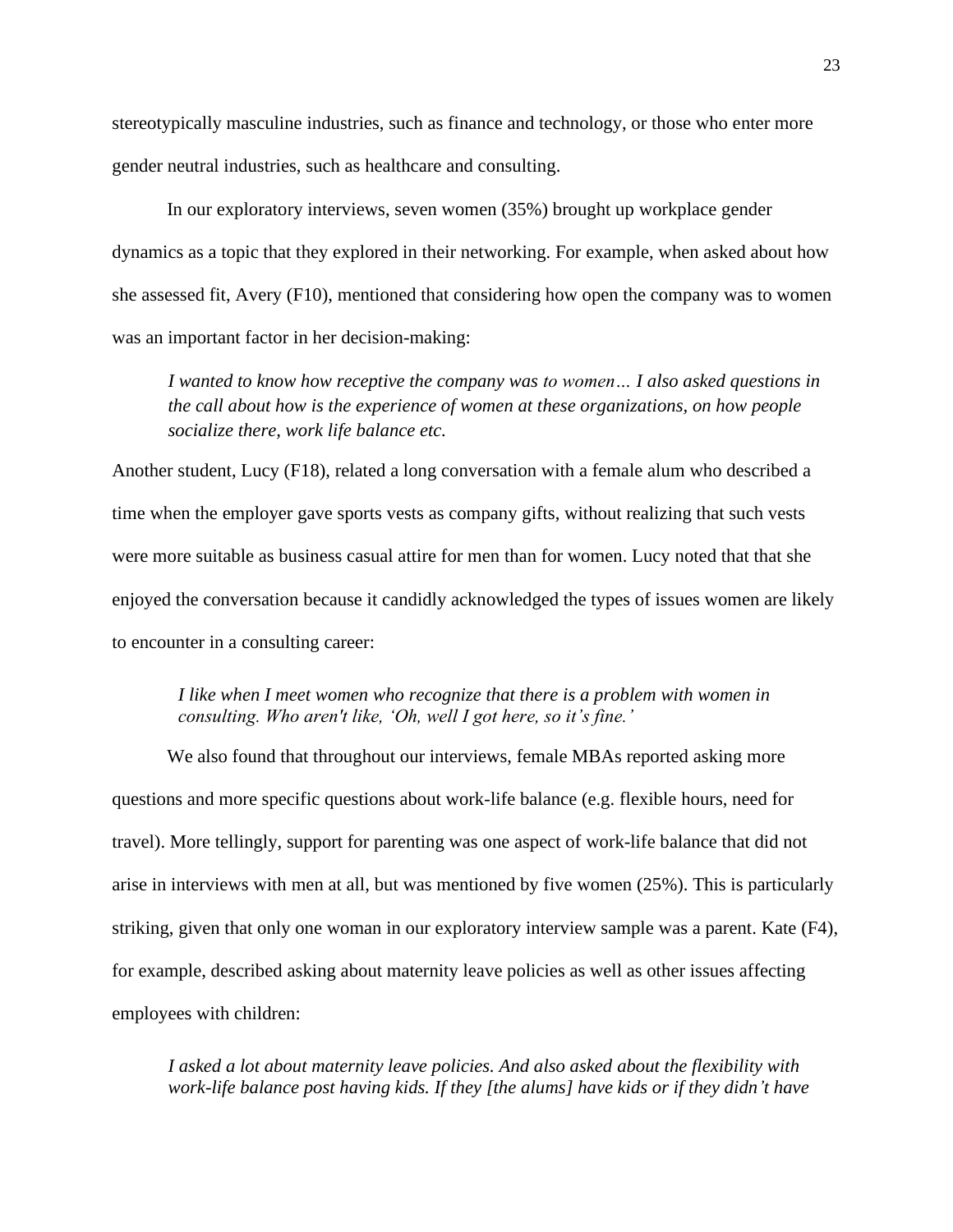stereotypically masculine industries, such as finance and technology, or those who enter more gender neutral industries, such as healthcare and consulting.

In our exploratory interviews, seven women (35%) brought up workplace gender dynamics as a topic that they explored in their networking. For example, when asked about how she assessed fit, Avery (F10), mentioned that considering how open the company was to women was an important factor in her decision-making:

*I wanted to know how receptive the company was to women… I also asked questions in the call about how is the experience of women at these organizations, on how people socialize there, work life balance etc.*

Another student, Lucy (F18), related a long conversation with a female alum who described a time when the employer gave sports vests as company gifts, without realizing that such vests were more suitable as business casual attire for men than for women. Lucy noted that that she enjoyed the conversation because it candidly acknowledged the types of issues women are likely to encounter in a consulting career:

## *I like when I meet women who recognize that there is a problem with women in consulting. Who aren't like, 'Oh, well I got here, so it's fine.'*

We also found that throughout our interviews, female MBAs reported asking more questions and more specific questions about work-life balance (e.g. flexible hours, need for travel). More tellingly, support for parenting was one aspect of work-life balance that did not arise in interviews with men at all, but was mentioned by five women (25%). This is particularly striking, given that only one woman in our exploratory interview sample was a parent. Kate (F4), for example, described asking about maternity leave policies as well as other issues affecting employees with children:

*I asked a lot about maternity leave policies. And also asked about the flexibility with work-life balance post having kids. If they [the alums] have kids or if they didn't have*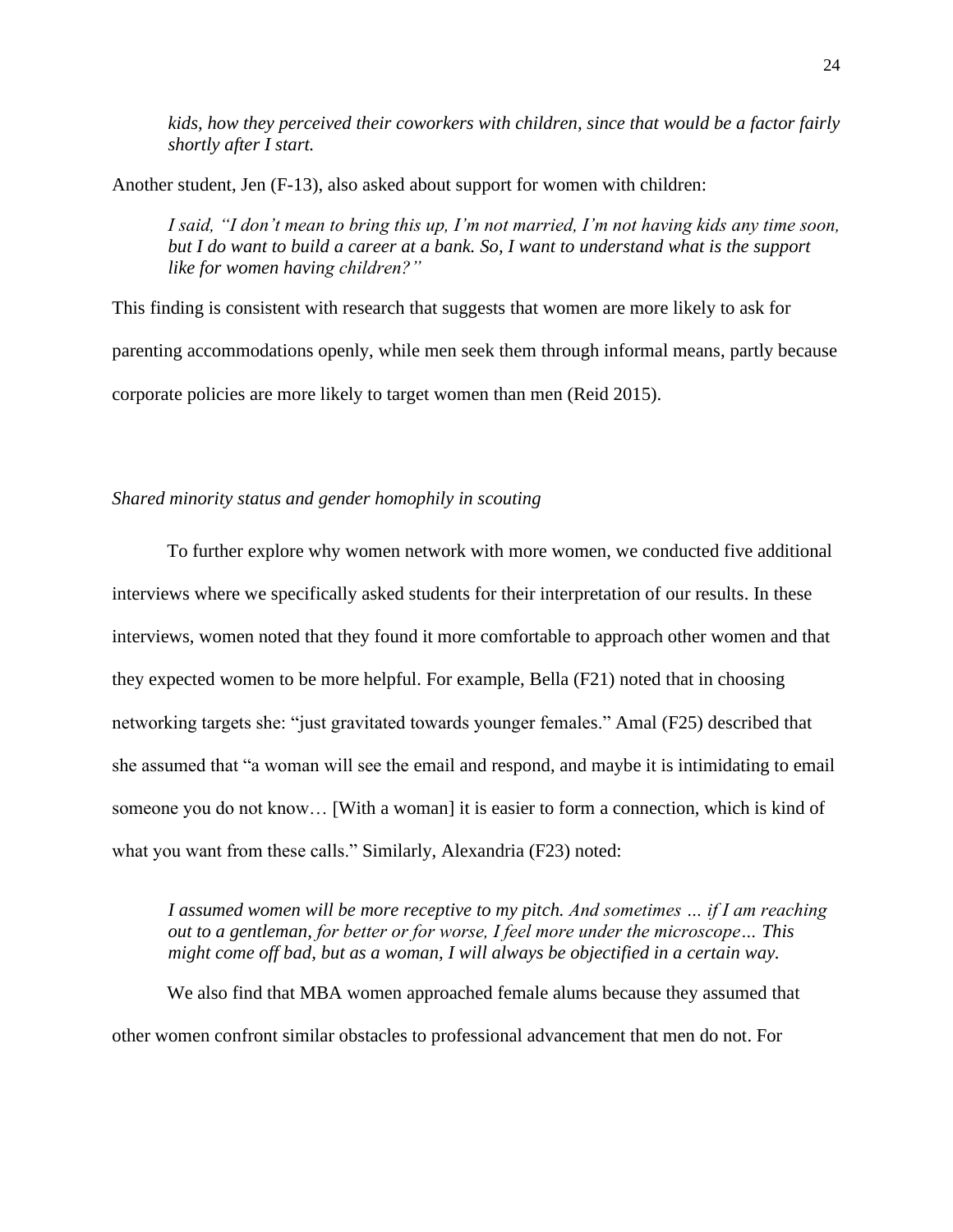*kids, how they perceived their coworkers with children, since that would be a factor fairly shortly after I start.* 

Another student, Jen (F-13), also asked about support for women with children:

*I said, "I don't mean to bring this up, I'm not married, I'm not having kids any time soon, but I do want to build a career at a bank. So, I want to understand what is the support like for women having children?"*

This finding is consistent with research that suggests that women are more likely to ask for parenting accommodations openly, while men seek them through informal means, partly because corporate policies are more likely to target women than men (Reid 2015).

### *Shared minority status and gender homophily in scouting*

To further explore why women network with more women, we conducted five additional interviews where we specifically asked students for their interpretation of our results. In these interviews, women noted that they found it more comfortable to approach other women and that they expected women to be more helpful. For example, Bella (F21) noted that in choosing networking targets she: "just gravitated towards younger females." Amal (F25) described that she assumed that "a woman will see the email and respond, and maybe it is intimidating to email someone you do not know… [With a woman] it is easier to form a connection, which is kind of what you want from these calls." Similarly, Alexandria (F23) noted:

*I assumed women will be more receptive to my pitch. And sometimes … if I am reaching out to a gentleman, for better or for worse, I feel more under the microscope… This might come off bad, but as a woman, I will always be objectified in a certain way.*

We also find that MBA women approached female alums because they assumed that other women confront similar obstacles to professional advancement that men do not. For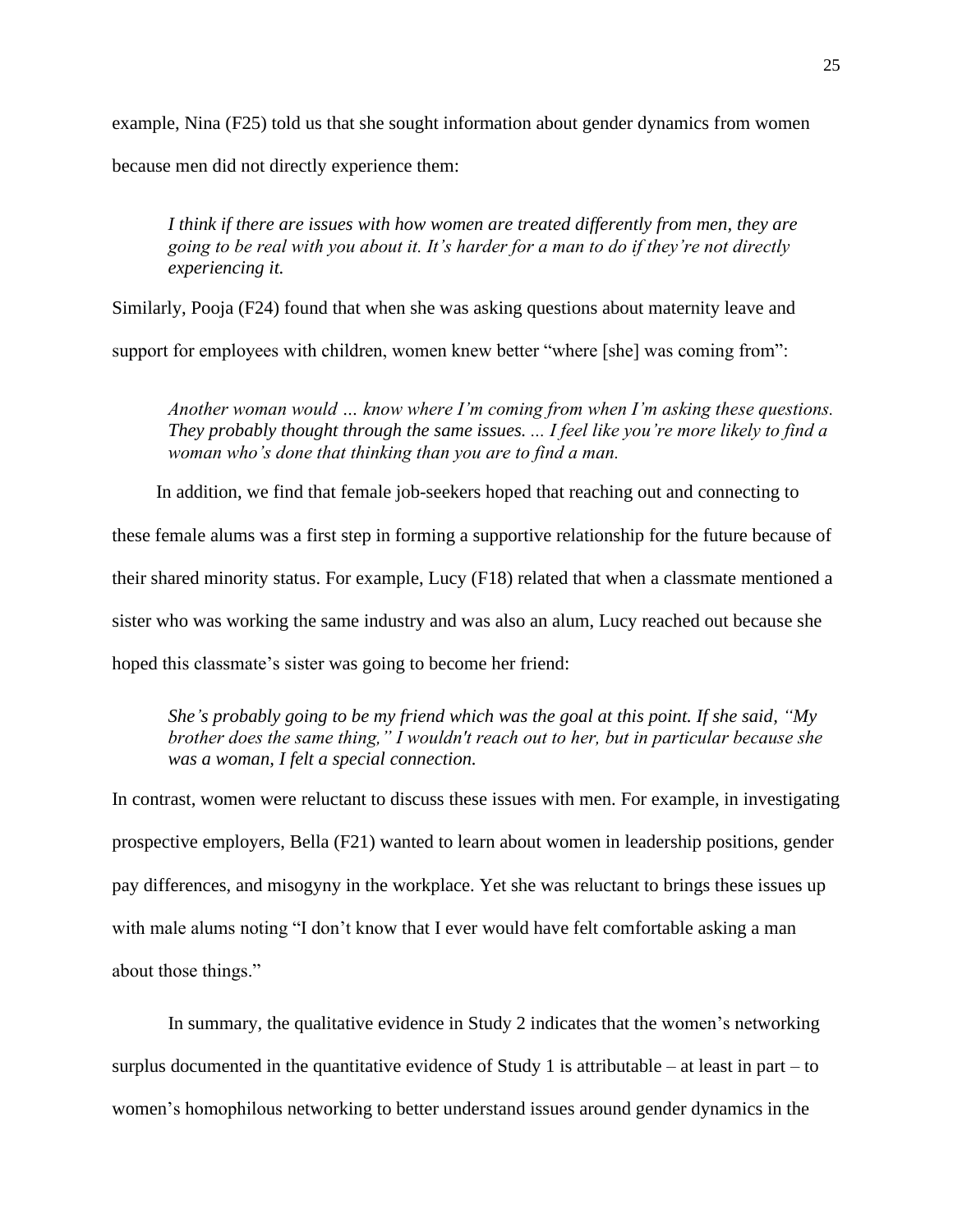example, Nina (F25) told us that she sought information about gender dynamics from women

because men did not directly experience them:

*I think if there are issues with how women are treated differently from men, they are going to be real with you about it. It's harder for a man to do if they're not directly experiencing it.*

Similarly, Pooja (F24) found that when she was asking questions about maternity leave and

support for employees with children, women knew better "where [she] was coming from":

*Another woman would … know where I'm coming from when I'm asking these questions. They probably thought through the same issues. ... I feel like you're more likely to find a woman who's done that thinking than you are to find a man.*

In addition, we find that female job-seekers hoped that reaching out and connecting to these female alums was a first step in forming a supportive relationship for the future because of their shared minority status. For example, Lucy (F18) related that when a classmate mentioned a sister who was working the same industry and was also an alum, Lucy reached out because she hoped this classmate's sister was going to become her friend:

*She's probably going to be my friend which was the goal at this point. If she said, "My brother does the same thing," I wouldn't reach out to her, but in particular because she was a woman, I felt a special connection.* 

In contrast, women were reluctant to discuss these issues with men. For example, in investigating prospective employers, Bella (F21) wanted to learn about women in leadership positions, gender pay differences, and misogyny in the workplace. Yet she was reluctant to brings these issues up with male alums noting "I don't know that I ever would have felt comfortable asking a man about those things."

In summary, the qualitative evidence in Study 2 indicates that the women's networking surplus documented in the quantitative evidence of Study 1 is attributable – at least in part – to women's homophilous networking to better understand issues around gender dynamics in the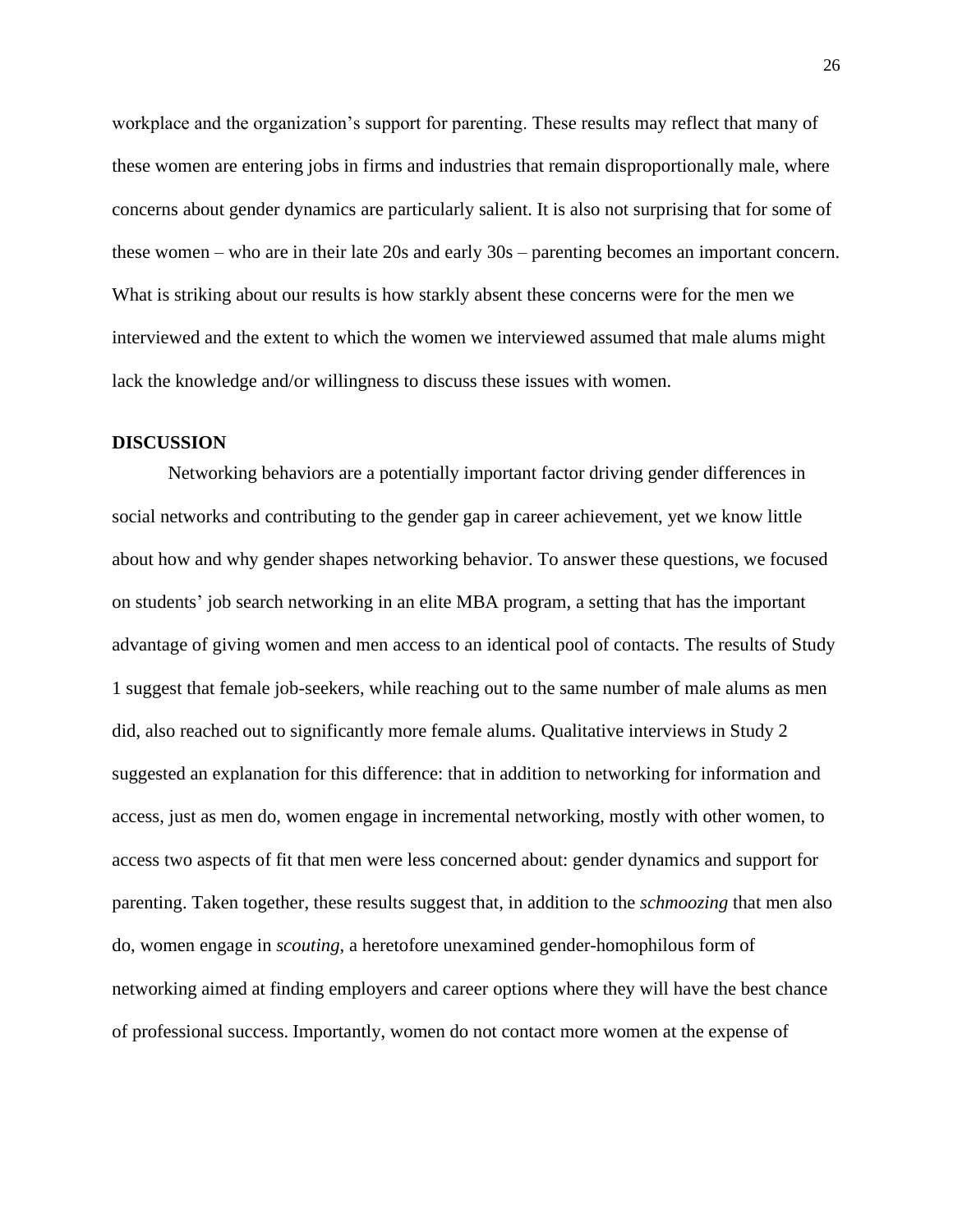workplace and the organization's support for parenting. These results may reflect that many of these women are entering jobs in firms and industries that remain disproportionally male, where concerns about gender dynamics are particularly salient. It is also not surprising that for some of these women – who are in their late 20s and early 30s – parenting becomes an important concern. What is striking about our results is how starkly absent these concerns were for the men we interviewed and the extent to which the women we interviewed assumed that male alums might lack the knowledge and/or willingness to discuss these issues with women.

#### **DISCUSSION**

Networking behaviors are a potentially important factor driving gender differences in social networks and contributing to the gender gap in career achievement, yet we know little about how and why gender shapes networking behavior. To answer these questions, we focused on students' job search networking in an elite MBA program, a setting that has the important advantage of giving women and men access to an identical pool of contacts. The results of Study 1 suggest that female job-seekers, while reaching out to the same number of male alums as men did, also reached out to significantly more female alums. Qualitative interviews in Study 2 suggested an explanation for this difference: that in addition to networking for information and access, just as men do, women engage in incremental networking, mostly with other women, to access two aspects of fit that men were less concerned about: gender dynamics and support for parenting. Taken together, these results suggest that, in addition to the *schmoozing* that men also do, women engage in *scouting*, a heretofore unexamined gender-homophilous form of networking aimed at finding employers and career options where they will have the best chance of professional success. Importantly, women do not contact more women at the expense of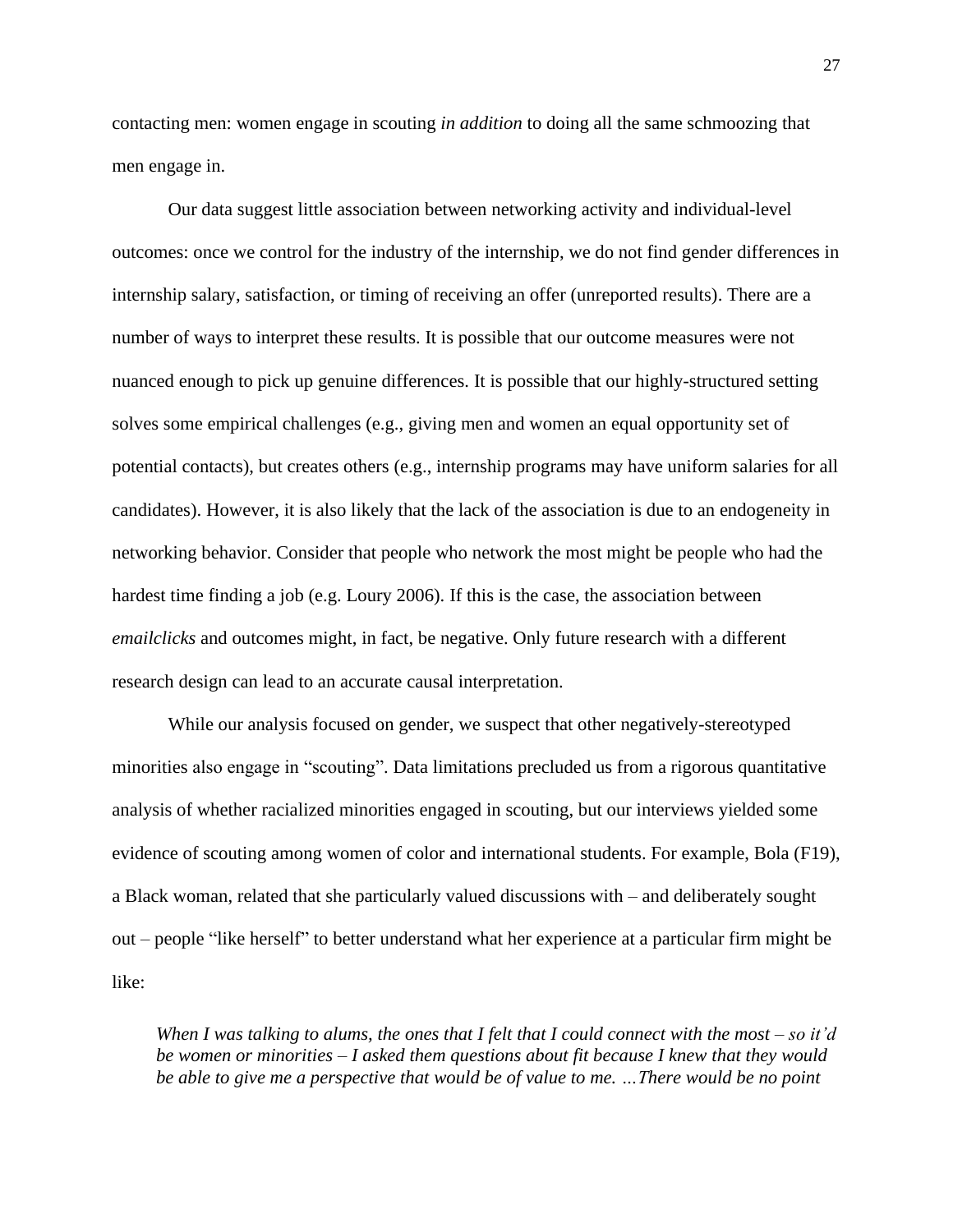contacting men: women engage in scouting *in addition* to doing all the same schmoozing that men engage in.

Our data suggest little association between networking activity and individual-level outcomes: once we control for the industry of the internship, we do not find gender differences in internship salary, satisfaction, or timing of receiving an offer (unreported results). There are a number of ways to interpret these results. It is possible that our outcome measures were not nuanced enough to pick up genuine differences. It is possible that our highly-structured setting solves some empirical challenges (e.g., giving men and women an equal opportunity set of potential contacts), but creates others (e.g., internship programs may have uniform salaries for all candidates). However, it is also likely that the lack of the association is due to an endogeneity in networking behavior. Consider that people who network the most might be people who had the hardest time finding a job (e.g. Loury 2006). If this is the case, the association between *emailclicks* and outcomes might, in fact, be negative. Only future research with a different research design can lead to an accurate causal interpretation.

While our analysis focused on gender, we suspect that other negatively-stereotyped minorities also engage in "scouting". Data limitations precluded us from a rigorous quantitative analysis of whether racialized minorities engaged in scouting, but our interviews yielded some evidence of scouting among women of color and international students. For example, Bola (F19), a Black woman, related that she particularly valued discussions with – and deliberately sought out – people "like herself" to better understand what her experience at a particular firm might be like:

*When I was talking to alums, the ones that I felt that I could connect with the most – so it'd be women or minorities* – *I asked them questions about fit because I knew that they would be able to give me a perspective that would be of value to me. …There would be no point*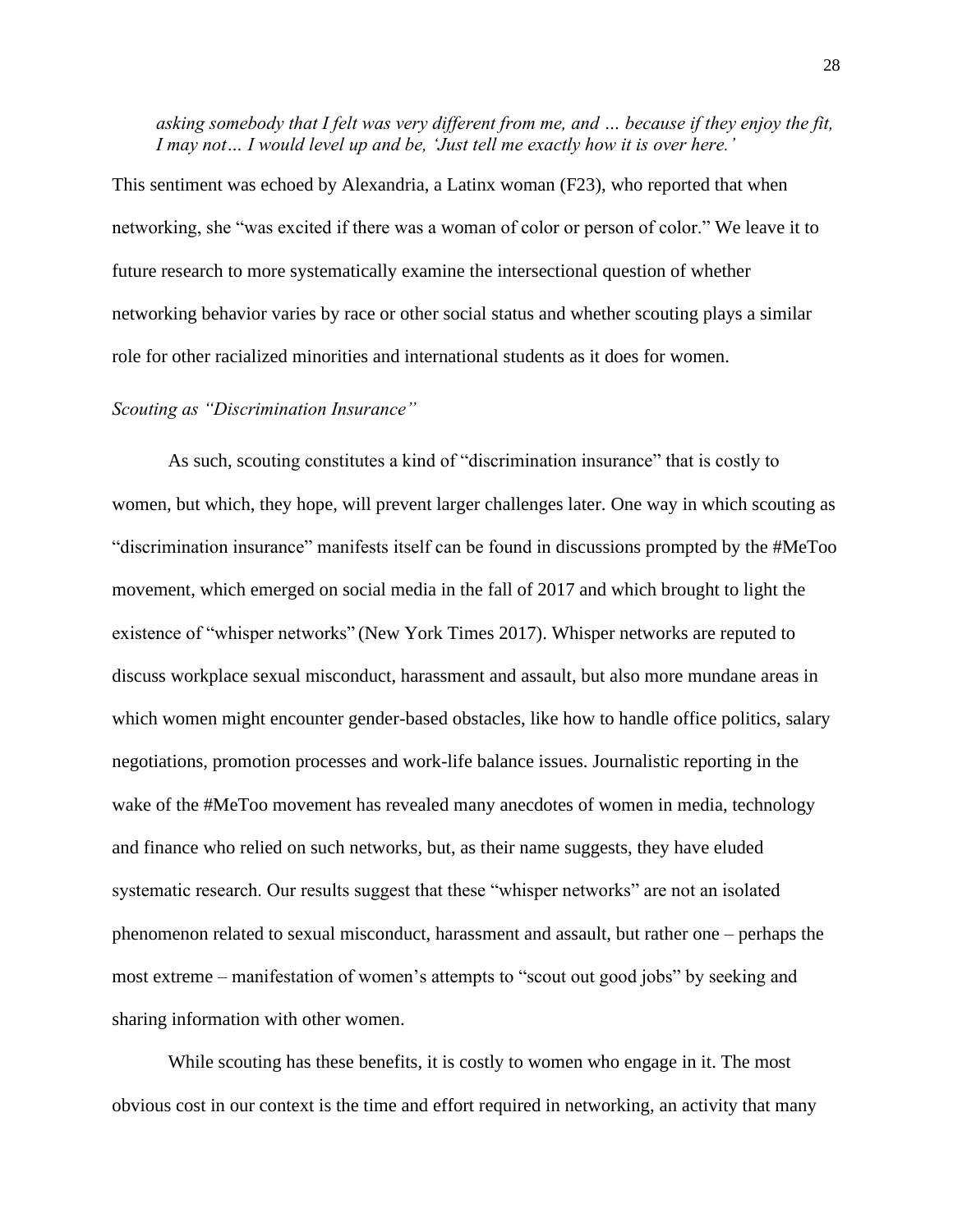*asking somebody that I felt was very different from me, and … because if they enjoy the fit, I may not… I would level up and be, 'Just tell me exactly how it is over here.'*

This sentiment was echoed by Alexandria, a Latinx woman (F23), who reported that when networking, she "was excited if there was a woman of color or person of color." We leave it to future research to more systematically examine the intersectional question of whether networking behavior varies by race or other social status and whether scouting plays a similar role for other racialized minorities and international students as it does for women.

#### *Scouting as "Discrimination Insurance"*

As such, scouting constitutes a kind of "discrimination insurance" that is costly to women, but which, they hope, will prevent larger challenges later. One way in which scouting as "discrimination insurance" manifests itself can be found in discussions prompted by the #MeToo movement, which emerged on social media in the fall of 2017 and which brought to light the existence of "whisper networks" (New York Times 2017). Whisper networks are reputed to discuss workplace sexual misconduct, harassment and assault, but also more mundane areas in which women might encounter gender-based obstacles, like how to handle office politics, salary negotiations, promotion processes and work-life balance issues. Journalistic reporting in the wake of the #MeToo movement has revealed many anecdotes of women in media, technology and finance who relied on such networks, but, as their name suggests, they have eluded systematic research. Our results suggest that these "whisper networks" are not an isolated phenomenon related to sexual misconduct, harassment and assault, but rather one – perhaps the most extreme – manifestation of women's attempts to "scout out good jobs" by seeking and sharing information with other women.

While scouting has these benefits, it is costly to women who engage in it. The most obvious cost in our context is the time and effort required in networking, an activity that many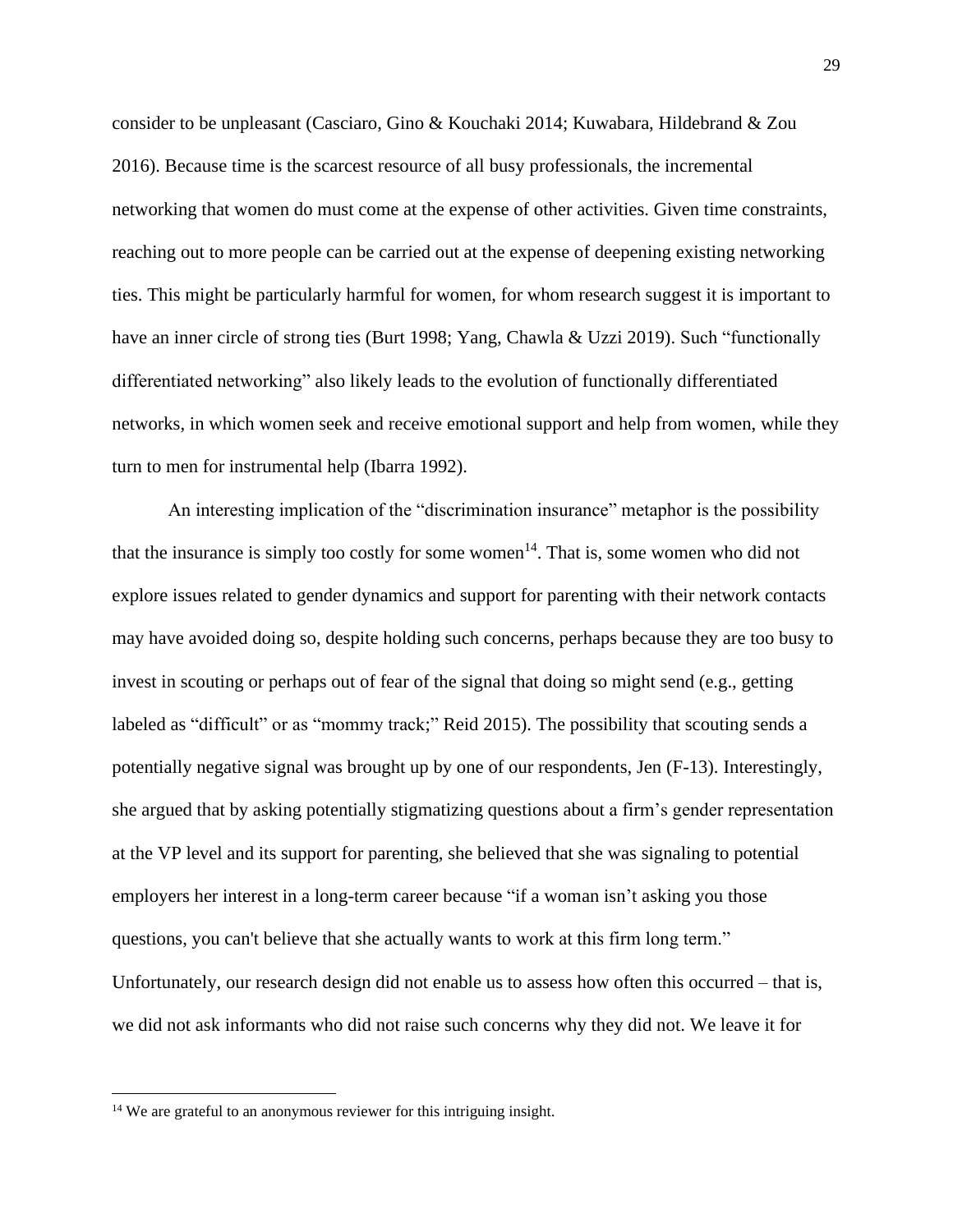consider to be unpleasant (Casciaro, Gino & Kouchaki 2014; Kuwabara, Hildebrand & Zou 2016). Because time is the scarcest resource of all busy professionals, the incremental networking that women do must come at the expense of other activities. Given time constraints, reaching out to more people can be carried out at the expense of deepening existing networking ties. This might be particularly harmful for women, for whom research suggest it is important to have an inner circle of strong ties (Burt 1998; Yang, Chawla & Uzzi 2019). Such "functionally differentiated networking" also likely leads to the evolution of functionally differentiated networks, in which women seek and receive emotional support and help from women, while they turn to men for instrumental help (Ibarra 1992).

An interesting implication of the "discrimination insurance" metaphor is the possibility that the insurance is simply too costly for some women<sup>14</sup>. That is, some women who did not explore issues related to gender dynamics and support for parenting with their network contacts may have avoided doing so, despite holding such concerns, perhaps because they are too busy to invest in scouting or perhaps out of fear of the signal that doing so might send (e.g., getting labeled as "difficult" or as "mommy track;" Reid 2015). The possibility that scouting sends a potentially negative signal was brought up by one of our respondents, Jen (F-13). Interestingly, she argued that by asking potentially stigmatizing questions about a firm's gender representation at the VP level and its support for parenting, she believed that she was signaling to potential employers her interest in a long-term career because "if a woman isn't asking you those questions, you can't believe that she actually wants to work at this firm long term." Unfortunately, our research design did not enable us to assess how often this occurred – that is, we did not ask informants who did not raise such concerns why they did not. We leave it for

<sup>&</sup>lt;sup>14</sup> We are grateful to an anonymous reviewer for this intriguing insight.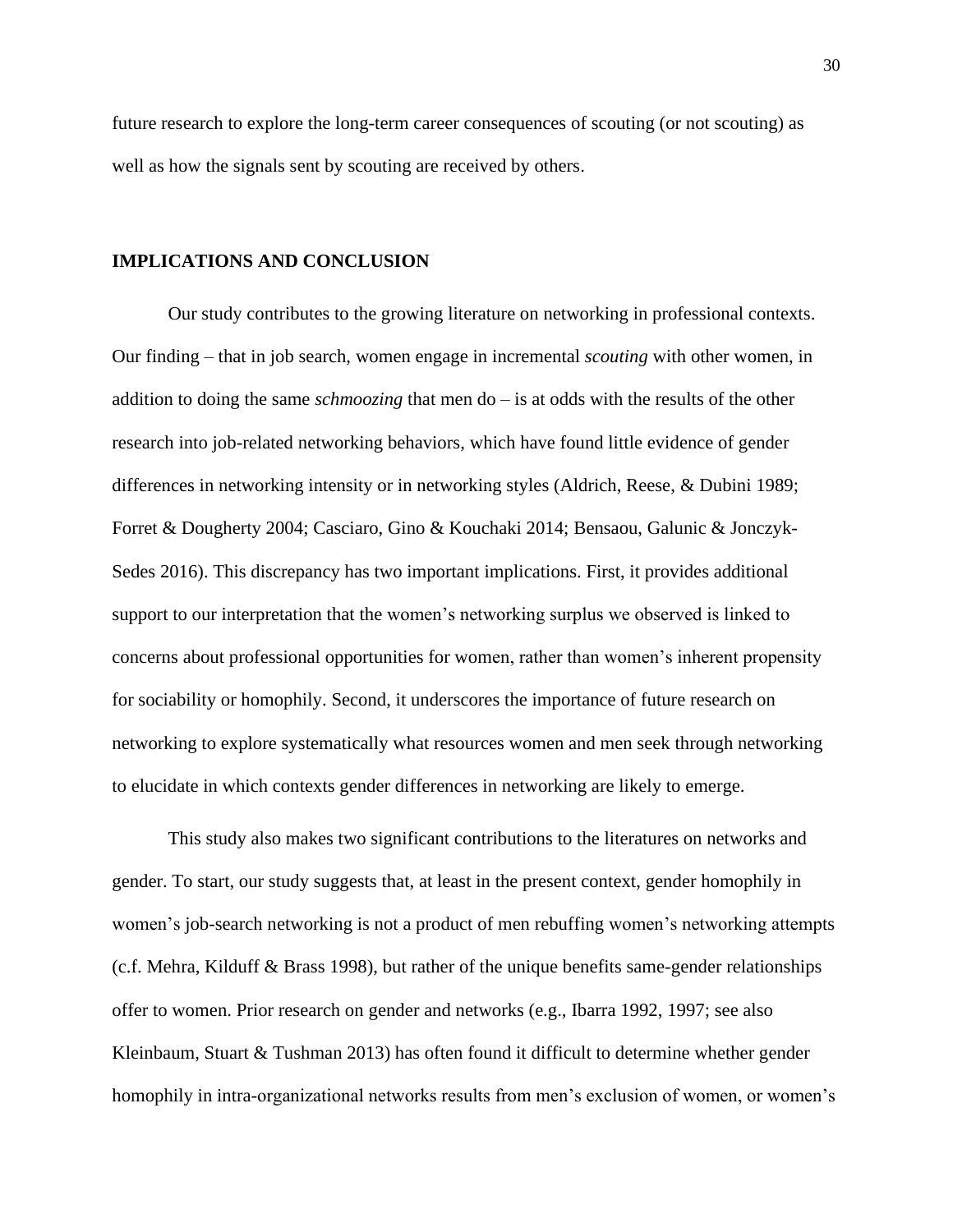future research to explore the long-term career consequences of scouting (or not scouting) as well as how the signals sent by scouting are received by others.

#### **IMPLICATIONS AND CONCLUSION**

Our study contributes to the growing literature on networking in professional contexts. Our finding – that in job search, women engage in incremental *scouting* with other women, in addition to doing the same *schmoozing* that men do – is at odds with the results of the other research into job-related networking behaviors, which have found little evidence of gender differences in networking intensity or in networking styles (Aldrich, Reese, & Dubini 1989; Forret & Dougherty 2004; Casciaro, Gino & Kouchaki 2014; Bensaou, Galunic & Jonczyk-Sedes 2016). This discrepancy has two important implications. First, it provides additional support to our interpretation that the women's networking surplus we observed is linked to concerns about professional opportunities for women, rather than women's inherent propensity for sociability or homophily. Second, it underscores the importance of future research on networking to explore systematically what resources women and men seek through networking to elucidate in which contexts gender differences in networking are likely to emerge.

This study also makes two significant contributions to the literatures on networks and gender. To start, our study suggests that, at least in the present context, gender homophily in women's job-search networking is not a product of men rebuffing women's networking attempts (c.f. Mehra, Kilduff & Brass 1998), but rather of the unique benefits same-gender relationships offer to women. Prior research on gender and networks (e.g., Ibarra 1992, 1997; see also Kleinbaum, Stuart & Tushman 2013) has often found it difficult to determine whether gender homophily in intra-organizational networks results from men's exclusion of women, or women's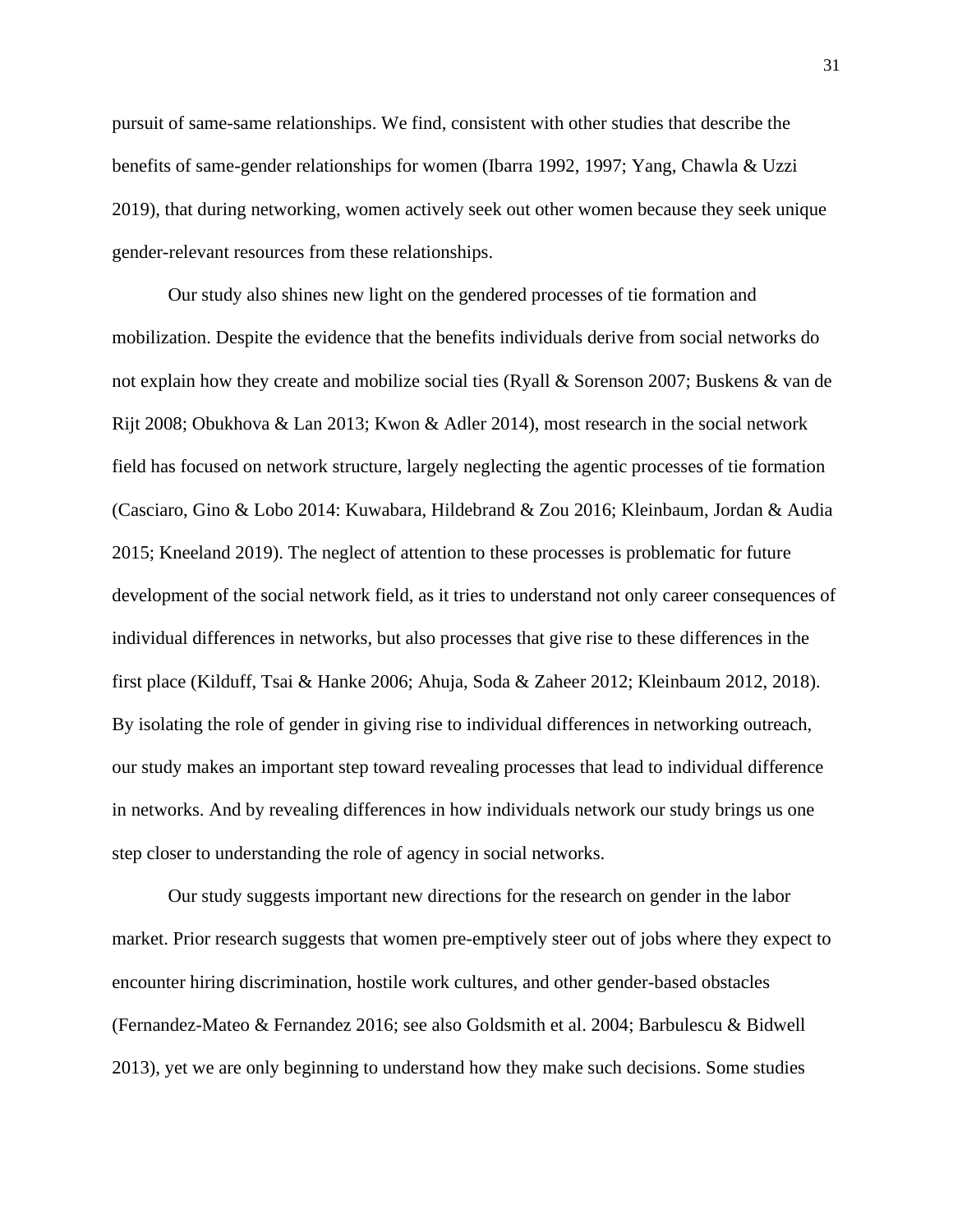pursuit of same-same relationships. We find, consistent with other studies that describe the benefits of same-gender relationships for women (Ibarra 1992, 1997; Yang, Chawla & Uzzi 2019), that during networking, women actively seek out other women because they seek unique gender-relevant resources from these relationships.

Our study also shines new light on the gendered processes of tie formation and mobilization. Despite the evidence that the benefits individuals derive from social networks do not explain how they create and mobilize social ties (Ryall & Sorenson 2007; Buskens & van de Rijt 2008; Obukhova & Lan 2013; Kwon & Adler 2014), most research in the social network field has focused on network structure, largely neglecting the agentic processes of tie formation (Casciaro, Gino & Lobo 2014: Kuwabara, Hildebrand & Zou 2016; Kleinbaum, Jordan & Audia 2015; Kneeland 2019). The neglect of attention to these processes is problematic for future development of the social network field, as it tries to understand not only career consequences of individual differences in networks, but also processes that give rise to these differences in the first place (Kilduff, Tsai & Hanke 2006; Ahuja, Soda & Zaheer 2012; Kleinbaum 2012, 2018). By isolating the role of gender in giving rise to individual differences in networking outreach, our study makes an important step toward revealing processes that lead to individual difference in networks. And by revealing differences in how individuals network our study brings us one step closer to understanding the role of agency in social networks.

Our study suggests important new directions for the research on gender in the labor market. Prior research suggests that women pre-emptively steer out of jobs where they expect to encounter hiring discrimination, hostile work cultures, and other gender-based obstacles (Fernandez-Mateo & Fernandez 2016; see also Goldsmith et al. 2004; Barbulescu & Bidwell 2013), yet we are only beginning to understand how they make such decisions. Some studies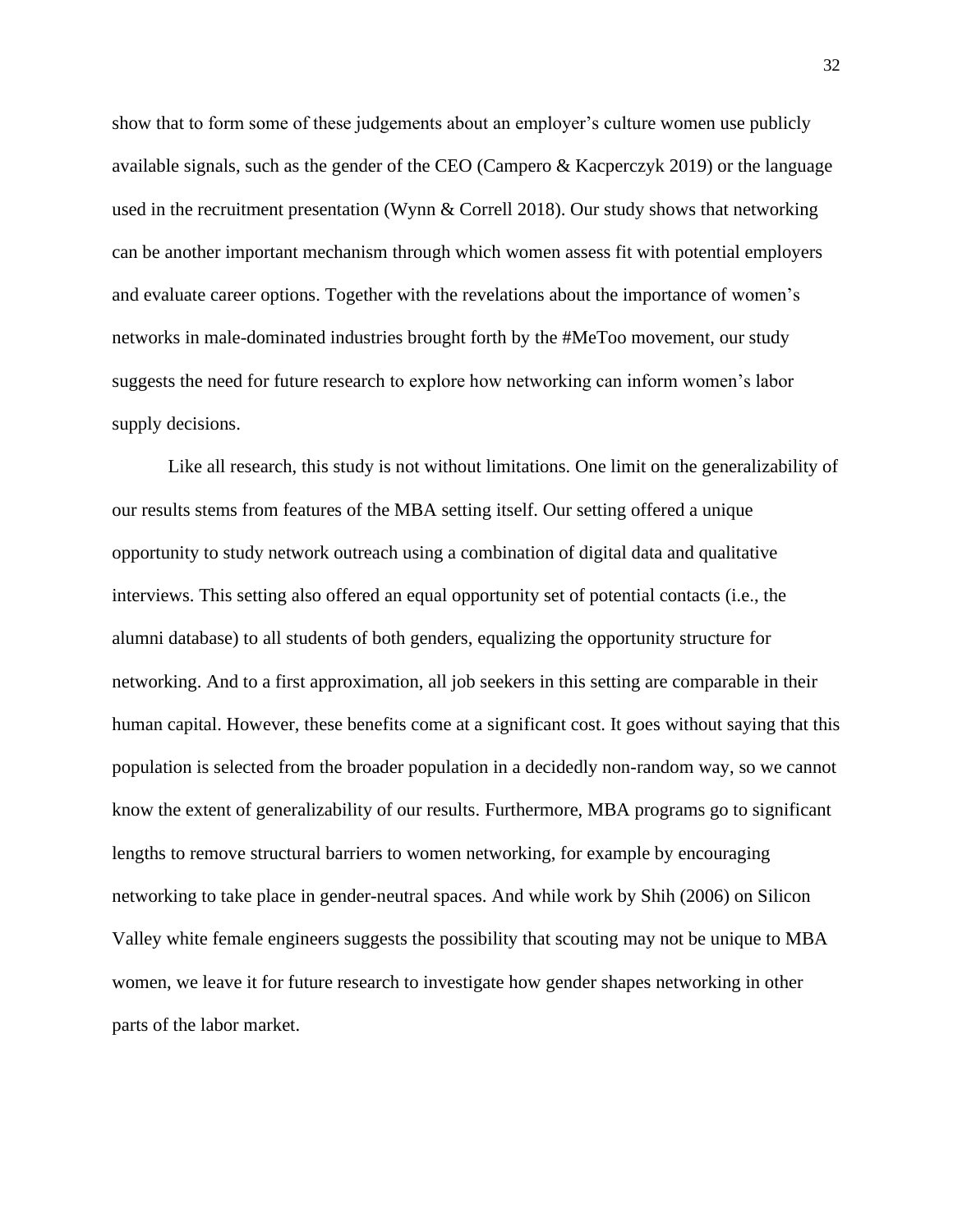show that to form some of these judgements about an employer's culture women use publicly available signals, such as the gender of the CEO (Campero & Kacperczyk 2019) or the language used in the recruitment presentation (Wynn & Correll 2018). Our study shows that networking can be another important mechanism through which women assess fit with potential employers and evaluate career options. Together with the revelations about the importance of women's networks in male-dominated industries brought forth by the #MeToo movement, our study suggests the need for future research to explore how networking can inform women's labor supply decisions.

Like all research, this study is not without limitations. One limit on the generalizability of our results stems from features of the MBA setting itself. Our setting offered a unique opportunity to study network outreach using a combination of digital data and qualitative interviews. This setting also offered an equal opportunity set of potential contacts (i.e., the alumni database) to all students of both genders, equalizing the opportunity structure for networking. And to a first approximation, all job seekers in this setting are comparable in their human capital. However, these benefits come at a significant cost. It goes without saying that this population is selected from the broader population in a decidedly non-random way, so we cannot know the extent of generalizability of our results. Furthermore, MBA programs go to significant lengths to remove structural barriers to women networking, for example by encouraging networking to take place in gender-neutral spaces. And while work by Shih (2006) on Silicon Valley white female engineers suggests the possibility that scouting may not be unique to MBA women, we leave it for future research to investigate how gender shapes networking in other parts of the labor market.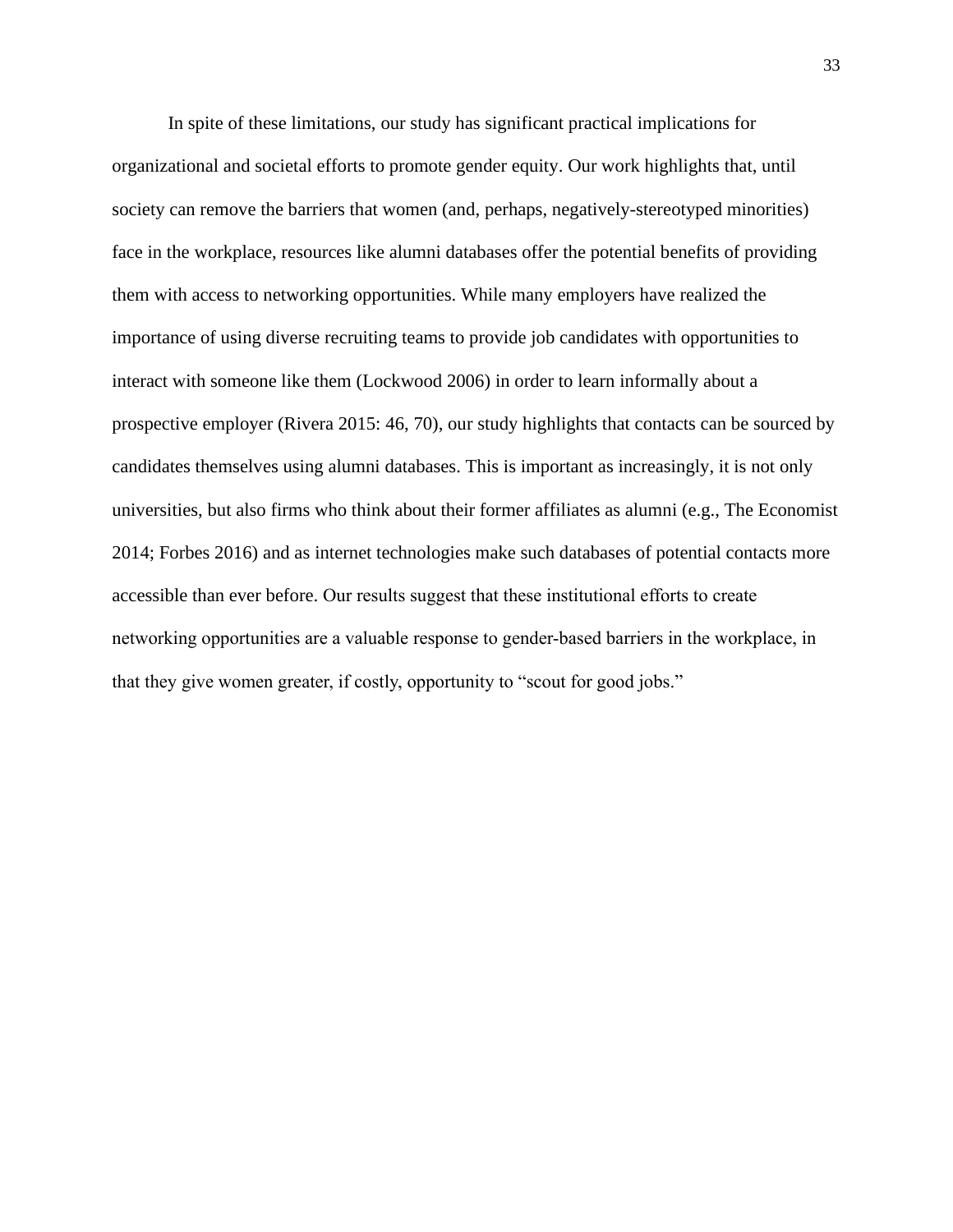In spite of these limitations, our study has significant practical implications for organizational and societal efforts to promote gender equity. Our work highlights that, until society can remove the barriers that women (and, perhaps, negatively-stereotyped minorities) face in the workplace, resources like alumni databases offer the potential benefits of providing them with access to networking opportunities. While many employers have realized the importance of using diverse recruiting teams to provide job candidates with opportunities to interact with someone like them (Lockwood 2006) in order to learn informally about a prospective employer (Rivera 2015: 46, 70), our study highlights that contacts can be sourced by candidates themselves using alumni databases. This is important as increasingly, it is not only universities, but also firms who think about their former affiliates as alumni (e.g., The Economist 2014; Forbes 2016) and as internet technologies make such databases of potential contacts more accessible than ever before. Our results suggest that these institutional efforts to create networking opportunities are a valuable response to gender-based barriers in the workplace, in that they give women greater, if costly, opportunity to "scout for good jobs."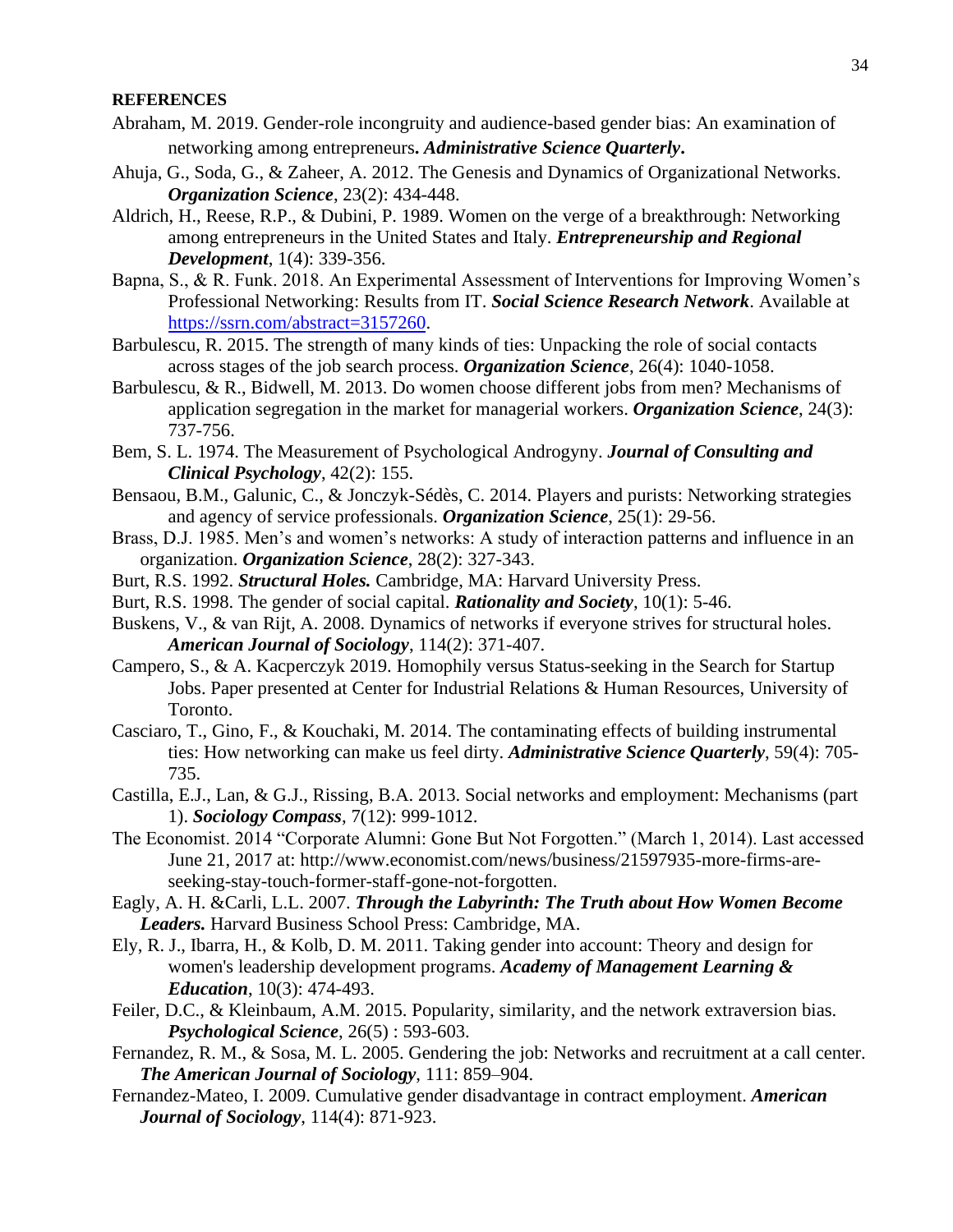#### **REFERENCES**

- Abraham, M. 2019. Gender-role incongruity and audience-based gender bias: An examination of networking among entrepreneurs**.** *Administrative Science Quarterly***.**
- Ahuja, G., Soda, G., & Zaheer, A. 2012. The Genesis and Dynamics of Organizational Networks. *Organization Science*, 23(2): 434-448.
- Aldrich, H., Reese, R.P., & Dubini, P. 1989. Women on the verge of a breakthrough: Networking among entrepreneurs in the United States and Italy. *Entrepreneurship and Regional Development*, 1(4): 339-356.
- Bapna, S., & R. Funk. 2018. An Experimental Assessment of Interventions for Improving Women's Professional Networking: Results from IT. *Social Science Research Network*. Available at [https://ssrn.com/abstract=3157260.](https://ssrn.com/abstract=3157260)
- Barbulescu, R. 2015. The strength of many kinds of ties: Unpacking the role of social contacts across stages of the job search process. *Organization Science*, 26(4): 1040-1058.
- Barbulescu, & R., Bidwell, M. 2013. Do women choose different jobs from men? Mechanisms of application segregation in the market for managerial workers. *Organization Science*, 24(3): 737-756.
- Bem, S. L. 1974. The Measurement of Psychological Androgyny. *Journal of Consulting and Clinical Psychology*, 42(2): 155.
- Bensaou, B.M., Galunic, C., & Jonczyk-Sédès, C. 2014. Players and purists: Networking strategies and agency of service professionals. *Organization Science*, 25(1): 29-56.
- Brass, D.J. 1985. Men's and women's networks: A study of interaction patterns and influence in an organization. *Organization Science*, 28(2): 327-343.
- Burt, R.S. 1992. *Structural Holes.* Cambridge, MA: Harvard University Press.
- Burt, R.S. 1998. The gender of social capital. *Rationality and Society*, 10(1): 5-46.
- Buskens, V., & van Rijt, A. 2008. Dynamics of networks if everyone strives for structural holes. *American Journal of Sociology*, 114(2): 371-407.
- Campero, S., & A. Kacperczyk 2019. Homophily versus Status-seeking in the Search for Startup Jobs. Paper presented at Center for Industrial Relations & Human Resources, University of Toronto.
- Casciaro, T., Gino, F., & Kouchaki, M. 2014. The contaminating effects of building instrumental ties: How networking can make us feel dirty. *Administrative Science Quarterly*, 59(4): 705- 735.
- Castilla, E.J., Lan, & G.J., Rissing, B.A. 2013. Social networks and employment: Mechanisms (part 1). *Sociology Compass*, 7(12): 999-1012.
- The Economist. 2014 "Corporate Alumni: Gone But Not Forgotten." (March 1, 2014). Last accessed June 21, 2017 at: http://www.economist.com/news/business/21597935-more-firms-areseeking-stay-touch-former-staff-gone-not-forgotten.
- Eagly, A. H. &Carli, L.L. 2007. *Through the Labyrinth: The Truth about How Women Become Leaders.* Harvard Business School Press: Cambridge, MA.
- Ely, R. J., Ibarra, H., & Kolb, D. M. 2011. Taking gender into account: Theory and design for women's leadership development programs. *Academy of Management Learning & Education*, 10(3): 474-493.
- Feiler, D.C., & Kleinbaum, A.M. 2015. Popularity, similarity, and the network extraversion bias. *Psychological Science*, 26(5) : 593-603.
- Fernandez, R. M., & Sosa, M. L. 2005. Gendering the job: Networks and recruitment at a call center. *The American Journal of Sociology*, 111: 859–904.
- Fernandez-Mateo, I. 2009. Cumulative gender disadvantage in contract employment. *American Journal of Sociology*, 114(4): 871-923.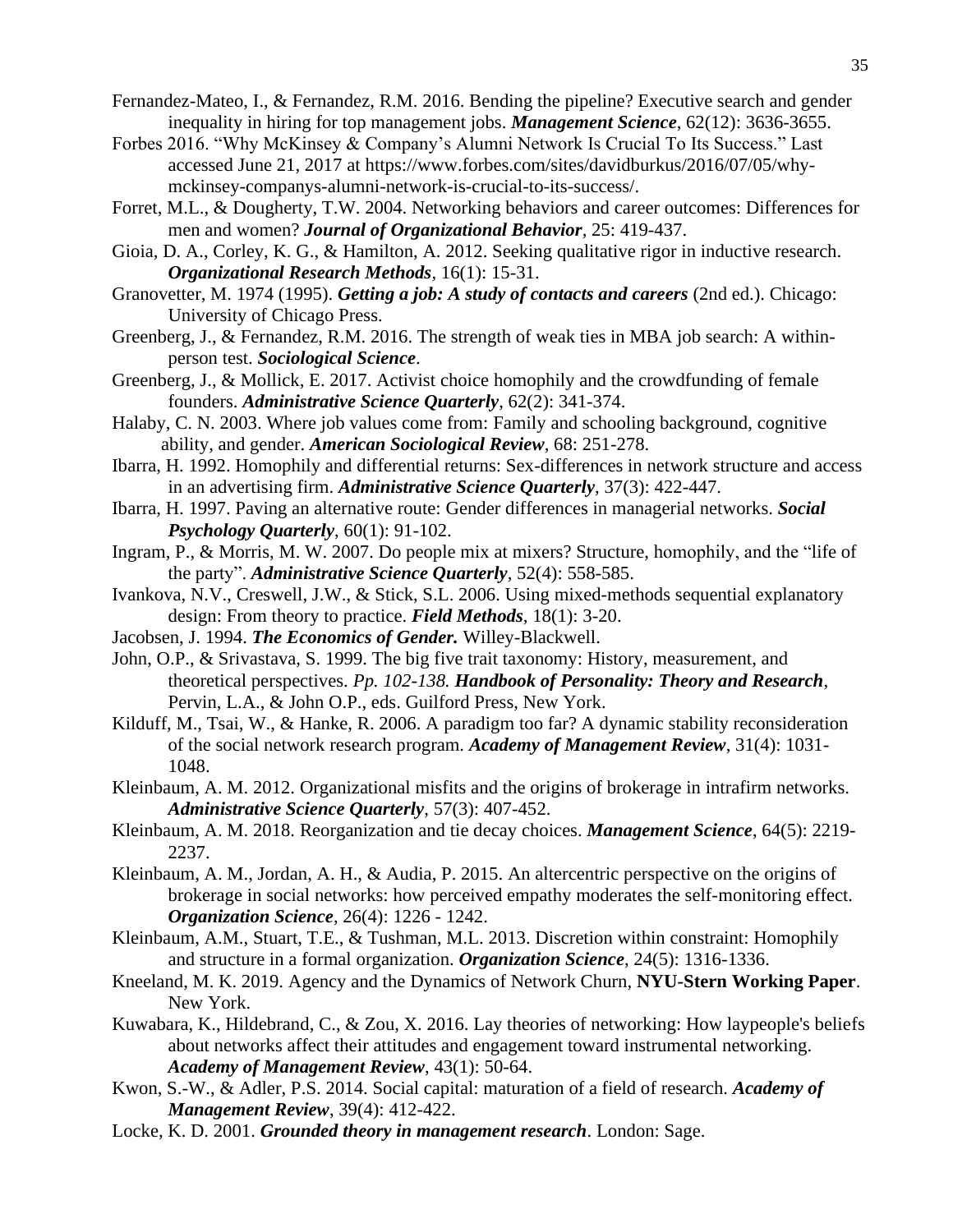- Fernandez-Mateo, I., & Fernandez, R.M. 2016. Bending the pipeline? Executive search and gender inequality in hiring for top management jobs. *Management Science*, 62(12): 3636-3655.
- Forbes 2016. "Why McKinsey & Company's Alumni Network Is Crucial To Its Success." Last accessed June 21, 2017 at https://www.forbes.com/sites/davidburkus/2016/07/05/whymckinsey-companys-alumni-network-is-crucial-to-its-success/.
- Forret, M.L., & Dougherty, T.W. 2004. Networking behaviors and career outcomes: Differences for men and women? *Journal of Organizational Behavior*, 25: 419-437.
- Gioia, D. A., Corley, K. G., & Hamilton, A. 2012. Seeking qualitative rigor in inductive research. *Organizational Research Methods*, 16(1): 15-31.
- Granovetter, M. 1974 (1995). *Getting a job: A study of contacts and careers* (2nd ed.). Chicago: University of Chicago Press.
- Greenberg, J., & Fernandez, R.M. 2016. The strength of weak ties in MBA job search: A withinperson test. *Sociological Science*.
- Greenberg, J., & Mollick, E. 2017. Activist choice homophily and the crowdfunding of female founders. *Administrative Science Quarterly*, 62(2): 341-374.
- Halaby, C. N. 2003. Where job values come from: Family and schooling background, cognitive ability, and gender. *American Sociological Review*, 68: 251-278.
- Ibarra, H. 1992. Homophily and differential returns: Sex-differences in network structure and access in an advertising firm. *Administrative Science Quarterly*, 37(3): 422-447.
- Ibarra, H. 1997. Paving an alternative route: Gender differences in managerial networks. *Social Psychology Quarterly*, 60(1): 91-102.
- Ingram, P., & Morris, M. W. 2007. Do people mix at mixers? Structure, homophily, and the "life of the party". *Administrative Science Quarterly*, 52(4): 558-585.
- Ivankova, N.V., Creswell, J.W., & Stick, S.L. 2006. Using mixed-methods sequential explanatory design: From theory to practice. *Field Methods*, 18(1): 3-20.
- Jacobsen, J. 1994. *The Economics of Gender.* Willey-Blackwell.
- John, O.P., & Srivastava, S. 1999. The big five trait taxonomy: History, measurement, and theoretical perspectives. *Pp. 102-138. Handbook of Personality: Theory and Research*, Pervin, L.A., & John O.P., eds. Guilford Press, New York.
- Kilduff, M., Tsai, W., & Hanke, R. 2006. A paradigm too far? A dynamic stability reconsideration of the social network research program. *Academy of Management Review*, 31(4): 1031- 1048.
- Kleinbaum, A. M. 2012. Organizational misfits and the origins of brokerage in intrafirm networks. *Administrative Science Quarterly*, 57(3): 407-452.
- Kleinbaum, A. M. 2018. Reorganization and tie decay choices. *Management Science*, 64(5): 2219- 2237.
- Kleinbaum, A. M., Jordan, A. H., & Audia, P. 2015. An altercentric perspective on the origins of brokerage in social networks: how perceived empathy moderates the self-monitoring effect. *Organization Science*, 26(4): 1226 - 1242.
- Kleinbaum, A.M., Stuart, T.E., & Tushman, M.L. 2013. Discretion within constraint: Homophily and structure in a formal organization. *Organization Science*, 24(5): 1316-1336.
- Kneeland, M. K. 2019. Agency and the Dynamics of Network Churn, **NYU-Stern Working Paper**. New York.
- Kuwabara, K., Hildebrand, C., & Zou, X. 2016. Lay theories of networking: How laypeople's beliefs about networks affect their attitudes and engagement toward instrumental networking. *Academy of Management Review*, 43(1): 50-64.
- Kwon, S.-W., & Adler, P.S. 2014. Social capital: maturation of a field of research. *Academy of Management Review*, 39(4): 412-422.
- Locke, K. D. 2001. *Grounded theory in management research*. London: Sage.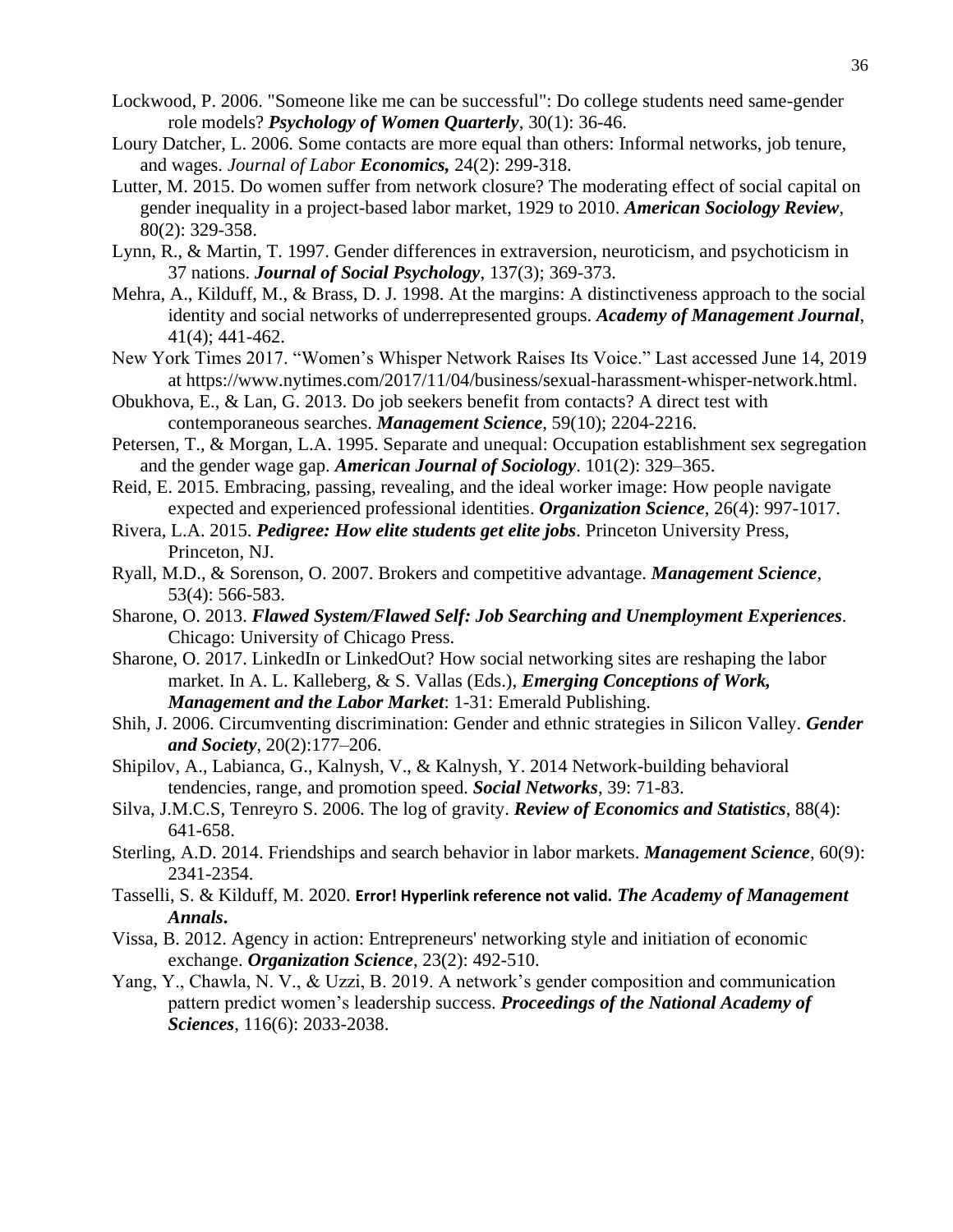- Lockwood, P. 2006. "Someone like me can be successful": Do college students need same-gender role models? *Psychology of Women Quarterly*, 30(1): 36-46.
- Loury Datcher, L. 2006. Some contacts are more equal than others: Informal networks, job tenure, and wages. *Journal of Labor Economics,* 24(2): 299-318.
- Lutter, M. 2015. Do women suffer from network closure? The moderating effect of social capital on gender inequality in a project-based labor market, 1929 to 2010. *American Sociology Review*, 80(2): 329-358.
- Lynn, R., & Martin, T. 1997. Gender differences in extraversion, neuroticism, and psychoticism in 37 nations. *Journal of Social Psychology*, 137(3); 369-373.
- Mehra, A., Kilduff, M., & Brass, D. J. 1998. At the margins: A distinctiveness approach to the social identity and social networks of underrepresented groups. *Academy of Management Journal*, 41(4); 441-462.
- New York Times 2017. "Women's Whisper Network Raises Its Voice." Last accessed June 14, 2019 at https://www.nytimes.com/2017/11/04/business/sexual-harassment-whisper-network.html.
- Obukhova, E., & Lan, G. 2013. Do job seekers benefit from contacts? A direct test with contemporaneous searches. *Management Science*, 59(10); 2204-2216.
- Petersen, T., & Morgan, L.A. 1995. Separate and unequal: Occupation establishment sex segregation and the gender wage gap. *American Journal of Sociology*. 101(2): 329–365.
- Reid, E. 2015. Embracing, passing, revealing, and the ideal worker image: How people navigate expected and experienced professional identities. *Organization Science*, 26(4): 997-1017.
- Rivera, L.A. 2015. *Pedigree: How elite students get elite jobs*. Princeton University Press, Princeton, NJ.
- Ryall, M.D., & Sorenson, O. 2007. Brokers and competitive advantage. *Management Science*, 53(4): 566-583.
- Sharone, O. 2013. *Flawed System/Flawed Self: Job Searching and Unemployment Experiences*. Chicago: University of Chicago Press.
- Sharone, O. 2017. LinkedIn or LinkedOut? How social networking sites are reshaping the labor market. In A. L. Kalleberg, & S. Vallas (Eds.), *Emerging Conceptions of Work, Management and the Labor Market*: 1-31: Emerald Publishing.
- Shih, J. 2006. Circumventing discrimination: Gender and ethnic strategies in Silicon Valley. *Gender and Society*, 20(2):177–206.
- Shipilov, A., Labianca, G., Kalnysh, V., & Kalnysh, Y. 2014 Network-building behavioral tendencies, range, and promotion speed. *Social Networks*, 39: 71-83.
- Silva, J.M.C.S, Tenreyro S. 2006. The log of gravity. *Review of Economics and Statistics*, 88(4): 641-658.
- Sterling, A.D. 2014. Friendships and search behavior in labor markets. *Management Science*, 60(9): 2341-2354.
- Tasselli, S. & Kilduff, M. 2020. **Error! Hyperlink reference not valid.** *The Academy of Management Annals***.**
- Vissa, B. 2012. Agency in action: Entrepreneurs' networking style and initiation of economic exchange. *Organization Science*, 23(2): 492-510.
- Yang, Y., Chawla, N. V., & Uzzi, B. 2019. A network's gender composition and communication pattern predict women's leadership success. *Proceedings of the National Academy of Sciences*, 116(6): 2033-2038.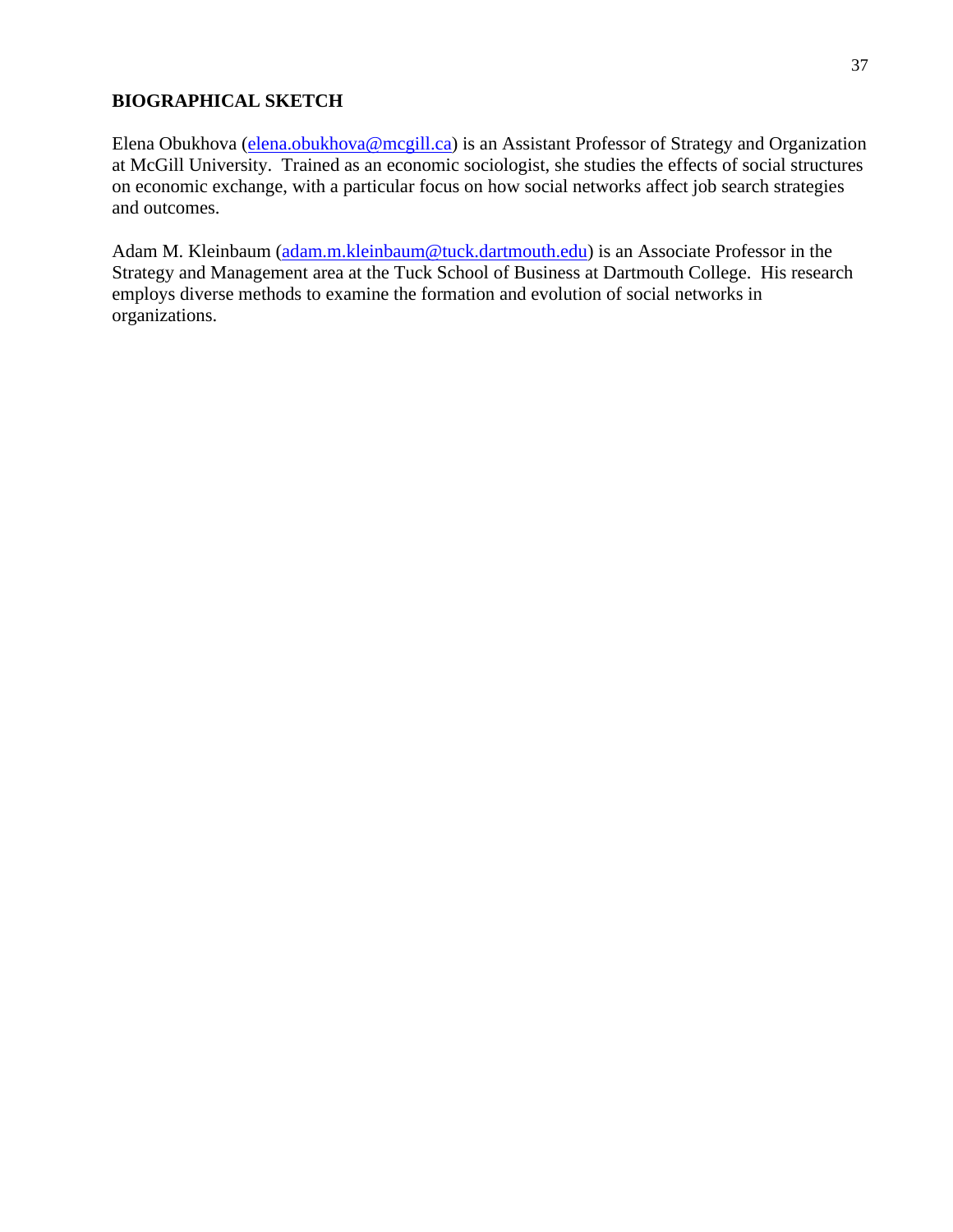## **BIOGRAPHICAL SKETCH**

Elena Obukhova [\(elena.obukhova@mcgill.ca\)](mailto:elena.obukhova@mcgill.ca) is an Assistant Professor of Strategy and Organization at McGill University. Trained as an economic sociologist, she studies the effects of social structures on economic exchange, with a particular focus on how social networks affect job search strategies and outcomes.

Adam M. Kleinbaum [\(adam.m.kleinbaum@tuck.dartmouth.edu\)](mailto:adam.m.kleinbaum@tuck.dartmouth.edu) is an Associate Professor in the Strategy and Management area at the Tuck School of Business at Dartmouth College. His research employs diverse methods to examine the formation and evolution of social networks in organizations.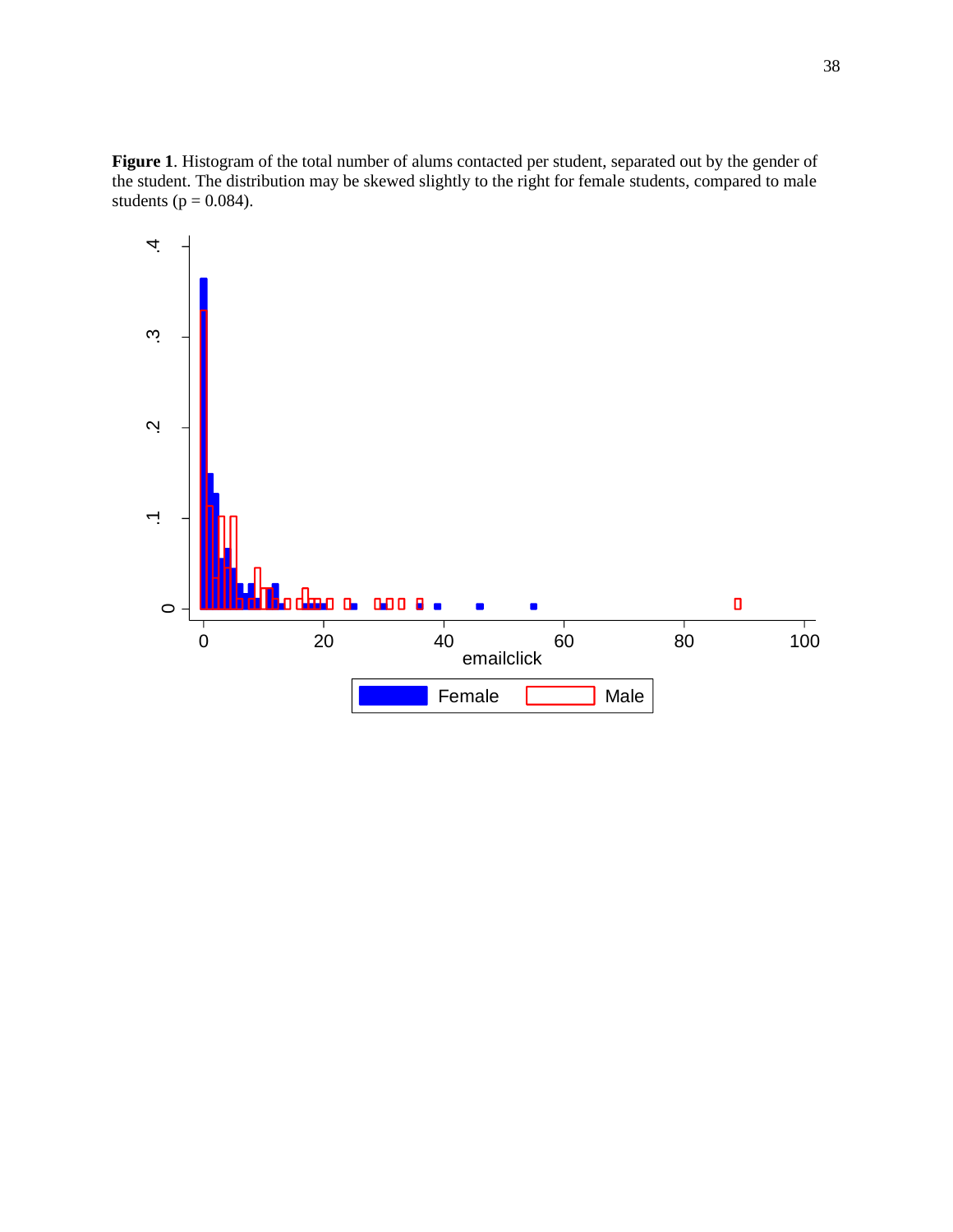**Figure 1**. Histogram of the total number of alums contacted per student, separated out by the gender of the student. The distribution may be skewed slightly to the right for female students, compared to male students ( $p = 0.084$ ).

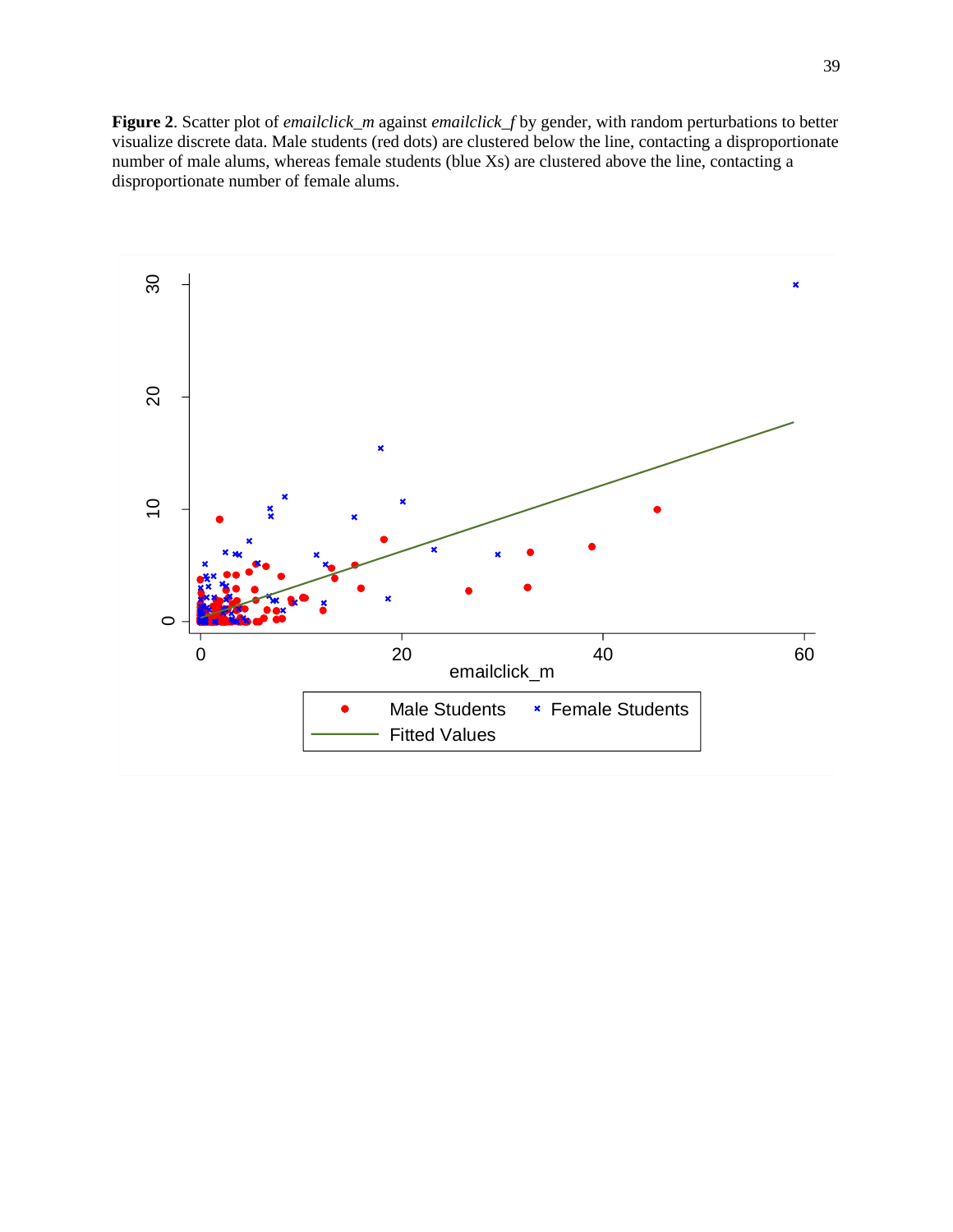**Figure 2**. Scatter plot of *emailclick\_m* against *emailclick\_f* by gender, with random perturbations to better visualize discrete data. Male students (red dots) are clustered below the line, contacting a disproportionate number of male alums, whereas female students (blue Xs) are clustered above the line, contacting a disproportionate number of female alums.

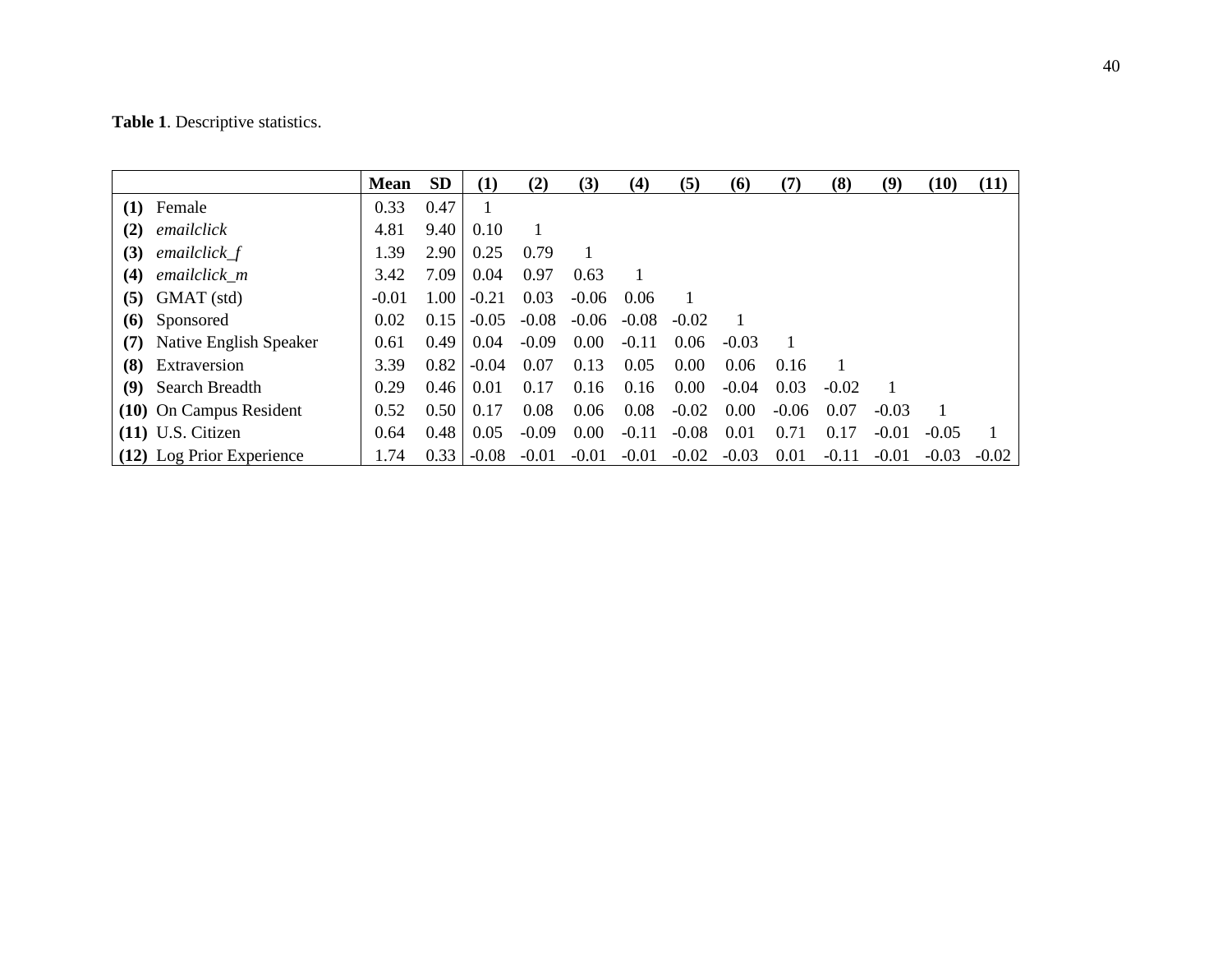|     |                            | <b>Mean</b> | <b>SD</b> | (1)     | (2)     | (3)     | (4)     | (5)     | (6)     | (7)     | (8)     | (9)     | (10)    | (11)         |
|-----|----------------------------|-------------|-----------|---------|---------|---------|---------|---------|---------|---------|---------|---------|---------|--------------|
| (1) | Female                     | 0.33        | 0.47      |         |         |         |         |         |         |         |         |         |         |              |
| (2) | emailclick                 | 4.81        | 9.40      | 0.10    |         |         |         |         |         |         |         |         |         |              |
| (3) | emailclick_f               | 1.39        | 2.90      | 0.25    | 0.79    |         |         |         |         |         |         |         |         |              |
| (4) | emailclick m               | 3.42        | 7.09      | 0.04    | 0.97    | 0.63    |         |         |         |         |         |         |         |              |
|     | $(5)$ GMAT $(std)$         | $-0.01$     | 1.00      | $-0.21$ | 0.03    | $-0.06$ | 0.06    |         |         |         |         |         |         |              |
|     | (6) Sponsored              | 0.02        | 0.15      | $-0.05$ | $-0.08$ | $-0.06$ | $-0.08$ | $-0.02$ |         |         |         |         |         |              |
|     | (7) Native English Speaker | 0.61        | 0.49      | 0.04    | $-0.09$ | 0.00    | $-0.11$ | 0.06    | $-0.03$ |         |         |         |         |              |
|     | (8) Extraversion           | 3.39        | 0.82      | $-0.04$ | 0.07    | 0.13    | 0.05    | 0.00    | 0.06    | 0.16    |         |         |         |              |
|     | (9) Search Breadth         | 0.29        | 0.46      | 0.01    | 0.17    | 0.16    | 0.16    | 0.00    | $-0.04$ | 0.03    | $-0.02$ |         |         |              |
|     | (10) On Campus Resident    | 0.52        | 0.50      | 0.17    | 0.08    | 0.06    | 0.08    | $-0.02$ | 0.00    | $-0.06$ | 0.07    | $-0.03$ |         |              |
|     | $(11)$ U.S. Citizen        | 0.64        | 0.48      | 0.05    | $-0.09$ | 0.00    | $-0.11$ | $-0.08$ | 0.01    | 0.71    | 0.17    | $-0.01$ | $-0.05$ | $\mathbf{1}$ |
|     | (12) Log Prior Experience  | 1.74        | 0.33      | $-0.08$ | $-0.01$ | $-0.01$ | $-0.01$ | $-0.02$ | $-0.03$ | 0.01    | $-0.11$ | $-0.01$ | $-0.03$ | $-0.02$      |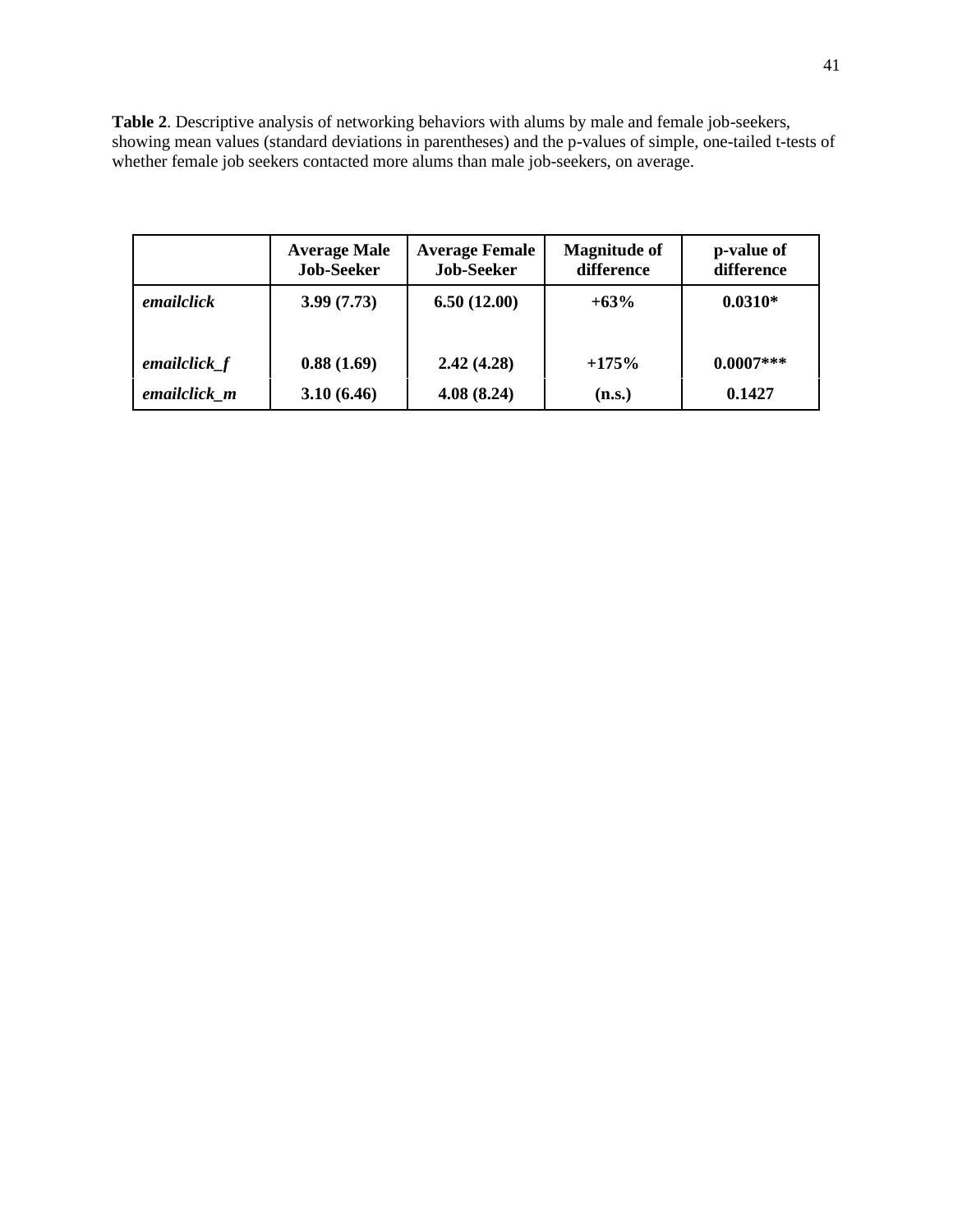**Table 2**. Descriptive analysis of networking behaviors with alums by male and female job-seekers, showing mean values (standard deviations in parentheses) and the p-values of simple, one-tailed t-tests of whether female job seekers contacted more alums than male job-seekers, on average.

|                | <b>Average Male</b><br><b>Job-Seeker</b> | <b>Average Female</b><br><b>Job-Seeker</b> | <b>Magnitude of</b><br>difference | p-value of<br>difference |
|----------------|------------------------------------------|--------------------------------------------|-----------------------------------|--------------------------|
| emailclick     | 3.99(7.73)                               | 6.50(12.00)                                | $+63%$                            | $0.0310*$                |
| emailclick $f$ | 0.88(1.69)                               | 2.42(4.28)                                 | $+175%$                           | $0.0007***$              |
| emailclick m   | 3.10(6.46)                               | 4.08(8.24)                                 | (n.s.)                            | 0.1427                   |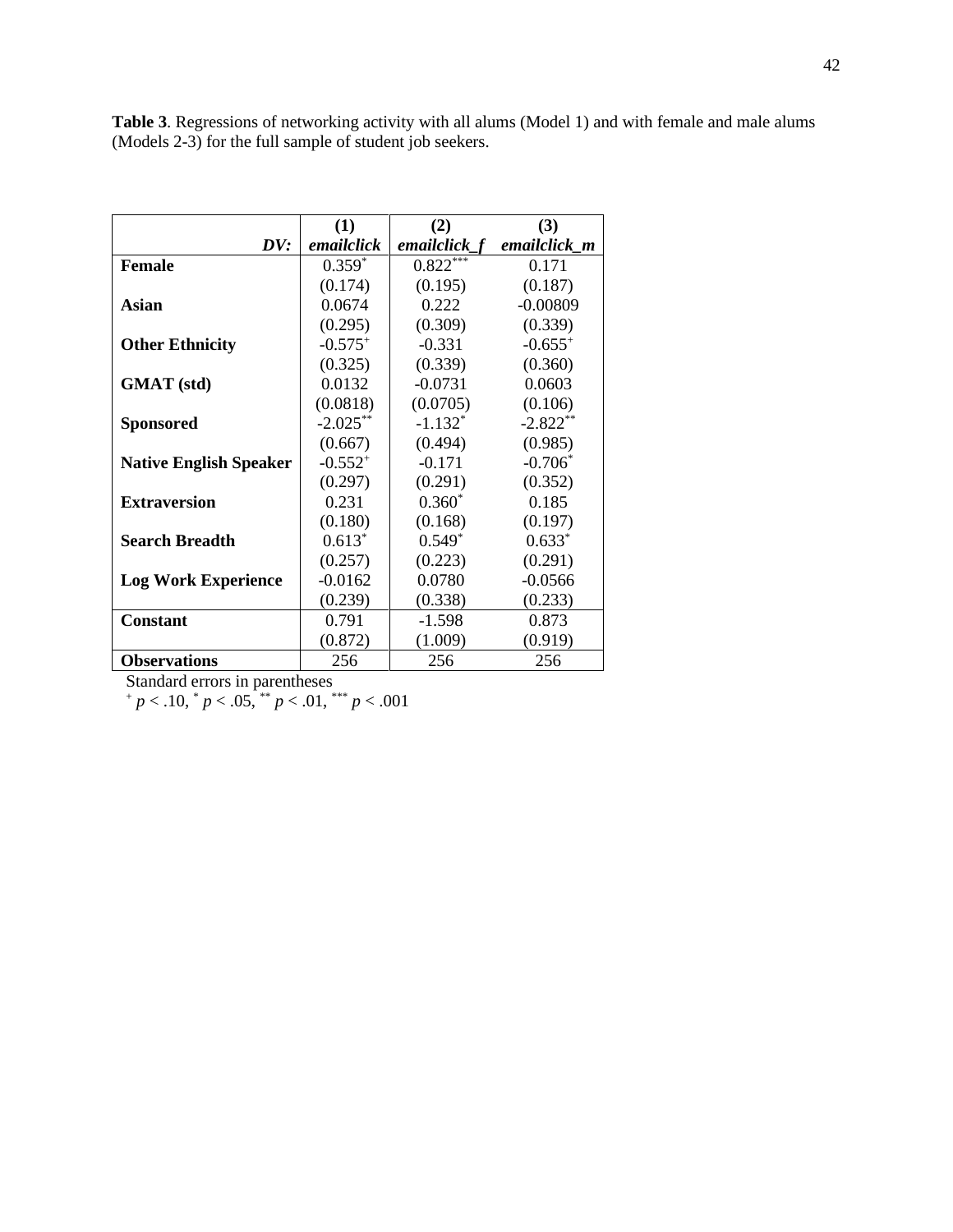|                               | (1)          | (2)            | (3)          |
|-------------------------------|--------------|----------------|--------------|
| DV:                           | emailclick   | emailclick $f$ | emailclick m |
| <b>Female</b>                 | $0.359*$     | $0.822***$     | 0.171        |
|                               | (0.174)      | (0.195)        | (0.187)      |
| Asian                         | 0.0674       | 0.222          | $-0.00809$   |
|                               | (0.295)      | (0.309)        | (0.339)      |
| <b>Other Ethnicity</b>        | $-0.575^{+}$ | $-0.331$       | $-0.655^{+}$ |
|                               | (0.325)      | (0.339)        | (0.360)      |
| <b>GMAT</b> (std)             | 0.0132       | $-0.0731$      | 0.0603       |
|                               | (0.0818)     | (0.0705)       | (0.106)      |
| <b>Sponsored</b>              | $-2.025***$  | $-1.132^*$     | $-2.822**$   |
|                               | (0.667)      | (0.494)        | (0.985)      |
| <b>Native English Speaker</b> | $-0.552^{+}$ | $-0.171$       | $-0.706*$    |
|                               | (0.297)      | (0.291)        | (0.352)      |
| <b>Extraversion</b>           | 0.231        | $0.360*$       | 0.185        |
|                               | (0.180)      | (0.168)        | (0.197)      |
| <b>Search Breadth</b>         | $0.613*$     | $0.549*$       | $0.633*$     |
|                               | (0.257)      | (0.223)        | (0.291)      |
| <b>Log Work Experience</b>    | $-0.0162$    | 0.0780         | $-0.0566$    |
|                               | (0.239)      | (0.338)        | (0.233)      |
| <b>Constant</b>               | 0.791        | -1.598         | 0.873        |
|                               | (0.872)      | (1.009)        | (0.919)      |
| <b>Observations</b>           | 256          | 256            | 256          |

**Table 3**. Regressions of networking activity with all alums (Model 1) and with female and male alums (Models 2-3) for the full sample of student job seekers.

<sup>+</sup> *p* < .10, \* *p* < .05, \*\* *p* < .01, \*\*\* *p* < .001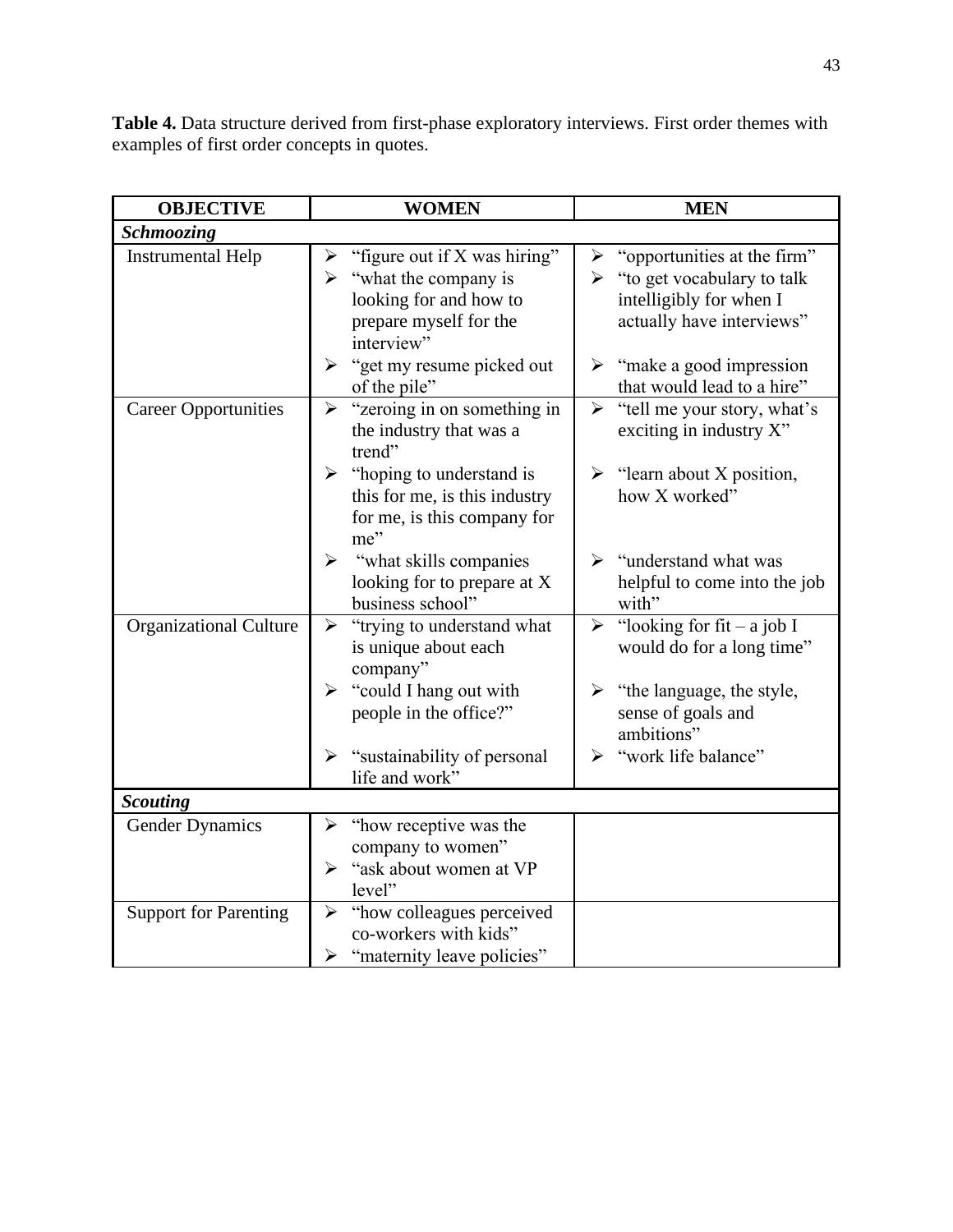**Table 4.** Data structure derived from first-phase exploratory interviews. First order themes with examples of first order concepts in quotes.

| <b>OBJECTIVE</b>              | <b>WOMEN</b>                                                                                                                                 | <b>MEN</b>                                                                                                                                          |
|-------------------------------|----------------------------------------------------------------------------------------------------------------------------------------------|-----------------------------------------------------------------------------------------------------------------------------------------------------|
| Schmoozing                    |                                                                                                                                              |                                                                                                                                                     |
| <b>Instrumental Help</b>      | "figure out if X was hiring"<br>➤<br>$\triangleright$ "what the company is<br>looking for and how to<br>prepare myself for the<br>interview" | $\triangleright$ "opportunities at the firm"<br>$\triangleright$ "to get vocabulary to talk<br>intelligibly for when I<br>actually have interviews" |
|                               | "get my resume picked out<br>$\blacktriangleright$<br>of the pile"                                                                           | $\triangleright$ "make a good impression"<br>that would lead to a hire"                                                                             |
| <b>Career Opportunities</b>   | "zeroing in on something in<br>$\blacktriangleright$<br>the industry that was a<br>trend"                                                    | $\blacktriangleright$<br>"tell me your story, what's<br>exciting in industry X"                                                                     |
|                               | "hoping to understand is<br>➤<br>this for me, is this industry<br>for me, is this company for<br>me"                                         | $\triangleright$ "learn about X position,<br>how X worked"                                                                                          |
|                               | "what skills companies"<br>➤<br>looking for to prepare at X<br>business school"                                                              | $\triangleright$ "understand what was<br>helpful to come into the job<br>with"                                                                      |
| <b>Organizational Culture</b> | "trying to understand what<br>$\blacktriangleright$<br>is unique about each<br>company"                                                      | $\triangleright$ "looking for fit – a job I<br>would do for a long time"                                                                            |
|                               | "could I hang out with<br>➤<br>people in the office?"                                                                                        | $\triangleright$ "the language, the style,<br>sense of goals and<br>ambitions"                                                                      |
|                               | "sustainability of personal"<br>➤<br>life and work"                                                                                          | "work life balance"<br>➤                                                                                                                            |
| <b>Scouting</b>               |                                                                                                                                              |                                                                                                                                                     |
| <b>Gender Dynamics</b>        | "how receptive was the<br>➤<br>company to women"<br>"ask about women at VP<br>➤<br>level"                                                    |                                                                                                                                                     |
| <b>Support for Parenting</b>  | "how colleagues perceived"<br>$\blacktriangleright$<br>co-workers with kids"<br>"maternity leave policies"<br>➤                              |                                                                                                                                                     |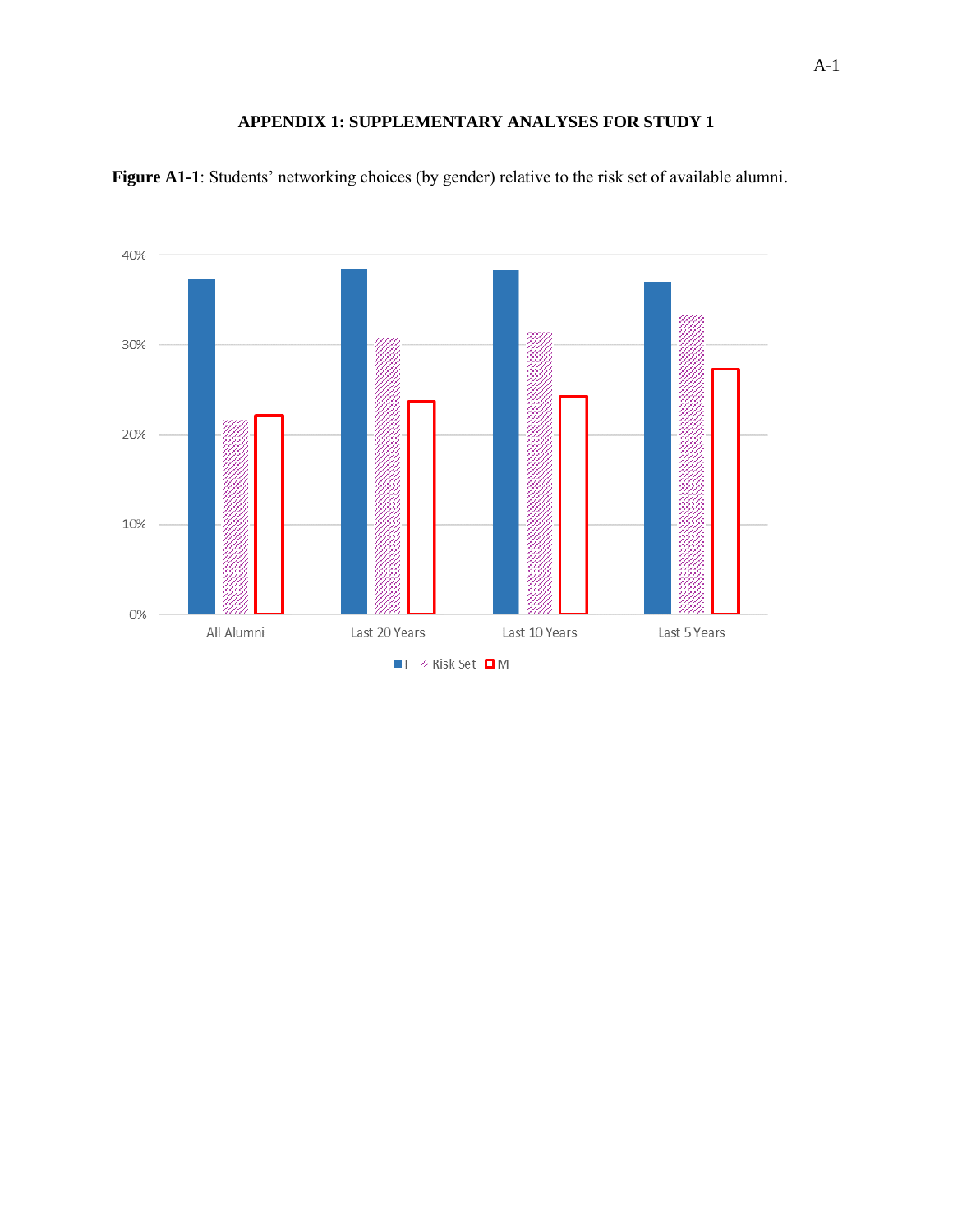### **APPENDIX 1: SUPPLEMENTARY ANALYSES FOR STUDY 1**



**Figure A1-1**: Students' networking choices (by gender) relative to the risk set of available alumni.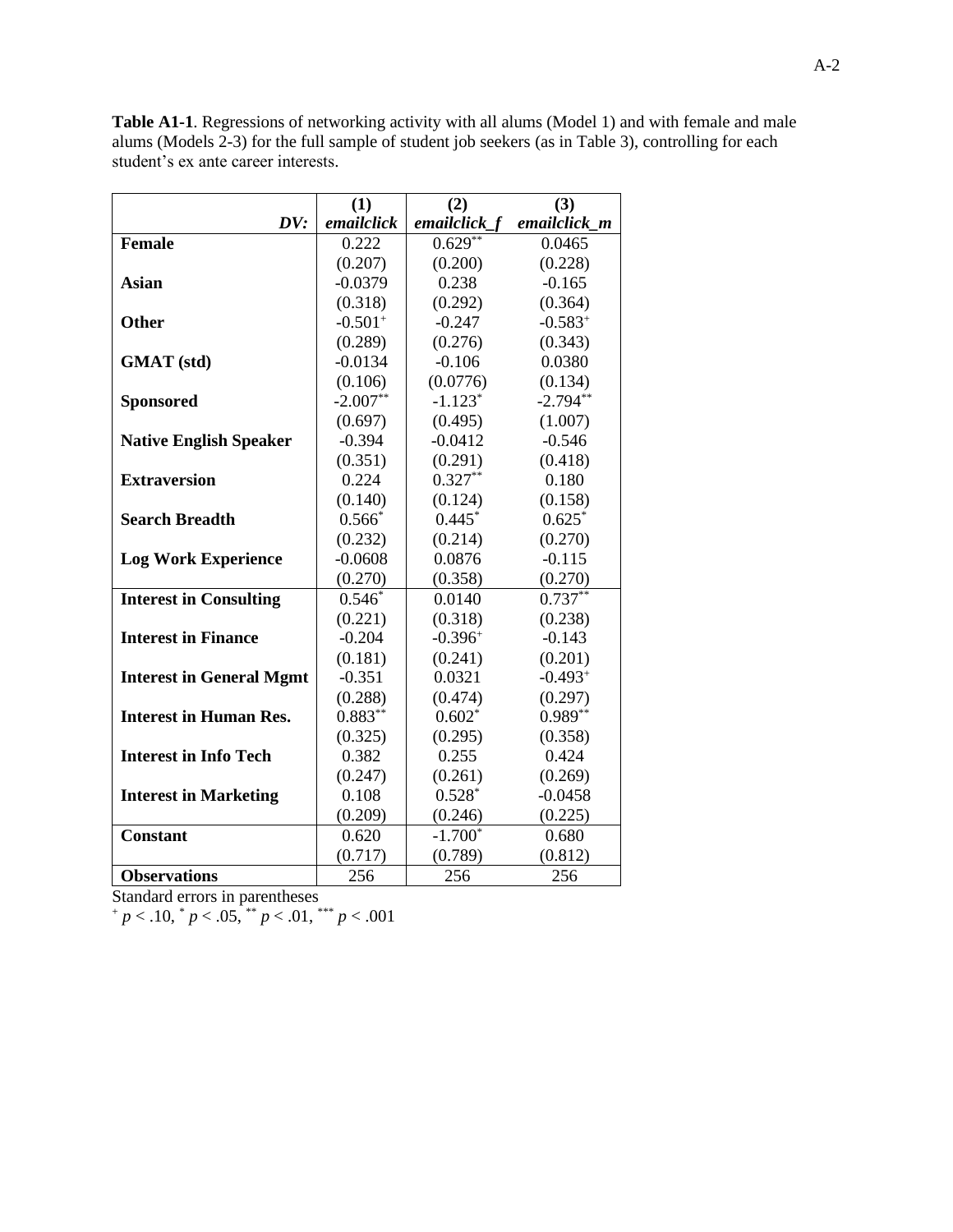**(1) (2) (3)** *DV: emailclick emailclick\_f emailclick\_m* **Female** 0.222 0.629<sup>\*\*</sup> 0.0465  $(0.207)$   $(0.200)$   $(0.228)$ **Asian**  $\begin{array}{|c|c|c|c|c|} \hline -0.0379 & 0.238 & -0.165 \hline \end{array}$  $(0.318)$   $(0.292)$   $(0.364)$ **Other**  $\qquad \qquad$   $-0.501^+$  $-0.247$   $-0.583^{+}$  $(0.289)$   $(0.276)$   $(0.343)$ **GMAT (std)**  $\qquad$  -0.0134 -0.106 0.0380  $(0.106)$   $(0.0776)$   $(0.134)$ **Sponsored**  $\qquad 2.007**$ -1.123\*  $-2.794**$  $(0.697)$   $(0.495)$   $(1.007)$ **Native English Speaker** | -0.394 | -0.0412 -0.546  $(0.351)$   $(0.291)$   $(0.418)$ **Extraversion** 1 0.224 0.327<sup>\*\*</sup> 0.180  $(0.140)$   $(0.124)$   $(0.158)$ **Search Breadth**  $0.566^*$  |  $0.445^*$  0.625<sup>\*</sup>  $(0.232)$   $(0.214)$   $(0.270)$ **Log Work Experience**  $\vert$  -0.0608  $\vert$  0.0876 -0.115  $(0.270)$   $(0.358)$   $(0.270)$ **Interest in Consulting**  $\begin{array}{|c|c|c|c|} \hline 0.546^* & 0.0140 & 0.737^{**} \hline \end{array}$  $(0.221)$   $(0.318)$   $(0.238)$ **Interest in Finance**  $\qquad$   $\qquad$  -0.204  $\qquad$  -0.396<sup>+</sup> -0.143  $(0.181)$   $(0.241)$   $(0.201)$ **Interest in General Mgmt** | -0.351 | 0.0321 -0.493<sup>+</sup>  $(0.288)$   $(0.474)$   $(0.297)$ **Interest in Human Res.**  $\begin{array}{ccc} 0.883^{**} & 0.602^{*} & 0.989^{**} \end{array}$  $(0.325)$   $(0.295)$   $(0.358)$ **Interest in Info Tech**  $\begin{array}{|c|c|c|c|} \hline 0.382 & 0.255 & 0.424 \hline \end{array}$  $(0.247)$   $(0.261)$   $(0.269)$ **Interest in Marketing | 0.108 | 0.528\*** -0.0458  $(0.209)$   $(0.246)$   $(0.225)$ **Constant** 0.620 -1.700<sup>\*</sup> 0.680  $(0.717)$   $(0.789)$   $(0.812)$ **Observations** 256 256 256

**Table A1-1**. Regressions of networking activity with all alums (Model 1) and with female and male alums (Models 2-3) for the full sample of student job seekers (as in Table 3), controlling for each student's ex ante career interests.

 $+p < .10, p < .05, p < .01, p < .01$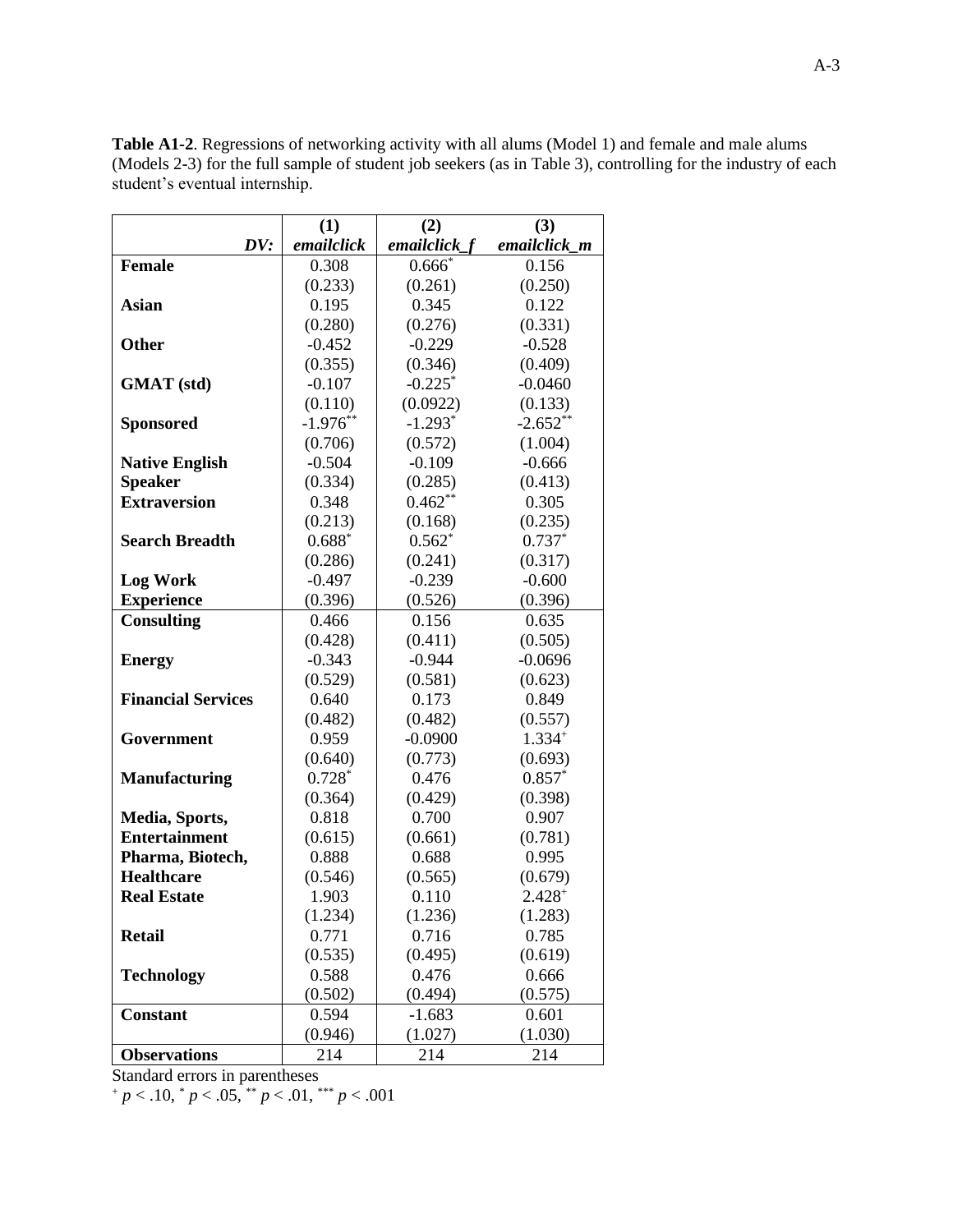|                           | (1)        | (2)            | (3)          |
|---------------------------|------------|----------------|--------------|
| DV:                       | emailclick | $emailclick_f$ | emailclick m |
| <b>Female</b>             | 0.308      | $0.666*$       | 0.156        |
|                           | (0.233)    | (0.261)        | (0.250)      |
| <b>Asian</b>              | 0.195      | 0.345          | 0.122        |
|                           | (0.280)    | (0.276)        | (0.331)      |
| <b>Other</b>              | $-0.452$   | $-0.229$       | $-0.528$     |
|                           | (0.355)    | (0.346)        | (0.409)      |
| <b>GMAT</b> (std)         | $-0.107$   | $-0.225$ *     | $-0.0460$    |
|                           | (0.110)    | (0.0922)       | (0.133)      |
| <b>Sponsored</b>          | $-1.976**$ | $-1.293*$      | $-2.652**$   |
|                           | (0.706)    | (0.572)        | (1.004)      |
| <b>Native English</b>     | $-0.504$   | $-0.109$       | $-0.666$     |
| <b>Speaker</b>            | (0.334)    | (0.285)        | (0.413)      |
| <b>Extraversion</b>       | 0.348      | $0.462**$      | 0.305        |
|                           | (0.213)    | (0.168)        | (0.235)      |
| <b>Search Breadth</b>     | $0.688*$   | $0.562*$       | $0.737*$     |
|                           | (0.286)    | (0.241)        | (0.317)      |
| <b>Log Work</b>           | $-0.497$   | $-0.239$       | $-0.600$     |
| <b>Experience</b>         | (0.396)    | (0.526)        | (0.396)      |
| <b>Consulting</b>         | 0.466      | 0.156          | 0.635        |
|                           | (0.428)    | (0.411)        | (0.505)      |
| <b>Energy</b>             | $-0.343$   | $-0.944$       | $-0.0696$    |
|                           | (0.529)    | (0.581)        | (0.623)      |
| <b>Financial Services</b> | 0.640      | 0.173          | 0.849        |
|                           | (0.482)    | (0.482)        | (0.557)      |
| Government                | 0.959      | $-0.0900$      | $1.334+$     |
|                           | (0.640)    | (0.773)        | (0.693)      |
| <b>Manufacturing</b>      | $0.728*$   | 0.476          | $0.857*$     |
|                           | (0.364)    | (0.429)        | (0.398)      |
| Media, Sports,            | 0.818      | 0.700          | 0.907        |
| <b>Entertainment</b>      | (0.615)    | (0.661)        | (0.781)      |
| Pharma, Biotech,          | 0.888      | 0.688          | 0.995        |
| <b>Healthcare</b>         | (0.546)    | (0.565)        | (0.679)      |
| <b>Real Estate</b>        | 1.903      | 0.110          | $2.428+$     |
|                           | (1.234)    | (1.236)        | (1.283)      |
| <b>Retail</b>             | 0.771      | 0.716          | 0.785        |
|                           | (0.535)    | (0.495)        | (0.619)      |
| <b>Technology</b>         | 0.588      | 0.476          | 0.666        |
|                           | (0.502)    | (0.494)        | (0.575)      |
| <b>Constant</b>           | 0.594      | $-1.683$       | 0.601        |
|                           | (0.946)    | (1.027)        | (1.030)      |
| <b>Observations</b>       | 214        | 214            | 214          |

**Table A1-2**. Regressions of networking activity with all alums (Model 1) and female and male alums (Models 2-3) for the full sample of student job seekers (as in Table 3), controlling for the industry of each student's eventual internship.

 $+p < .10, p < .05, \pm p < .01, \pm p < .001$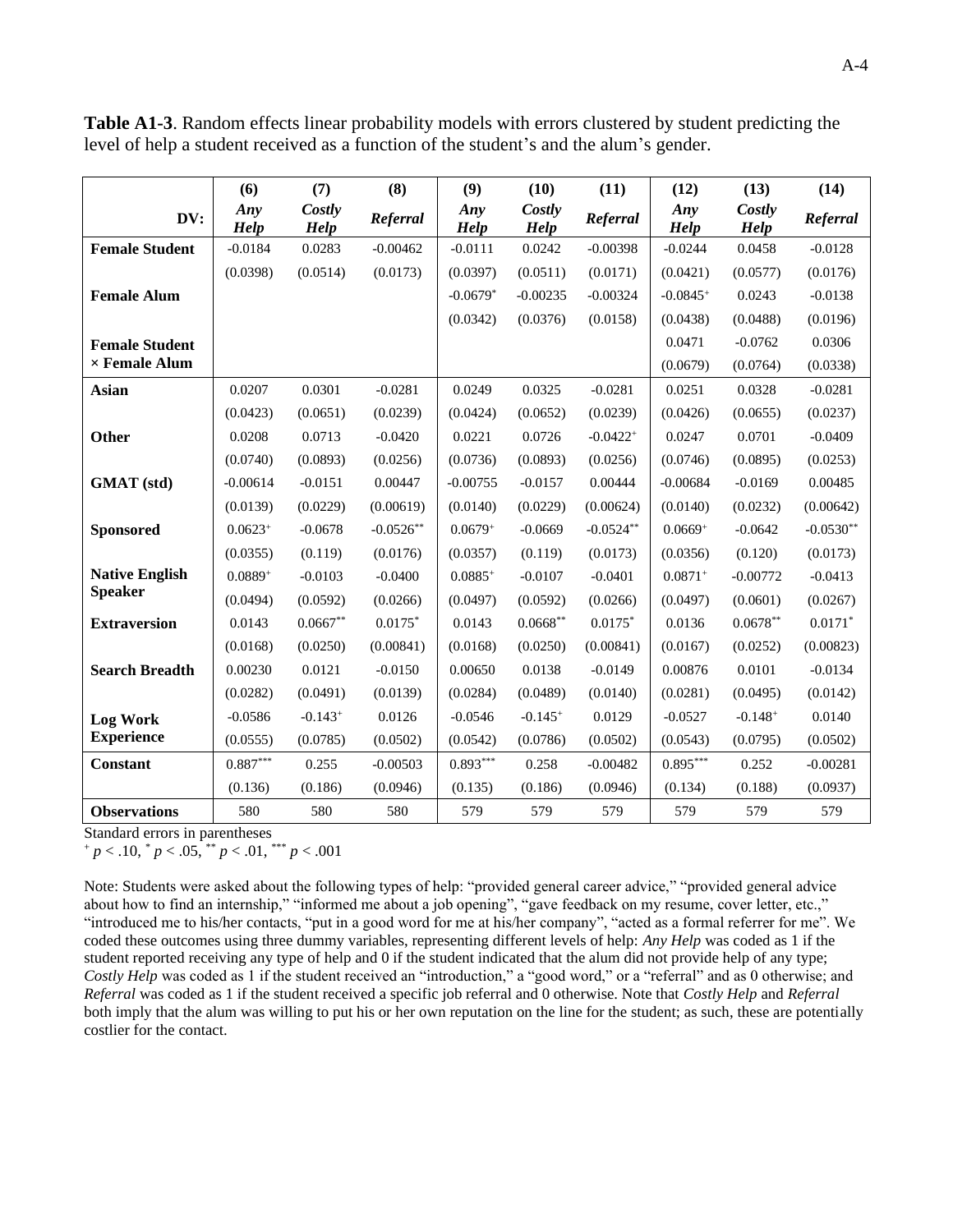|                       | (6)                    | (7)            | (8)         | (9)          | (10)                  | (11)                   | (12)        | (13)           | (14)        |
|-----------------------|------------------------|----------------|-------------|--------------|-----------------------|------------------------|-------------|----------------|-------------|
| DV:                   | Any<br><b>Help</b>     | Costly<br>Help | Referral    | Any<br>Help  | Costly<br><b>Help</b> | Referral               | Any<br>Help | Costly<br>Help | Referral    |
| <b>Female Student</b> | $-0.0184$              | 0.0283         | $-0.00462$  | $-0.0111$    | 0.0242                | $-0.00398$             | $-0.0244$   | 0.0458         | $-0.0128$   |
|                       | (0.0398)               | (0.0514)       | (0.0173)    | (0.0397)     | (0.0511)              | (0.0171)               | (0.0421)    | (0.0577)       | (0.0176)    |
| <b>Female Alum</b>    |                        |                |             | $-0.0679*$   | $-0.00235$            | $-0.00324$             | $-0.0845+$  | 0.0243         | $-0.0138$   |
|                       |                        |                |             | (0.0342)     | (0.0376)              | (0.0158)               | (0.0438)    | (0.0488)       | (0.0196)    |
| <b>Female Student</b> |                        |                |             |              |                       |                        | 0.0471      | $-0.0762$      | 0.0306      |
| $\times$ Female Alum  |                        |                |             |              |                       |                        | (0.0679)    | (0.0764)       | (0.0338)    |
| <b>Asian</b>          | 0.0207                 | 0.0301         | $-0.0281$   | 0.0249       | 0.0325                | $-0.0281$              | 0.0251      | 0.0328         | $-0.0281$   |
|                       | (0.0423)               | (0.0651)       | (0.0239)    | (0.0424)     | (0.0652)              | (0.0239)               | (0.0426)    | (0.0655)       | (0.0237)    |
| Other                 | 0.0208                 | 0.0713         | $-0.0420$   | 0.0221       | 0.0726                | $-0.0422$ <sup>+</sup> | 0.0247      | 0.0701         | $-0.0409$   |
|                       | (0.0740)               | (0.0893)       | (0.0256)    | (0.0736)     | (0.0893)              | (0.0256)               | (0.0746)    | (0.0895)       | (0.0253)    |
| <b>GMAT</b> (std)     | $-0.00614$             | $-0.0151$      | 0.00447     | $-0.00755$   | $-0.0157$             | 0.00444                | $-0.00684$  | $-0.0169$      | 0.00485     |
|                       | (0.0139)               | (0.0229)       | (0.00619)   | (0.0140)     | (0.0229)              | (0.00624)              | (0.0140)    | (0.0232)       | (0.00642)   |
| <b>Sponsored</b>      | $0.0623+$              | $-0.0678$      | $-0.0526**$ | $0.0679^{+}$ | $-0.0669$             | $-0.0524**$            | $0.0669^+$  | $-0.0642$      | $-0.0530**$ |
|                       | (0.0355)               | (0.119)        | (0.0176)    | (0.0357)     | (0.119)               | (0.0173)               | (0.0356)    | (0.120)        | (0.0173)    |
| <b>Native English</b> | $0.0889+$              | $-0.0103$      | $-0.0400$   | $0.0885+$    | $-0.0107$             | $-0.0401$              | $0.0871+$   | $-0.00772$     | $-0.0413$   |
| <b>Speaker</b>        | (0.0494)               | (0.0592)       | (0.0266)    | (0.0497)     | (0.0592)              | (0.0266)               | (0.0497)    | (0.0601)       | (0.0267)    |
| <b>Extraversion</b>   | 0.0143                 | $0.0667**$     | $0.0175*$   | 0.0143       | $0.0668**$            | $0.0175*$              | 0.0136      | $0.0678**$     | $0.0171*$   |
|                       | (0.0168)               | (0.0250)       | (0.00841)   | (0.0168)     | (0.0250)              | (0.00841)              | (0.0167)    | (0.0252)       | (0.00823)   |
| <b>Search Breadth</b> | 0.00230                | 0.0121         | $-0.0150$   | 0.00650      | 0.0138                | $-0.0149$              | 0.00876     | 0.0101         | $-0.0134$   |
|                       | (0.0282)               | (0.0491)       | (0.0139)    | (0.0284)     | (0.0489)              | (0.0140)               | (0.0281)    | (0.0495)       | (0.0142)    |
| <b>Log Work</b>       | $-0.0586$              | $-0.143+$      | 0.0126      | $-0.0546$    | $-0.145+$             | 0.0129                 | $-0.0527$   | $-0.148+$      | 0.0140      |
| <b>Experience</b>     | (0.0555)               | (0.0785)       | (0.0502)    | (0.0542)     | (0.0786)              | (0.0502)               | (0.0543)    | (0.0795)       | (0.0502)    |
| <b>Constant</b>       | $0.887^{\ast\ast\ast}$ | 0.255          | $-0.00503$  | $0.893***$   | 0.258                 | $-0.00482$             | $0.895***$  | 0.252          | $-0.00281$  |
|                       | (0.136)                | (0.186)        | (0.0946)    | (0.135)      | (0.186)               | (0.0946)               | (0.134)     | (0.188)        | (0.0937)    |
| <b>Observations</b>   | 580                    | 580            | 580         | 579          | 579                   | 579                    | 579         | 579            | 579         |

**Table A1-3**. Random effects linear probability models with errors clustered by student predicting the level of help a student received as a function of the student's and the alum's gender.

<sup>+</sup> *p* < .10, \* *p* < .05, \*\* *p* < .01, \*\*\* *p* < .001

Note: Students were asked about the following types of help: "provided general career advice," "provided general advice about how to find an internship," "informed me about a job opening", "gave feedback on my resume, cover letter, etc.," "introduced me to his/her contacts, "put in a good word for me at his/her company", "acted as a formal referrer for me". We coded these outcomes using three dummy variables, representing different levels of help: *Any Help* was coded as 1 if the student reported receiving any type of help and 0 if the student indicated that the alum did not provide help of any type; *Costly Help* was coded as 1 if the student received an "introduction," a "good word," or a "referral" and as 0 otherwise; and *Referral* was coded as 1 if the student received a specific job referral and 0 otherwise. Note that *Costly Help* and *Referral* both imply that the alum was willing to put his or her own reputation on the line for the student; as such, these are potentially costlier for the contact.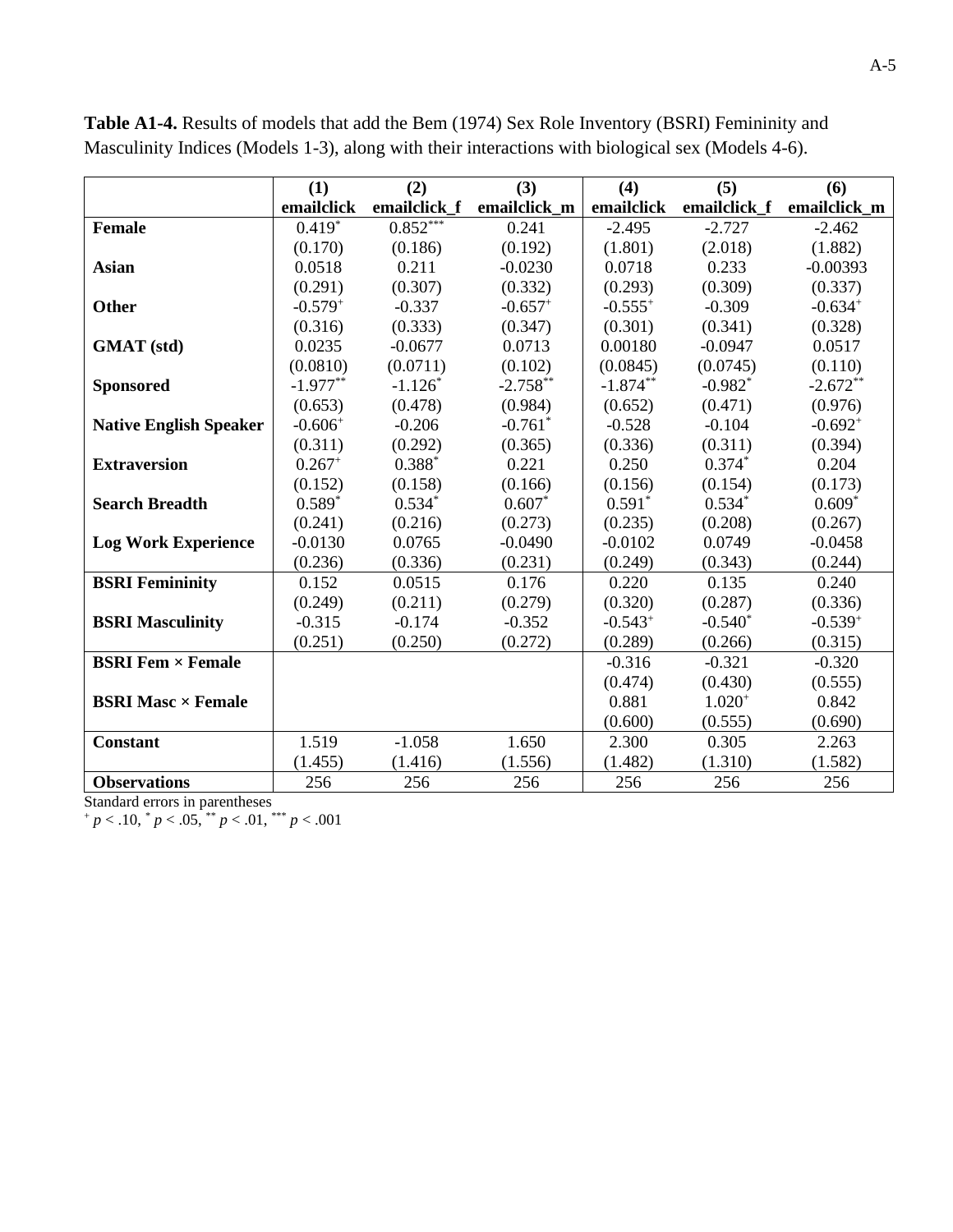|                               | (1)          | (2)          | (3)          | (4)          | (5)          | (6)          |
|-------------------------------|--------------|--------------|--------------|--------------|--------------|--------------|
|                               | emailclick   | emailclick f | emailclick_m | emailclick   | emailclick f | emailclick_m |
| <b>Female</b>                 | $0.419*$     | $0.852***$   | 0.241        | $-2.495$     | $-2.727$     | $-2.462$     |
|                               | (0.170)      | (0.186)      | (0.192)      | (1.801)      | (2.018)      | (1.882)      |
| <b>Asian</b>                  | 0.0518       | 0.211        | $-0.0230$    | 0.0718       | 0.233        | $-0.00393$   |
|                               | (0.291)      | (0.307)      | (0.332)      | (0.293)      | (0.309)      | (0.337)      |
| Other                         | $-0.579^{+}$ | $-0.337$     | $-0.657+$    | $-0.555^{+}$ | $-0.309$     | $-0.634+$    |
|                               | (0.316)      | (0.333)      | (0.347)      | (0.301)      | (0.341)      | (0.328)      |
| <b>GMAT</b> (std)             | 0.0235       | $-0.0677$    | 0.0713       | 0.00180      | $-0.0947$    | 0.0517       |
|                               | (0.0810)     | (0.0711)     | (0.102)      | (0.0845)     | (0.0745)     | (0.110)      |
| <b>Sponsored</b>              | $-1.977**$   | $-1.126*$    | $-2.758**$   | $-1.874**$   | $-0.982*$    | $-2.672**$   |
|                               | (0.653)      | (0.478)      | (0.984)      | (0.652)      | (0.471)      | (0.976)      |
| <b>Native English Speaker</b> | $-0.606+$    | $-0.206$     | $-0.761$ *   | $-0.528$     | $-0.104$     | $-0.692^{+}$ |
|                               | (0.311)      | (0.292)      | (0.365)      | (0.336)      | (0.311)      | (0.394)      |
| <b>Extraversion</b>           | $0.267^{+}$  | $0.388*$     | 0.221        | 0.250        | $0.374*$     | 0.204        |
|                               | (0.152)      | (0.158)      | (0.166)      | (0.156)      | (0.154)      | (0.173)      |
| <b>Search Breadth</b>         | $0.589*$     | $0.534*$     | $0.607*$     | $0.591*$     | $0.534*$     | $0.609*$     |
|                               | (0.241)      | (0.216)      | (0.273)      | (0.235)      | (0.208)      | (0.267)      |
| <b>Log Work Experience</b>    | $-0.0130$    | 0.0765       | $-0.0490$    | $-0.0102$    | 0.0749       | $-0.0458$    |
|                               | (0.236)      | (0.336)      | (0.231)      | (0.249)      | (0.343)      | (0.244)      |
| <b>BSRI Femininity</b>        | 0.152        | 0.0515       | 0.176        | 0.220        | 0.135        | 0.240        |
|                               | (0.249)      | (0.211)      | (0.279)      | (0.320)      | (0.287)      | (0.336)      |
| <b>BSRI</b> Masculinity       | $-0.315$     | $-0.174$     | $-0.352$     | $-0.543^{+}$ | $-0.540*$    | $-0.539^{+}$ |
|                               | (0.251)      | (0.250)      | (0.272)      | (0.289)      | (0.266)      | (0.315)      |
| <b>BSRI Fem × Female</b>      |              |              |              | $-0.316$     | $-0.321$     | $-0.320$     |
|                               |              |              |              | (0.474)      | (0.430)      | (0.555)      |
| <b>BSRI Masc × Female</b>     |              |              |              | 0.881        | $1.020^{+}$  | 0.842        |
|                               |              |              |              | (0.600)      | (0.555)      | (0.690)      |
| <b>Constant</b>               | 1.519        | $-1.058$     | 1.650        | 2.300        | 0.305        | 2.263        |
|                               | (1.455)      | (1.416)      | (1.556)      | (1.482)      | (1.310)      | (1.582)      |
| <b>Observations</b>           | 256          | 256          | 256          | 256          | 256          | 256          |

**Table A1-4.** Results of models that add the Bem (1974) Sex Role Inventory (BSRI) Femininity and Masculinity Indices (Models 1-3), along with their interactions with biological sex (Models 4-6).

<sup>+</sup> *p* < .10, \* *p* < .05, \*\* *p* < .01, \*\*\* *p* < .001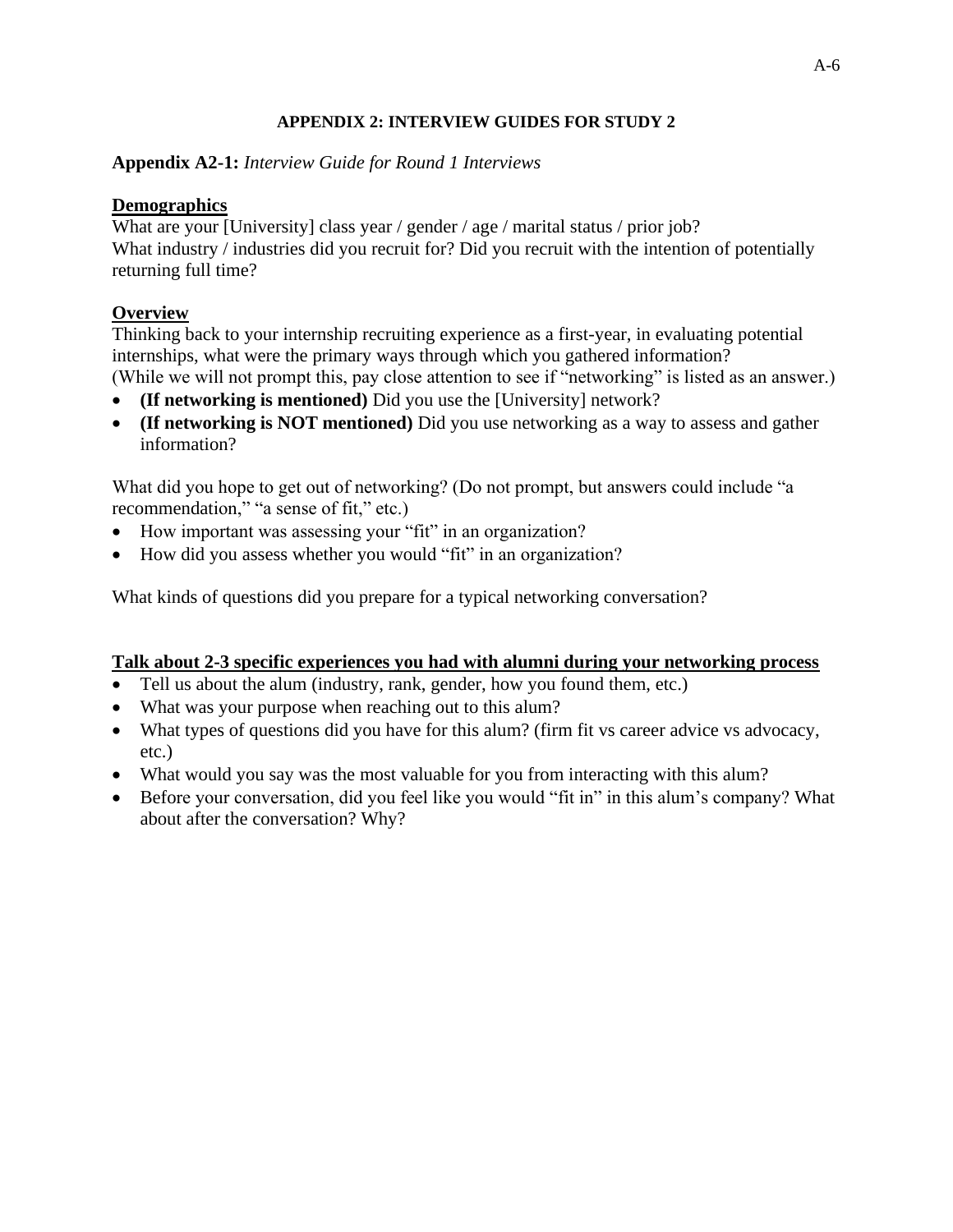## **APPENDIX 2: INTERVIEW GUIDES FOR STUDY 2**

# **Appendix A2-1:** *Interview Guide for Round 1 Interviews*

# **Demographics**

What are your [University] class year / gender / age / marital status / prior job? What industry / industries did you recruit for? Did you recruit with the intention of potentially returning full time?

# **Overview**

Thinking back to your internship recruiting experience as a first-year, in evaluating potential internships, what were the primary ways through which you gathered information? (While we will not prompt this, pay close attention to see if "networking" is listed as an answer.)

- **(If networking is mentioned)** Did you use the [University] network?
- **(If networking is NOT mentioned)** Did you use networking as a way to assess and gather information?

What did you hope to get out of networking? (Do not prompt, but answers could include "a recommendation," "a sense of fit," etc.)

- How important was assessing your "fit" in an organization?
- How did you assess whether you would "fit" in an organization?

What kinds of questions did you prepare for a typical networking conversation?

# **Talk about 2-3 specific experiences you had with alumni during your networking process**

- Tell us about the alum (industry, rank, gender, how you found them, etc.)
- What was your purpose when reaching out to this alum?
- What types of questions did you have for this alum? (firm fit vs career advice vs advocacy, etc.)
- What would you say was the most valuable for you from interacting with this alum?
- Before your conversation, did you feel like you would "fit in" in this alum's company? What about after the conversation? Why?